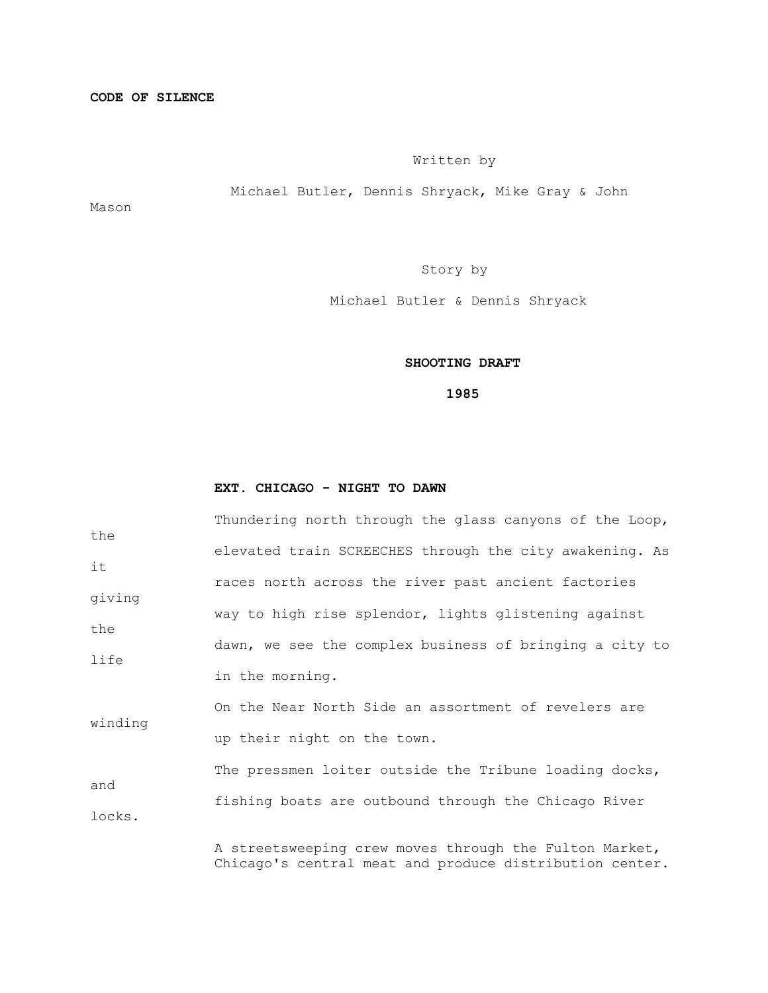## Written by

Michael Butler, Dennis Shryack, Mike Gray & John

Mason

Story by

Michael Butler & Dennis Shryack

## **SHOOTING DRAFT**

 **1985**

#### **EXT. CHICAGO - NIGHT TO DAWN**

|         | Thundering north through the glass canyons of the Loop, |
|---------|---------------------------------------------------------|
| the     | elevated train SCREECHES through the city awakening. As |
| it      |                                                         |
|         | races north across the river past ancient factories     |
| giving  | way to high rise splendor, lights glistening against    |
| the     |                                                         |
|         | dawn, we see the complex business of bringing a city to |
| life    | in the morning.                                         |
| winding | On the Near North Side an assortment of revelers are    |
|         | up their night on the town.                             |
| and     | The pressmen loiter outside the Tribune loading docks,  |
|         | fishing boats are outbound through the Chicago River    |
| locks.  |                                                         |

 A streetsweeping crew moves through the Fulton Market, Chicago's central meat and produce distribution center.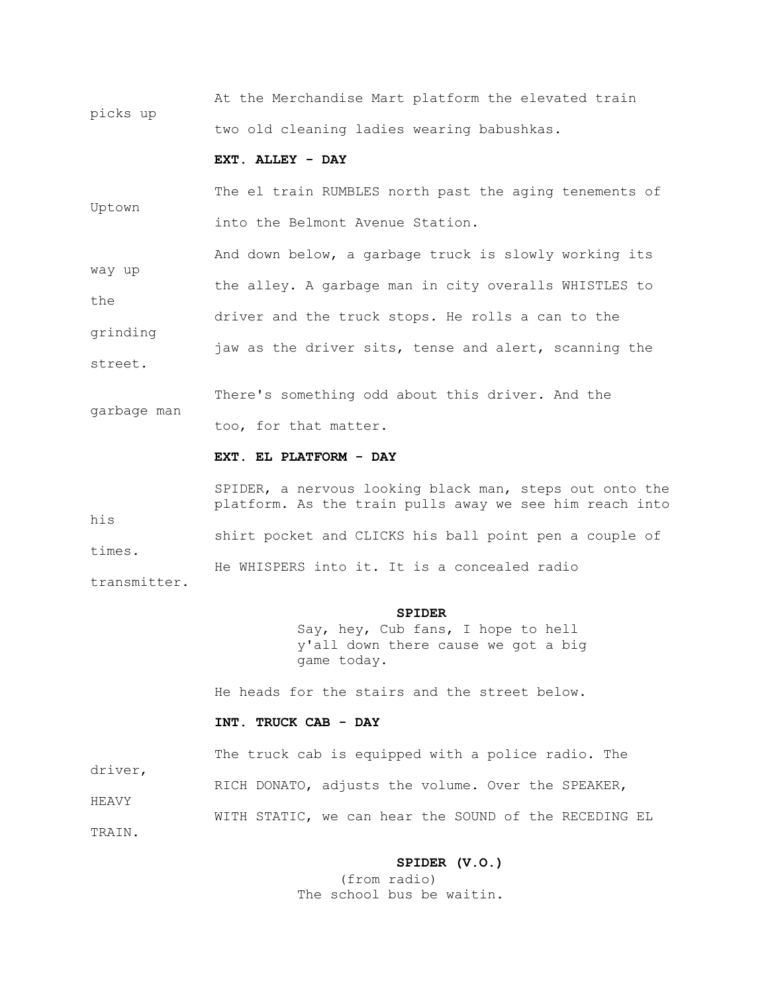At the Merchandise Mart platform the elevated train picks up two old cleaning ladies wearing babushkas.

## **EXT. ALLEY - DAY**

 The el train RUMBLES north past the aging tenements of Uptown into the Belmont Avenue Station.

 And down below, a garbage truck is slowly working its way up the alley. A garbage man in city overalls WHISTLES to

the driver and the truck stops. He rolls a can to the grinding jaw as the driver sits, tense and alert, scanning the

There's something odd about this driver. And the

too, for that matter.

#### **EXT. EL PLATFORM - DAY**

 SPIDER, a nervous looking black man, steps out onto the platform. As the train pulls away we see him reach into his shirt pocket and CLICKS his ball point pen a couple of times. He WHISPERS into it. It is a concealed radio transmitter.

#### **SPIDER**

 Say, hey, Cub fans, I hope to hell y'all down there cause we got a big game today.

He heads for the stairs and the street below.

#### **INT. TRUCK CAB - DAY**

The truck cab is equipped with a police radio. The

RICH DONATO, adjusts the volume. Over the SPEAKER,

WITH STATIC, we can hear the SOUND of the RECEDING EL

TRAIN.

HEAVY

driver,

street.

garbage man

#### **SPIDER (V.O.)**

 (from radio) The school bus be waitin.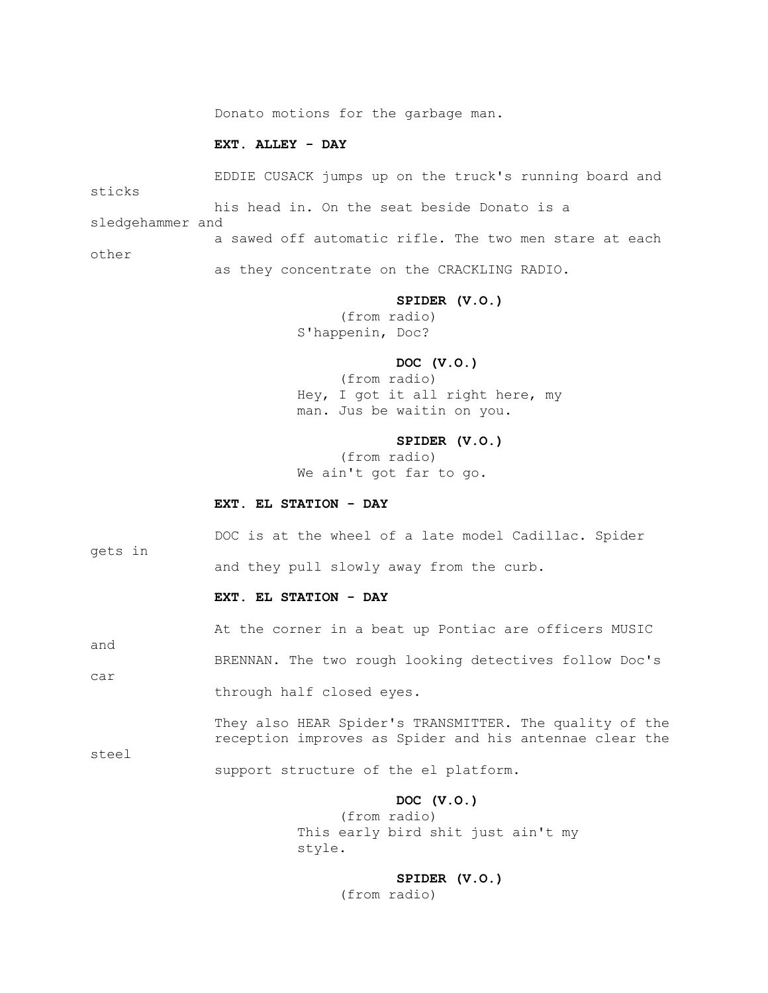Donato motions for the garbage man.

## **EXT. ALLEY - DAY**

 EDDIE CUSACK jumps up on the truck's running board and sticks his head in. On the seat beside Donato is a sledgehammer and a sawed off automatic rifle. The two men stare at each other as they concentrate on the CRACKLING RADIO.

#### **SPIDER (V.O.)**

 (from radio) S'happenin, Doc?

#### **DOC (V.O.)**

 (from radio) Hey, I got it all right here, my man. Jus be waitin on you.

#### **SPIDER (V.O.)**

 (from radio) We ain't got far to go.

## **EXT. EL STATION - DAY**

 DOC is at the wheel of a late model Cadillac. Spider gets in and they pull slowly away from the curb.

## **EXT. EL STATION - DAY**

and

steel

At the corner in a beat up Pontiac are officers MUSIC

 BRENNAN. The two rough looking detectives follow Doc's car through half closed eyes.

> They also HEAR Spider's TRANSMITTER. The quality of the reception improves as Spider and his antennae clear the

support structure of the el platform.

#### **DOC (V.O.)**

 (from radio) This early bird shit just ain't my style.

## **SPIDER (V.O.)**

(from radio)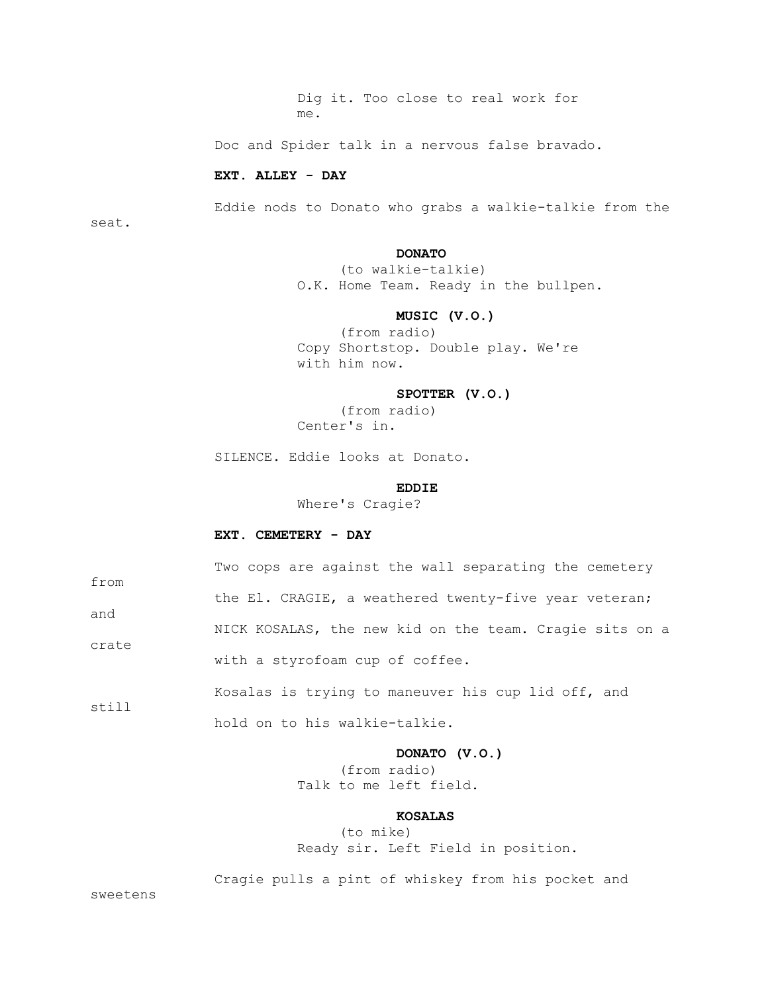Dig it. Too close to real work for me.

Doc and Spider talk in a nervous false bravado.

#### **EXT. ALLEY - DAY**

 Eddie nods to Donato who grabs a walkie-talkie from the seat.

## **DONATO**

 (to walkie-talkie) O.K. Home Team. Ready in the bullpen.

## **MUSIC (V.O.)**

 (from radio) Copy Shortstop. Double play. We're with him now.

## **SPOTTER (V.O.)**

 (from radio) Center's in.

SILENCE. Eddie looks at Donato.

## **EDDIE**

Where's Cragie?

#### **EXT. CEMETERY - DAY**

| from  | Two cops are against the wall separating the cemetery   |
|-------|---------------------------------------------------------|
|       | the El. CRAGIE, a weathered twenty-five year veteran;   |
| and   | NICK KOSALAS, the new kid on the team. Cragie sits on a |
| crate | with a styrofoam cup of coffee.                         |
| still | Kosalas is trying to maneuver his cup lid off, and      |

hold on to his walkie-talkie.

## **DONATO (V.O.)**

 (from radio) Talk to me left field.

## **KOSALAS**

 (to mike) Ready sir. Left Field in position.

Cragie pulls a pint of whiskey from his pocket and

sweetens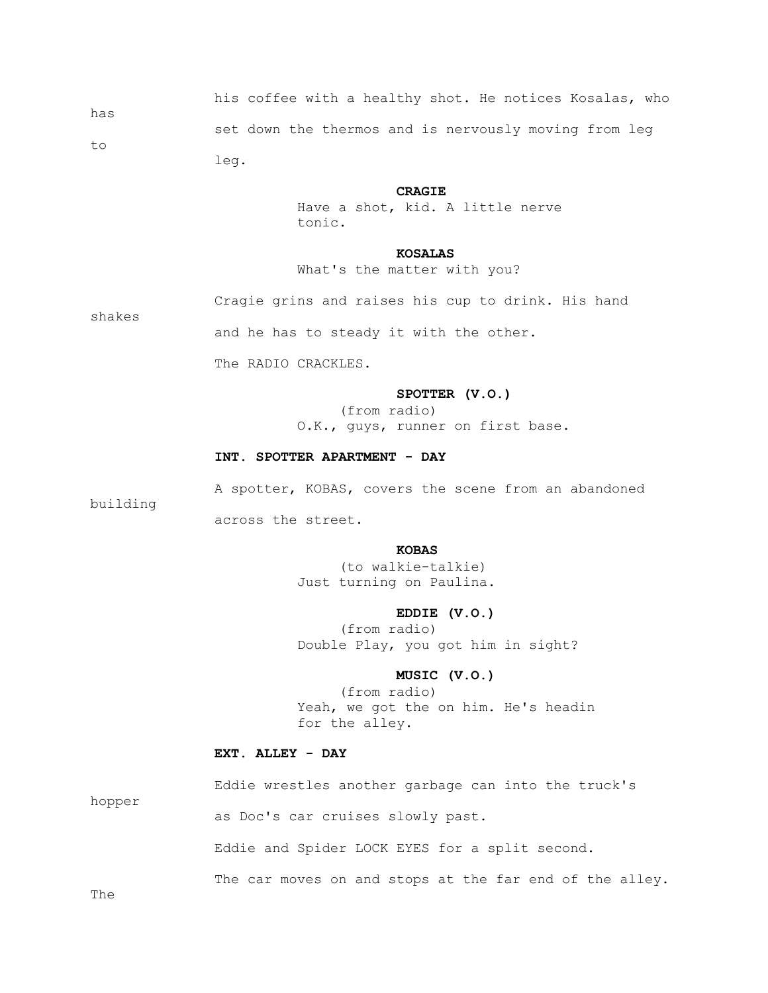his coffee with a healthy shot. He notices Kosalas, who has set down the thermos and is nervously moving from leg to leg.

#### **CRAGIE**

 Have a shot, kid. A little nerve tonic.

#### **KOSALAS**

What's the matter with you?

 Cragie grins and raises his cup to drink. His hand shakes

and he has to steady it with the other.

The RADIO CRACKLES.

## **SPOTTER (V.O.)**

 (from radio) O.K., guys, runner on first base.

#### **INT. SPOTTER APARTMENT - DAY**

A spotter, KOBAS, covers the scene from an abandoned

across the street.

## *KOBAS*

 (to walkie-talkie) Just turning on Paulina.

#### **EDDIE (V.O.)**

 (from radio) Double Play, you got him in sight?

## **MUSIC (V.O.)**

 (from radio) Yeah, we got the on him. He's headin for the alley.

## **EXT. ALLEY - DAY**

 Eddie wrestles another garbage can into the truck's hopper as Doc's car cruises slowly past.

Eddie and Spider LOCK EYES for a split second.

The car moves on and stops at the far end of the alley.

The

building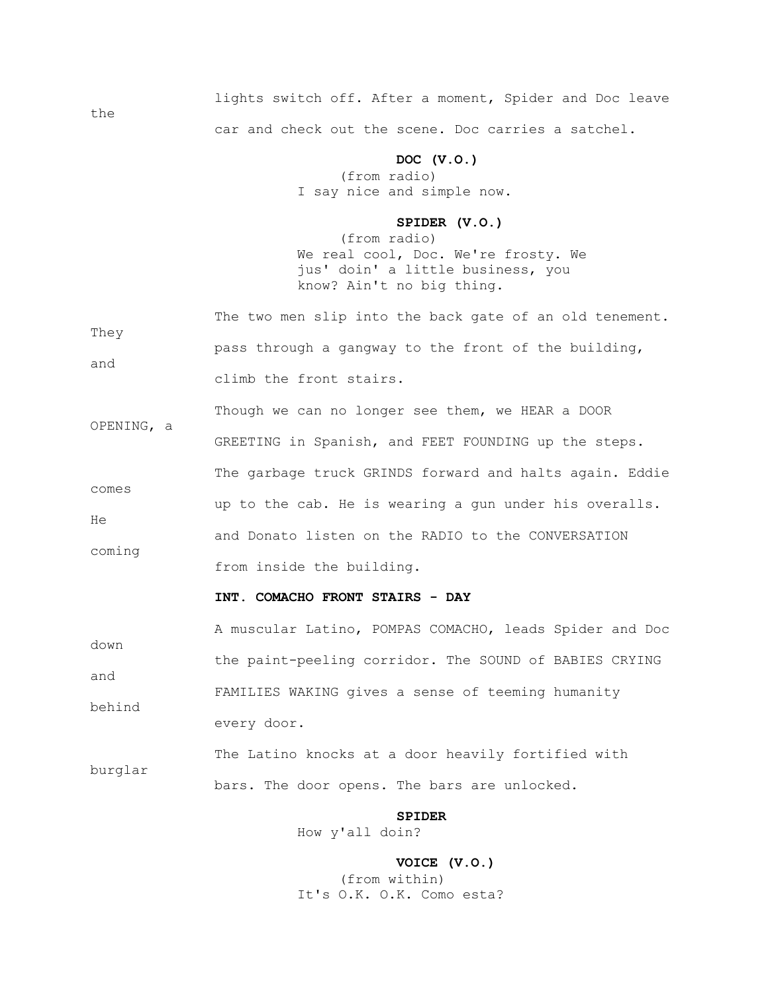lights switch off. After a moment, Spider and Doc leave car and check out the scene. Doc carries a satchel.

## **DOC (V.O.)**

 (from radio) I say nice and simple now.

the

## **SPIDER (V.O.)**

 (from radio) We real cool, Doc. We're frosty. We jus' doin' a little business, you know? Ain't no big thing.

| Thev<br>and | The two men slip into the back gate of an old tenement. |
|-------------|---------------------------------------------------------|
|             | pass through a gangway to the front of the building,    |
|             | climb the front stairs.                                 |

| OPENING, a  | Though we can no longer see them, we HEAR a DOOR        |
|-------------|---------------------------------------------------------|
|             | GREETING in Spanish, and FEET FOUNDING up the steps.    |
|             | The garbage truck GRINDS forward and halts again. Eddie |
| comes<br>He | up to the cab. He is wearing a gun under his overalls.  |
| coming      | and Donato listen on the RADIO to the CONVERSATION      |
|             | from inside the building.                               |

#### **INT. COMACHO FRONT STAIRS - DAY**

 A muscular Latino, POMPAS COMACHO, leads Spider and Doc down the paint-peeling corridor. The SOUND of BABIES CRYING and FAMILIES WAKING gives a sense of teeming humanity behind every door.

 The Latino knocks at a door heavily fortified with burglar bars. The door opens. The bars are unlocked.

#### **SPIDER**

How y'all doin?

 **VOICE (V.O.)** (from within) It's O.K. O.K. Como esta?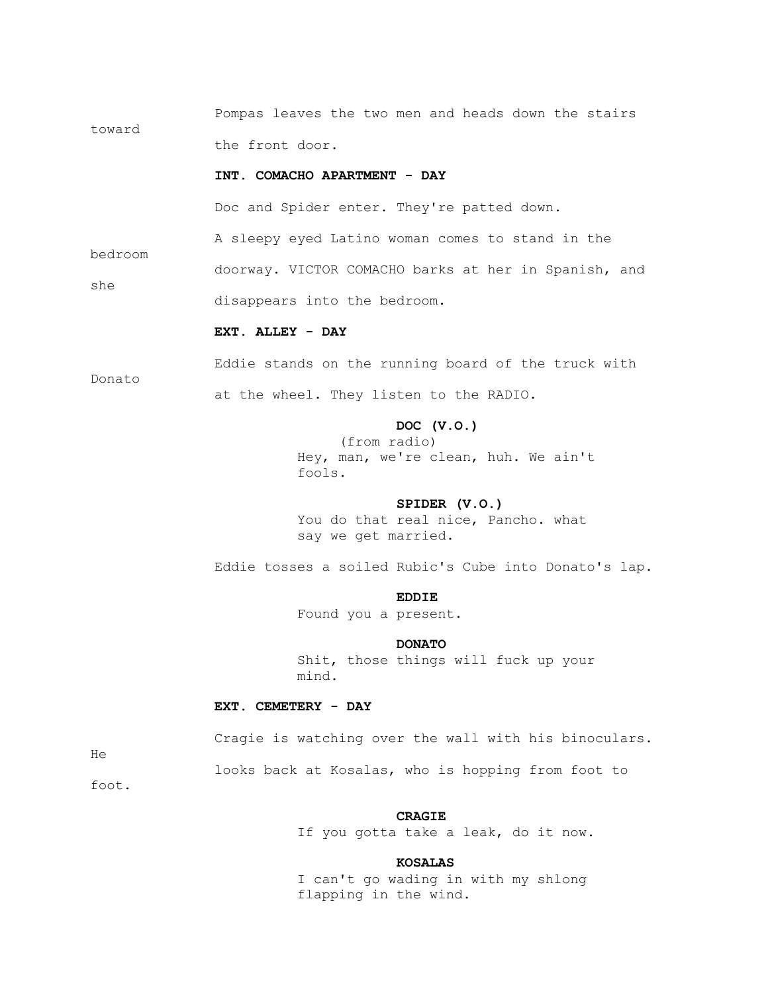Pompas leaves the two men and heads down the stairs toward the front door.

#### **INT. COMACHO APARTMENT - DAY**

Doc and Spider enter. They're patted down.

A sleepy eyed Latino woman comes to stand in the

 doorway. VICTOR COMACHO barks at her in Spanish, and she disappears into the bedroom.

## **EXT. ALLEY - DAY**

Donato

bedroom

 Eddie stands on the running board of the truck with at the wheel. They listen to the RADIO.

## **DOC (V.O.)**

 (from radio) Hey, man, we're clean, huh. We ain't fools.

## **SPIDER (V.O.)**

 You do that real nice, Pancho. what say we get married.

Eddie tosses a soiled Rubic's Cube into Donato's lap.

## **EDDIE**

Found you a present.

#### **DONATO**

 Shit, those things will fuck up your mind.

#### **EXT. CEMETERY - DAY**

Cragie is watching over the wall with his binoculars.

He

looks back at Kosalas, who is hopping from foot to

foot.

#### **CRAGIE**

If you gotta take a leak, do it now.

#### **KOSALAS**

 I can't go wading in with my shlong flapping in the wind.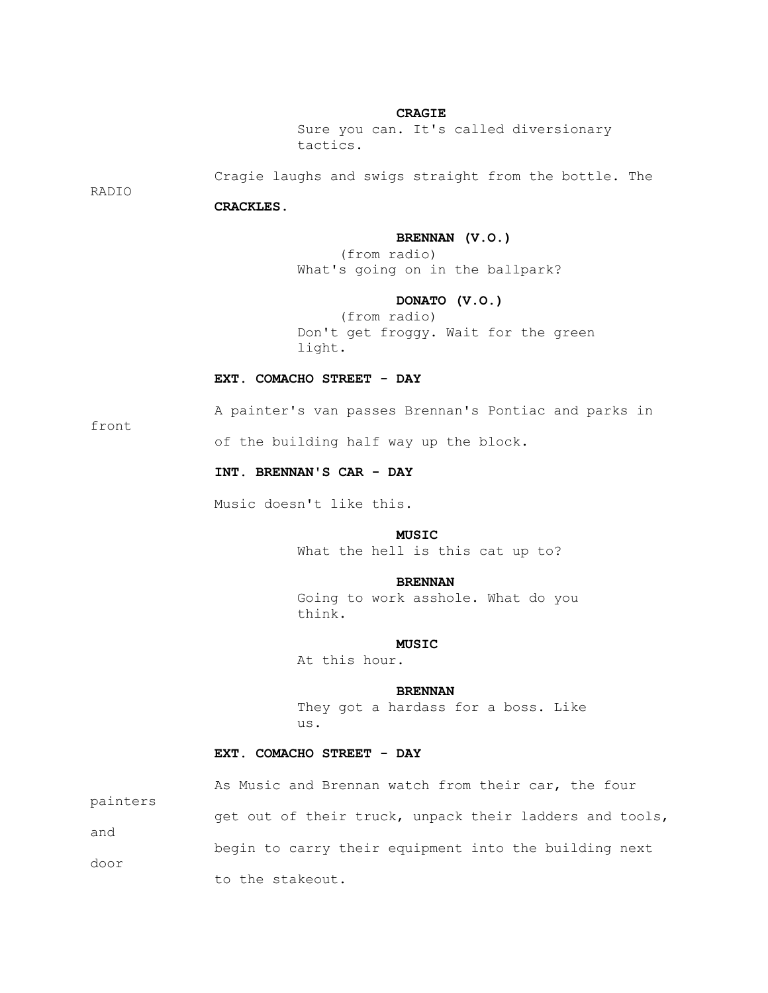#### **CRAGIE**

 Sure you can. It's called diversionary tactics.

Cragie laughs and swigs straight from the bottle. The

RADIO

## **CRACKLES.**

#### **BRENNAN (V.O.)**

 (from radio) What's going on in the ballpark?

## **DONATO (V.O.)**

 (from radio) Don't get froggy. Wait for the green light.

#### **EXT. COMACHO STREET - DAY**

front

A painter's van passes Brennan's Pontiac and parks in

of the building half way up the block.

## **INT. BRENNAN'S CAR - DAY**

Music doesn't like this.

## *MUSIC*

What the hell is this cat up to?

#### **BRENNAN**

 Going to work asshole. What do you think.

## *MUSIC*

At this hour.

## **BRENNAN**

 They got a hardass for a boss. Like us.

## **EXT. COMACHO STREET - DAY**

|          | As Music and Brennan watch from their car, the four     |
|----------|---------------------------------------------------------|
| painters | get out of their truck, unpack their ladders and tools, |
| and      | begin to carry their equipment into the building next   |
| door     | to the stakeout.                                        |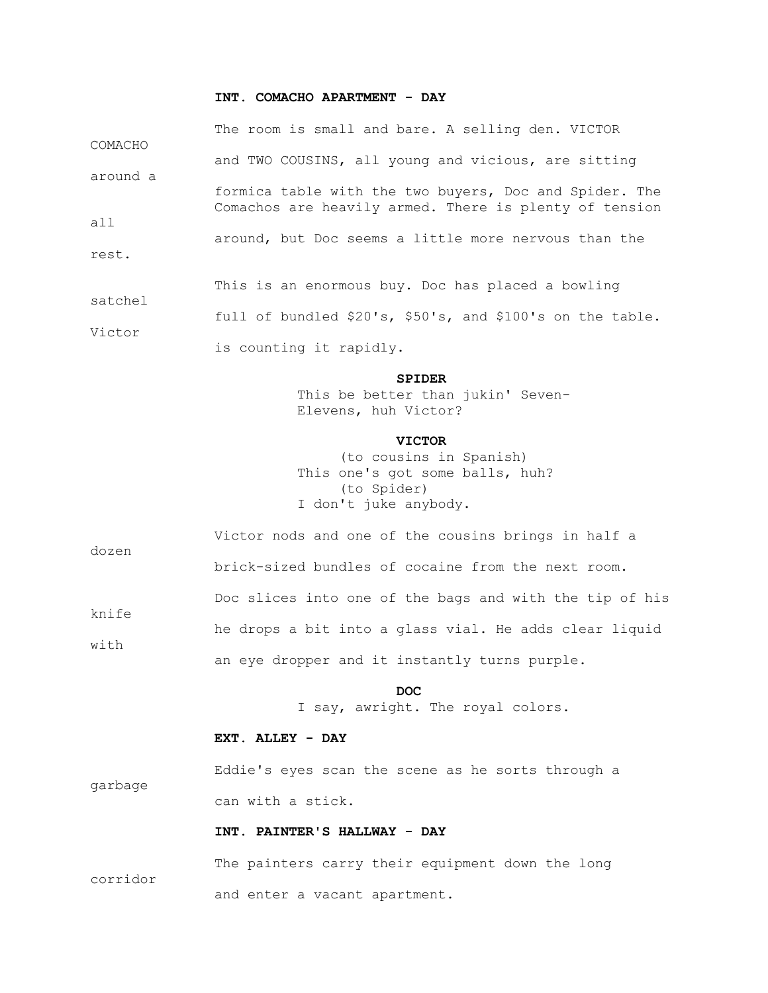## **INT. COMACHO APARTMENT - DAY**

|          | The room is small and bare. A selling den. VICTOR                                                                |
|----------|------------------------------------------------------------------------------------------------------------------|
| COMACHO  | and TWO COUSINS, all young and vicious, are sitting                                                              |
| around a |                                                                                                                  |
|          | formica table with the two buyers, Doc and Spider. The<br>Comachos are heavily armed. There is plenty of tension |
| all      |                                                                                                                  |
|          | around, but Doc seems a little more nervous than the                                                             |
| rest.    |                                                                                                                  |
| satchel  | This is an enormous buy. Doc has placed a bowling                                                                |
|          | full of bundled \$20's, \$50's, and \$100's on the table.                                                        |
| Victor   |                                                                                                                  |

is counting it rapidly.

#### **SPIDER**

 This be better than jukin' Seven-Elevens, huh Victor?

#### **VICTOR**

 (to cousins in Spanish) This one's got some balls, huh? (to Spider) I don't juke anybody.

| dozen | Victor nods and one of the cousins brings in half a     |
|-------|---------------------------------------------------------|
|       | brick-sized bundles of cocaine from the next room.      |
| knife | Doc slices into one of the bags and with the tip of his |
| with  | he drops a bit into a glass vial. He adds clear liquid  |
|       | an eye dropper and it instantly turns purple.           |

## **DOC**

I say, awright. The royal colors.

## **EXT. ALLEY - DAY**

 Eddie's eyes scan the scene as he sorts through a garbage can with a stick.

#### **INT. PAINTER'S HALLWAY - DAY**

 The painters carry their equipment down the long corridor and enter a vacant apartment.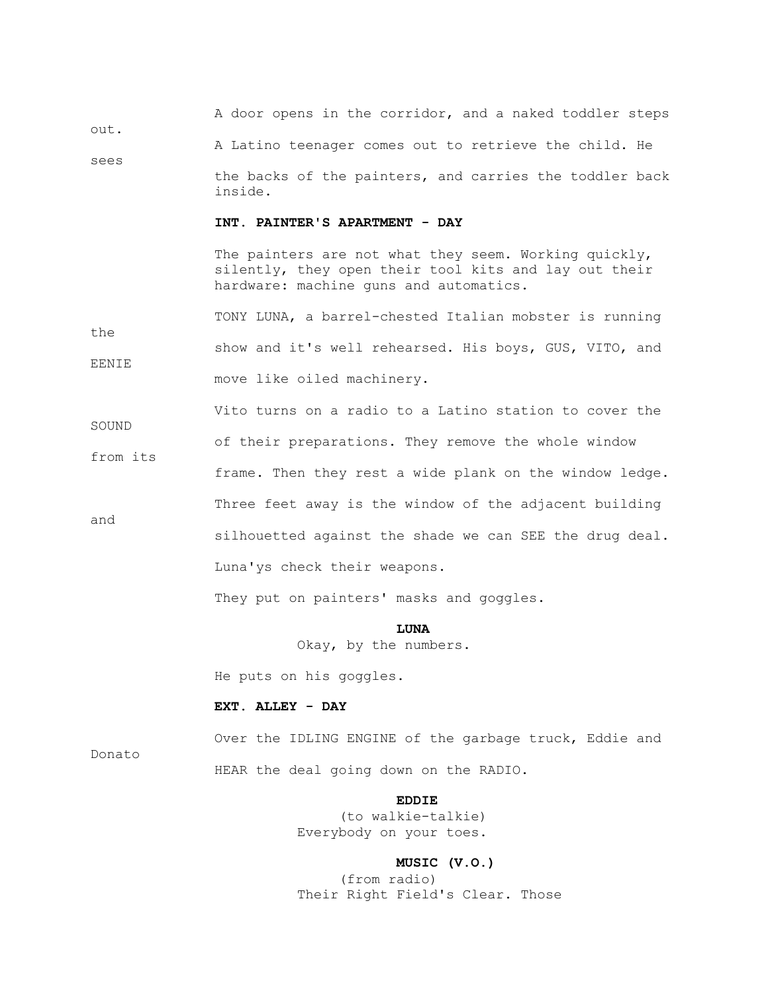A door opens in the corridor, and a naked toddler steps out. A Latino teenager comes out to retrieve the child. He sees

> the backs of the painters, and carries the toddler back inside.

#### **INT. PAINTER'S APARTMENT - DAY**

The painters are not what they seem. Working quickly, silently, they open their tool kits and lay out their hardware: machine guns and automatics.

 TONY LUNA, a barrel-chested Italian mobster is running the show and it's well rehearsed. His boys, GUS, VITO, and EENIE move like oiled machinery.

 Vito turns on a radio to a Latino station to cover the SOUND of their preparations. They remove the whole window from its frame. Then they rest a wide plank on the window ledge. Three feet away is the window of the adjacent building and silhouetted against the shade we can SEE the drug deal. Luna'ys check their weapons.

They put on painters' masks and goggles.

## **LUNA**

Okay, by the numbers.

He puts on his goggles.

#### **EXT. ALLEY - DAY**

Donato

 Over the IDLING ENGINE of the garbage truck, Eddie and HEAR the deal going down on the RADIO.

## **EDDIE**

 (to walkie-talkie) Everybody on your toes.

#### **MUSIC (V.O.)**

 (from radio) Their Right Field's Clear. Those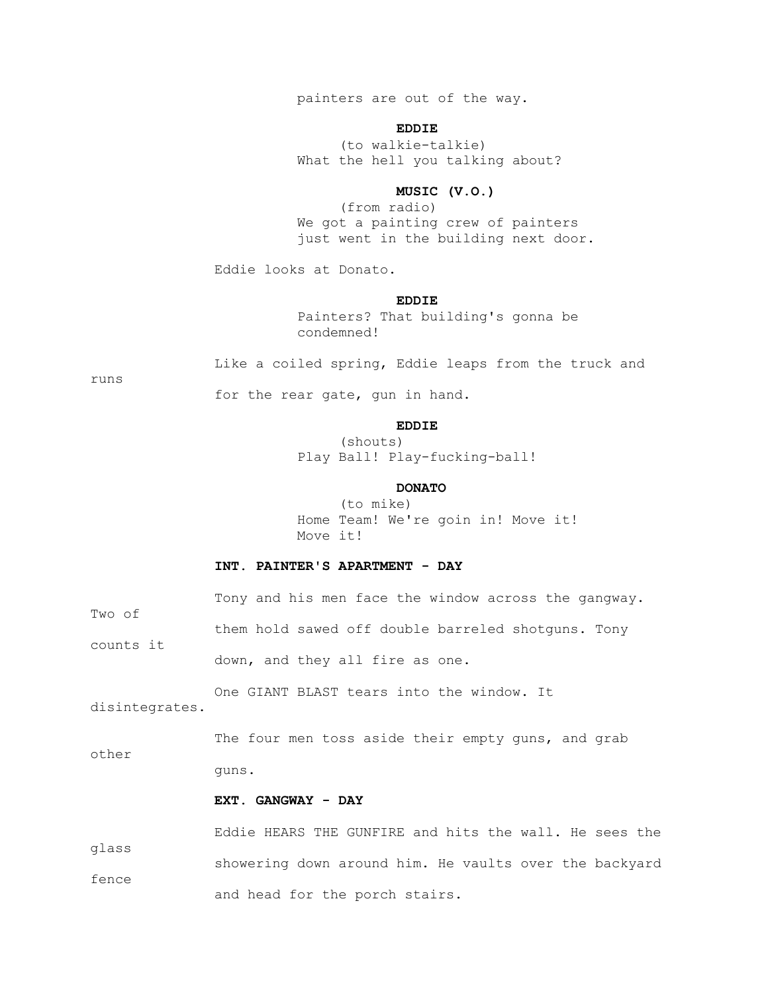painters are out of the way.

## **EDDIE**

 (to walkie-talkie) What the hell you talking about?

## **MUSIC (V.O.)**

 (from radio) We got a painting crew of painters just went in the building next door.

Eddie looks at Donato.

## **EDDIE**

 Painters? That building's gonna be condemned!

Like a coiled spring, Eddie leaps from the truck and

runs

for the rear gate, gun in hand.

## **EDDIE**

 (shouts) Play Ball! Play-fucking-ball!

## **DONATO**

 (to mike) Home Team! We're goin in! Move it! Move it!

## **INT. PAINTER'S APARTMENT - DAY**

 Tony and his men face the window across the gangway. Two of them hold sawed off double barreled shotguns. Tony counts it down, and they all fire as one.

 One GIANT BLAST tears into the window. It disintegrates.

The four men toss aside their empty guns, and grab other guns.

#### **EXT. GANGWAY - DAY**

 Eddie HEARS THE GUNFIRE and hits the wall. He sees the glass showering down around him. He vaults over the backyard fence and head for the porch stairs.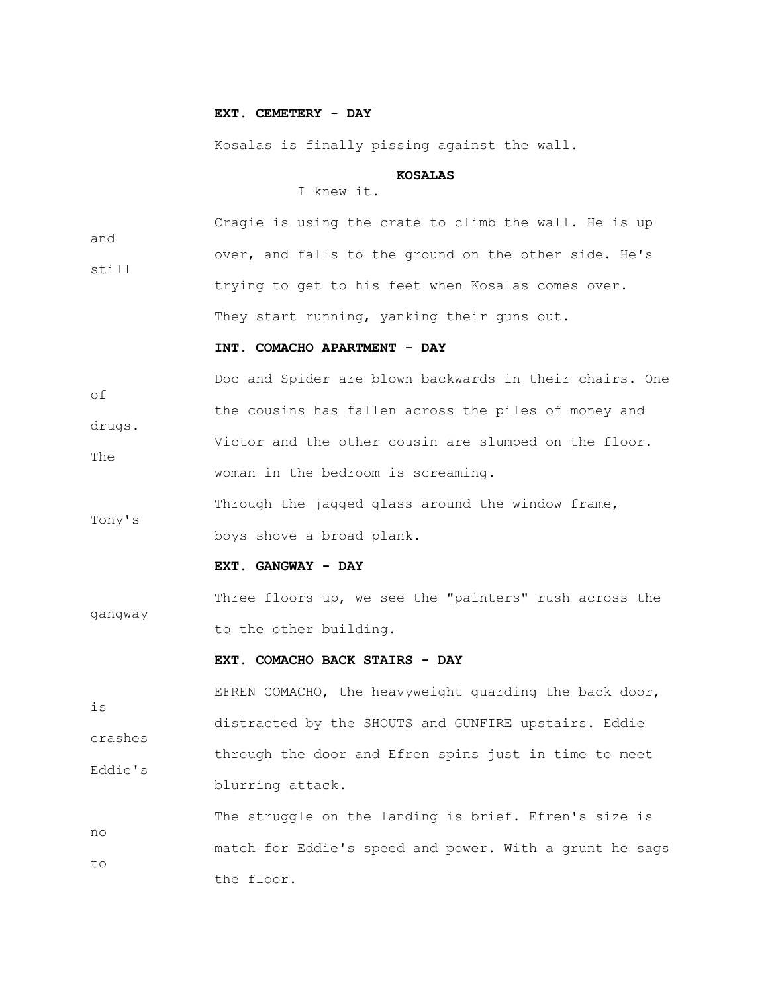#### **EXT. CEMETERY - DAY**

Kosalas is finally pissing against the wall.

#### **KOSALAS**

## I knew it.

 Cragie is using the crate to climb the wall. He is up and over, and falls to the ground on the other side. He's still trying to get to his feet when Kosalas comes over. They start running, yanking their guns out.

#### **INT. COMACHO APARTMENT - DAY**

 Doc and Spider are blown backwards in their chairs. One of the cousins has fallen across the piles of money and drugs. Victor and the other cousin are slumped on the floor. The woman in the bedroom is screaming.

 Through the jagged glass around the window frame, Tony's boys shove a broad plank.

#### **EXT. GANGWAY - DAY**

 Three floors up, we see the "painters" rush across the gangway to the other building.

## **EXT. COMACHO BACK STAIRS - DAY**

 EFREN COMACHO, the heavyweight guarding the back door, is distracted by the SHOUTS and GUNFIRE upstairs. Eddie crashes through the door and Efren spins just in time to meet Eddie's blurring attack.

 The struggle on the landing is brief. Efren's size is no match for Eddie's speed and power. With a grunt he sags to the floor.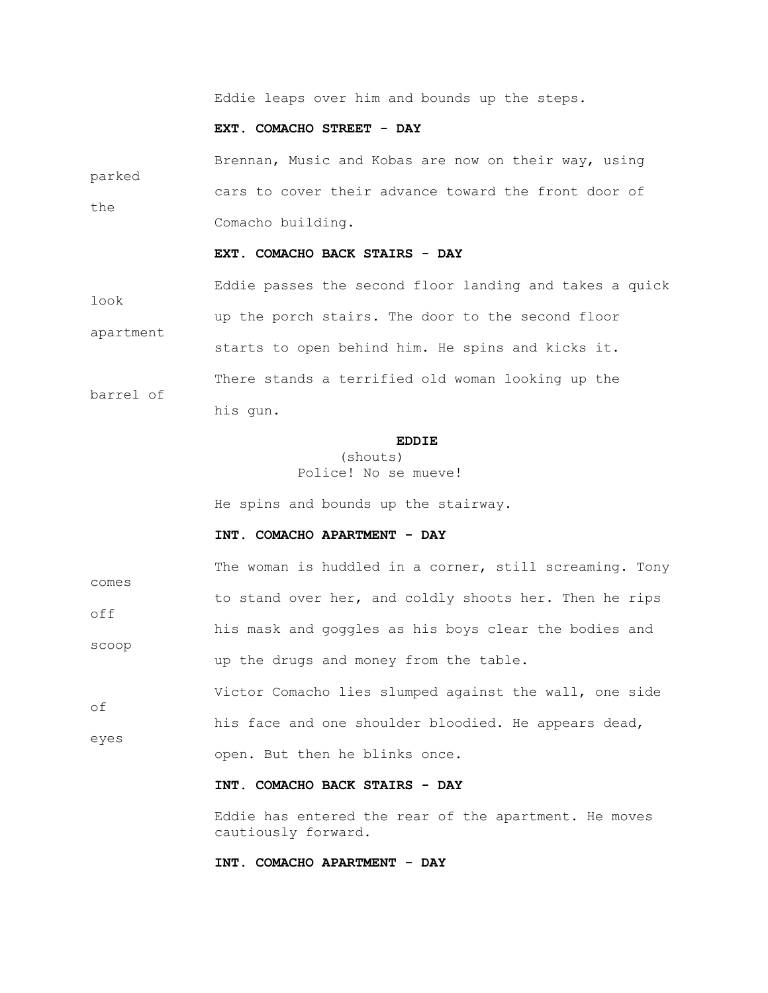Eddie leaps over him and bounds up the steps.

#### **EXT. COMACHO STREET - DAY**

 Brennan, Music and Kobas are now on their way, using parked cars to cover their advance toward the front door of the Comacho building.

## **EXT. COMACHO BACK STAIRS - DAY**

 Eddie passes the second floor landing and takes a quick look up the porch stairs. The door to the second floor apartment starts to open behind him. He spins and kicks it. There stands a terrified old woman looking up the barrel of his gun.

## **EDDIE**

## (shouts) Police! No se mueve!

He spins and bounds up the stairway.

#### **INT. COMACHO APARTMENT - DAY**

The woman is huddled in a corner, still screaming. Tony comes to stand over her, and coldly shoots her. Then he rips off his mask and goggles as his boys clear the bodies and scoop up the drugs and money from the table.

 Victor Comacho lies slumped against the wall, one side of his face and one shoulder bloodied. He appears dead, eyes open. But then he blinks once.

## **INT. COMACHO BACK STAIRS - DAY**

 Eddie has entered the rear of the apartment. He moves cautiously forward.

## **INT. COMACHO APARTMENT - DAY**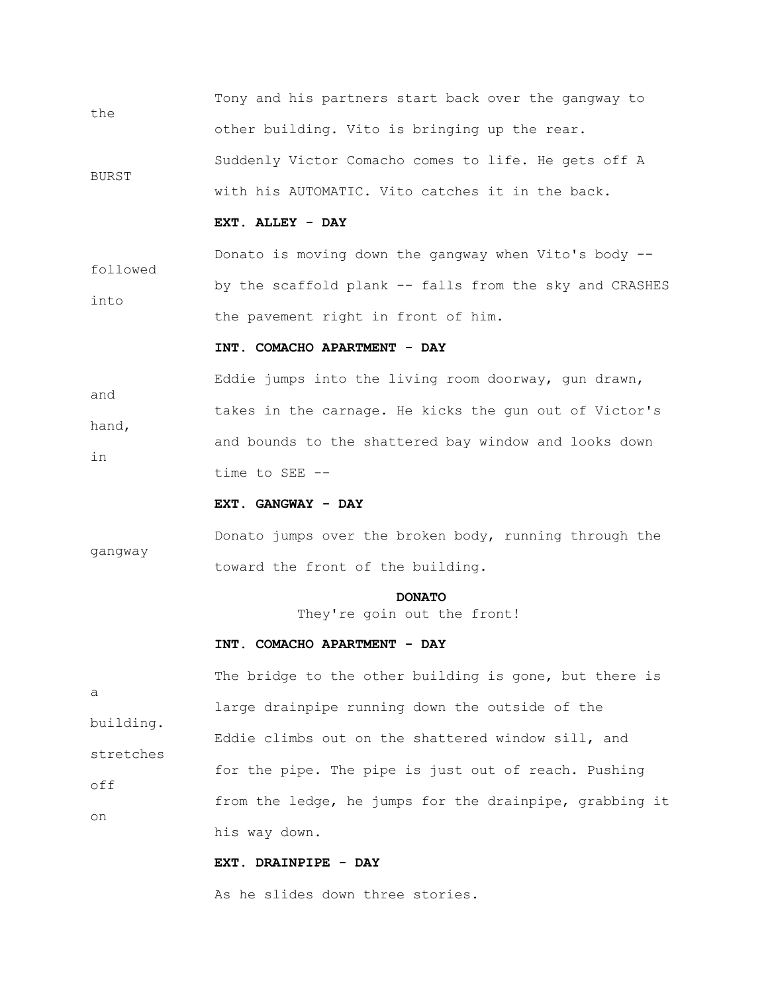Tony and his partners start back over the gangway to the other building. Vito is bringing up the rear. Suddenly Victor Comacho comes to life. He gets off A BURST with his AUTOMATIC. Vito catches it in the back.

#### **EXT. ALLEY - DAY**

 Donato is moving down the gangway when Vito's body - followed by the scaffold plank -- falls from the sky and CRASHES into the pavement right in front of him.

#### **INT. COMACHO APARTMENT - DAY**

 Eddie jumps into the living room doorway, gun drawn, and takes in the carnage. He kicks the gun out of Victor's hand, and bounds to the shattered bay window and looks down in time to SEE --

## **EXT. GANGWAY - DAY**

 Donato jumps over the broken body, running through the gangway toward the front of the building.

#### **DONATO**

They're goin out the front!

#### **INT. COMACHO APARTMENT - DAY**

The bridge to the other building is gone, but there is a large drainpipe running down the outside of the building. Eddie climbs out on the shattered window sill, and stretches for the pipe. The pipe is just out of reach. Pushing off from the ledge, he jumps for the drainpipe, grabbing it on his way down.

## **EXT. DRAINPIPE - DAY**

As he slides down three stories.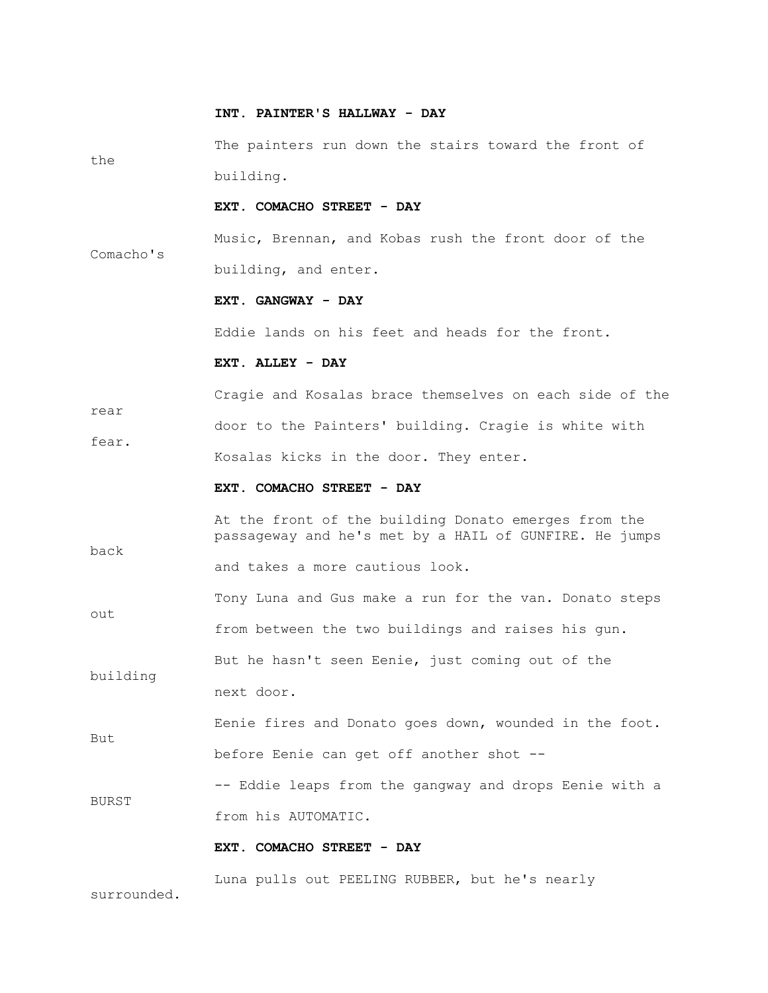#### **INT. PAINTER'S HALLWAY - DAY**

 The painters run down the stairs toward the front of the building.

## **EXT. COMACHO STREET - DAY**

 Music, Brennan, and Kobas rush the front door of the Comacho's building, and enter.

#### **EXT. GANGWAY - DAY**

Eddie lands on his feet and heads for the front.

#### **EXT. ALLEY - DAY**

 Cragie and Kosalas brace themselves on each side of the rear door to the Painters' building. Cragie is white with fear. Kosalas kicks in the door. They enter.

#### **EXT. COMACHO STREET - DAY**

 At the front of the building Donato emerges from the passageway and he's met by a HAIL of GUNFIRE. He jumps back

and takes a more cautious look.

 Tony Luna and Gus make a run for the van. Donato steps out

from between the two buildings and raises his gun.

 But he hasn't seen Eenie, just coming out of the building next door.

 Eenie fires and Donato goes down, wounded in the foot. But before Eenie can get off another shot --

 -- Eddie leaps from the gangway and drops Eenie with a BURST from his AUTOMATIC.

#### **EXT. COMACHO STREET - DAY**

Luna pulls out PEELING RUBBER, but he's nearly

surrounded.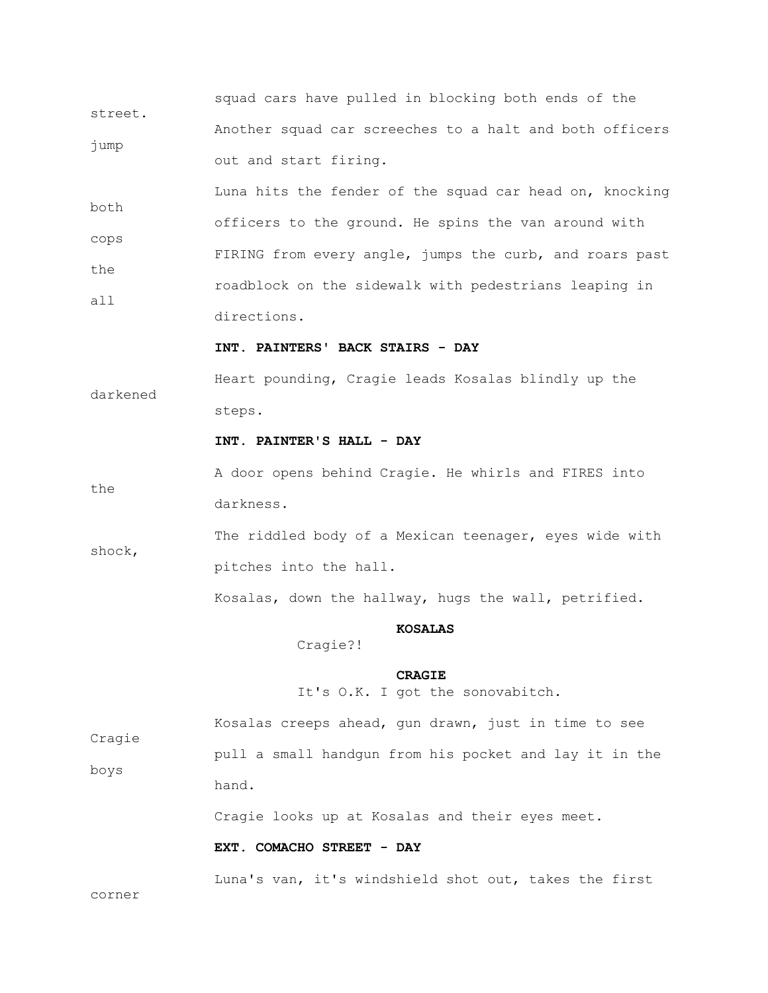squad cars have pulled in blocking both ends of the street. Another squad car screeches to a halt and both officers jump out and start firing.

 Luna hits the fender of the squad car head on, knocking both officers to the ground. He spins the van around with cops FIRING from every angle, jumps the curb, and roars past the roadblock on the sidewalk with pedestrians leaping in all directions.

 **INT. PAINTERS' BACK STAIRS - DAY**

 Heart pounding, Cragie leads Kosalas blindly up the darkened steps.

## **INT. PAINTER'S HALL - DAY**

 A door opens behind Cragie. He whirls and FIRES into the darkness.

 The riddled body of a Mexican teenager, eyes wide with shock, pitches into the hall.

Kosalas, down the hallway, hugs the wall, petrified.

#### **KOSALAS**

Cragie?!

## **CRAGIE**

It's O.K. I got the sonovabitch.

 Kosalas creeps ahead, gun drawn, just in time to see Cragie pull a small handgun from his pocket and lay it in the boys hand.

Cragie looks up at Kosalas and their eyes meet.

#### **EXT. COMACHO STREET - DAY**

Luna's van, it's windshield shot out, takes the first

corner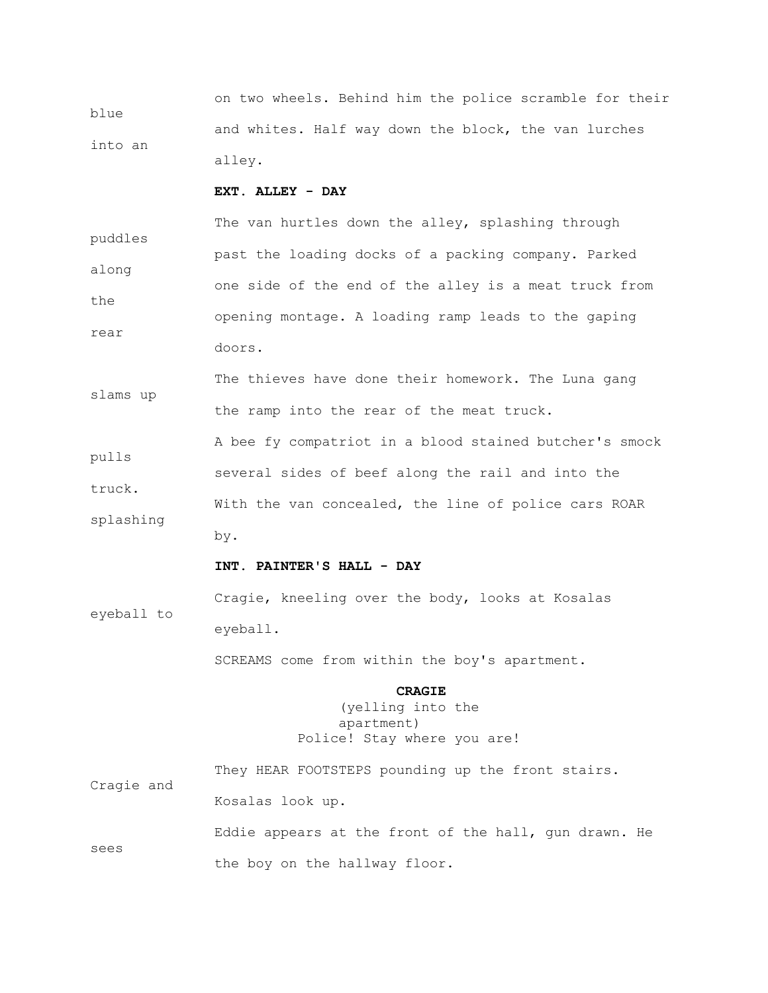on two wheels. Behind him the police scramble for their blue and whites. Half way down the block, the van lurches into an alley.

## **EXT. ALLEY - DAY**

The van hurtles down the alley, splashing through puddles past the loading docks of a packing company. Parked along one side of the end of the alley is a meat truck from the opening montage. A loading ramp leads to the gaping rear doors.

The thieves have done their homework. The Luna gang slams up the ramp into the rear of the meat truck.

 A bee fy compatriot in a blood stained butcher's smock pulls several sides of beef along the rail and into the truck. With the van concealed, the line of police cars ROAR splashing by.

#### **INT. PAINTER'S HALL - DAY**

 Cragie, kneeling over the body, looks at Kosalas eyeball to eyeball.

SCREAMS come from within the boy's apartment.

## **CRAGIE**

## (yelling into the apartment) Police! Stay where you are!

 They HEAR FOOTSTEPS pounding up the front stairs. Cragie and Kosalas look up.

 Eddie appears at the front of the hall, gun drawn. He sees the boy on the hallway floor.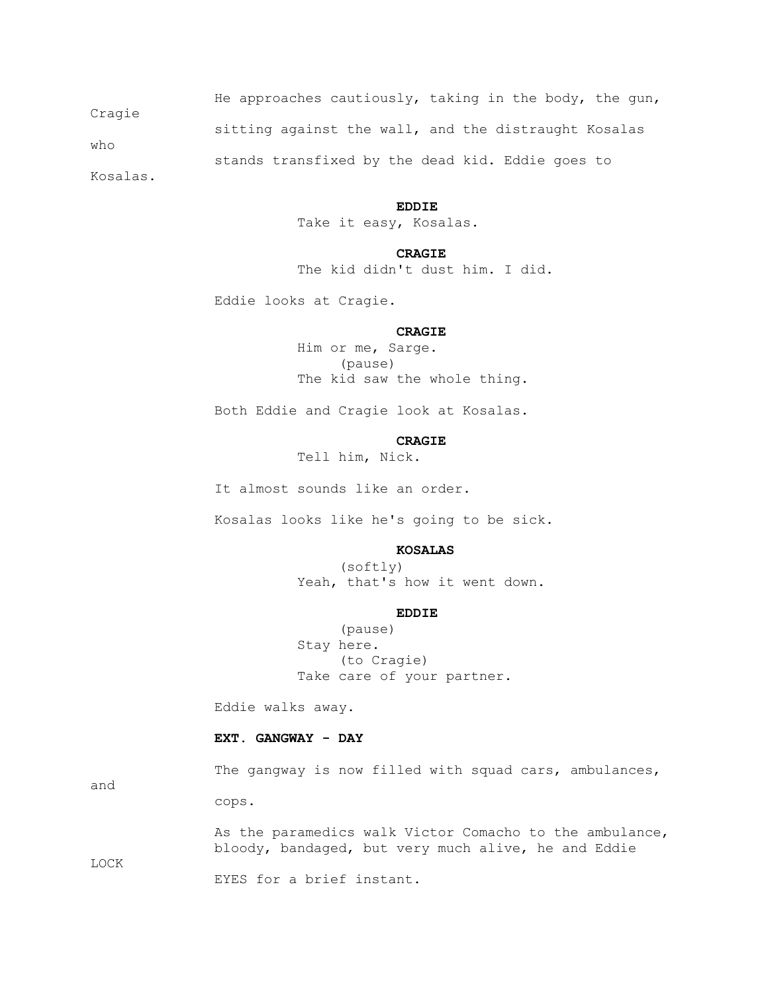He approaches cautiously, taking in the body, the gun, Cragie sitting against the wall, and the distraught Kosalas who stands transfixed by the dead kid. Eddie goes to

Kosalas.

#### **EDDIE**

Take it easy, Kosalas.

#### **CRAGIE**

The kid didn't dust him. I did.

Eddie looks at Cragie.

## **CRAGIE**

 Him or me, Sarge. (pause) The kid saw the whole thing.

Both Eddie and Cragie look at Kosalas.

## **CRAGIE**

Tell him, Nick.

It almost sounds like an order.

Kosalas looks like he's going to be sick.

#### **KOSALAS**

 (softly) Yeah, that's how it went down.

## **EDDIE**

 (pause) Stay here. (to Cragie) Take care of your partner.

Eddie walks away.

cops.

#### **EXT. GANGWAY - DAY**

The gangway is now filled with squad cars, ambulances,

and

 As the paramedics walk Victor Comacho to the ambulance, bloody, bandaged, but very much alive, he and Eddie

LOCK

EYES for a brief instant.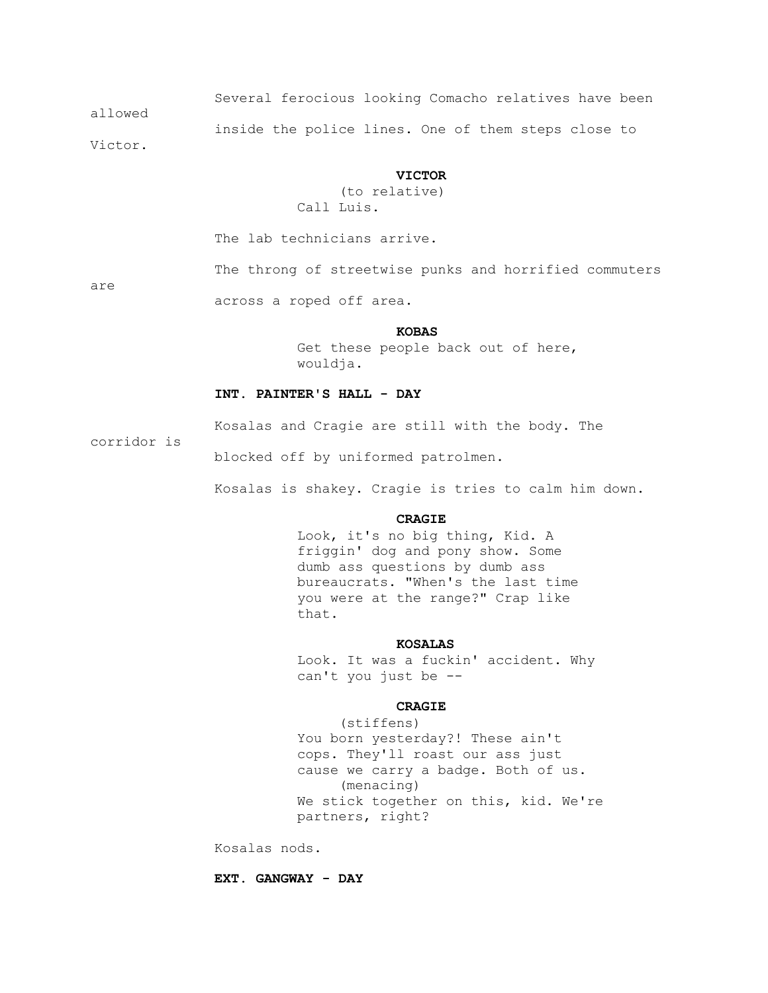Several ferocious looking Comacho relatives have been allowed inside the police lines. One of them steps close to

Victor.

#### **VICTOR**

 (to relative) Call Luis.

The lab technicians arrive.

are

The throng of streetwise punks and horrified commuters

across a roped off area.

#### **KOBAS**

 Get these people back out of here, wouldja.

## **INT. PAINTER'S HALL - DAY**

Kosalas and Cragie are still with the body. The

corridor is

blocked off by uniformed patrolmen.

Kosalas is shakey. Cragie is tries to calm him down.

#### **CRAGIE**

 Look, it's no big thing, Kid. A friggin' dog and pony show. Some dumb ass questions by dumb ass bureaucrats. "When's the last time you were at the range?" Crap like that.

#### **KOSALAS**

 Look. It was a fuckin' accident. Why can't you just be --

#### **CRAGIE**

 (stiffens) You born yesterday?! These ain't cops. They'll roast our ass just cause we carry a badge. Both of us. (menacing) We stick together on this, kid. We're partners, right?

Kosalas nods.

 **EXT. GANGWAY - DAY**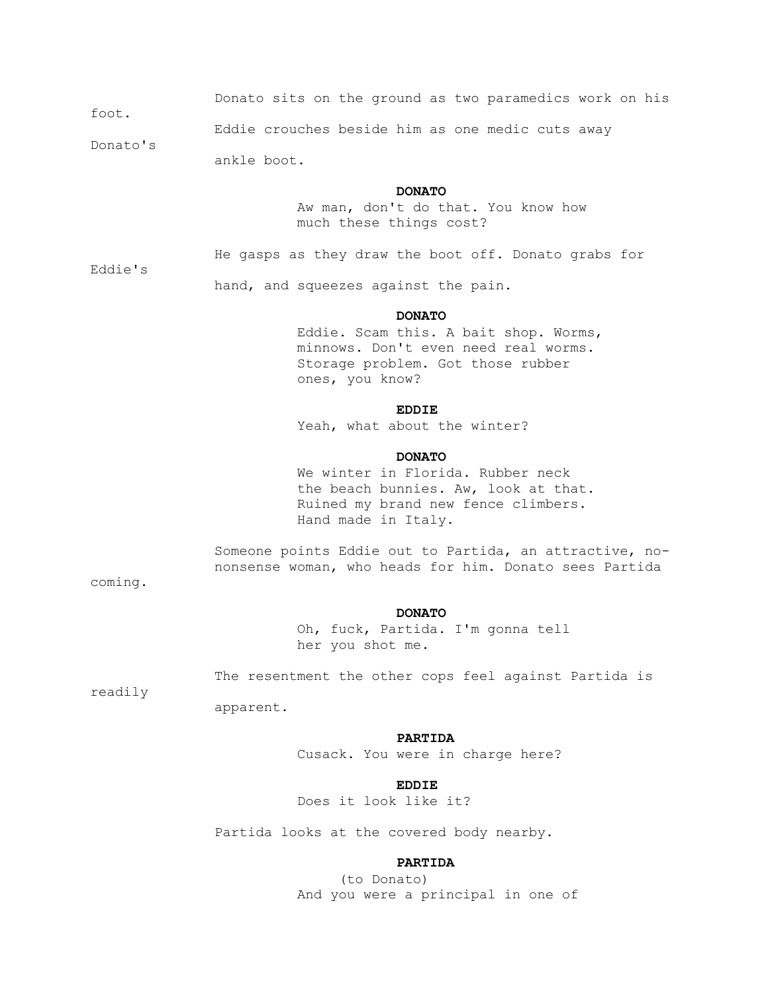Donato sits on the ground as two paramedics work on his foot.

 Eddie crouches beside him as one medic cuts away Donato's

ankle boot.

#### **DONATO**

He gasps as they draw the boot off. Donato grabs for

 Aw man, don't do that. You know how much these things cost?

Eddie's

hand, and squeezes against the pain.

#### **DONATO**

 Eddie. Scam this. A bait shop. Worms, minnows. Don't even need real worms. Storage problem. Got those rubber ones, you know?

## **EDDIE**

Yeah, what about the winter?

#### **DONATO**

 We winter in Florida. Rubber neck the beach bunnies. Aw, look at that. Ruined my brand new fence climbers. Hand made in Italy.

 Someone points Eddie out to Partida, an attractive, no nonsense woman, who heads for him. Donato sees Partida

coming.

#### **DONATO**

 Oh, fuck, Partida. I'm gonna tell her you shot me.

The resentment the other cops feel against Partida is

readily

apparent.

#### **PARTIDA**

Cusack. You were in charge here?

## **EDDIE**

Does it look like it?

Partida looks at the covered body nearby.

## **PARTIDA**

 (to Donato) And you were a principal in one of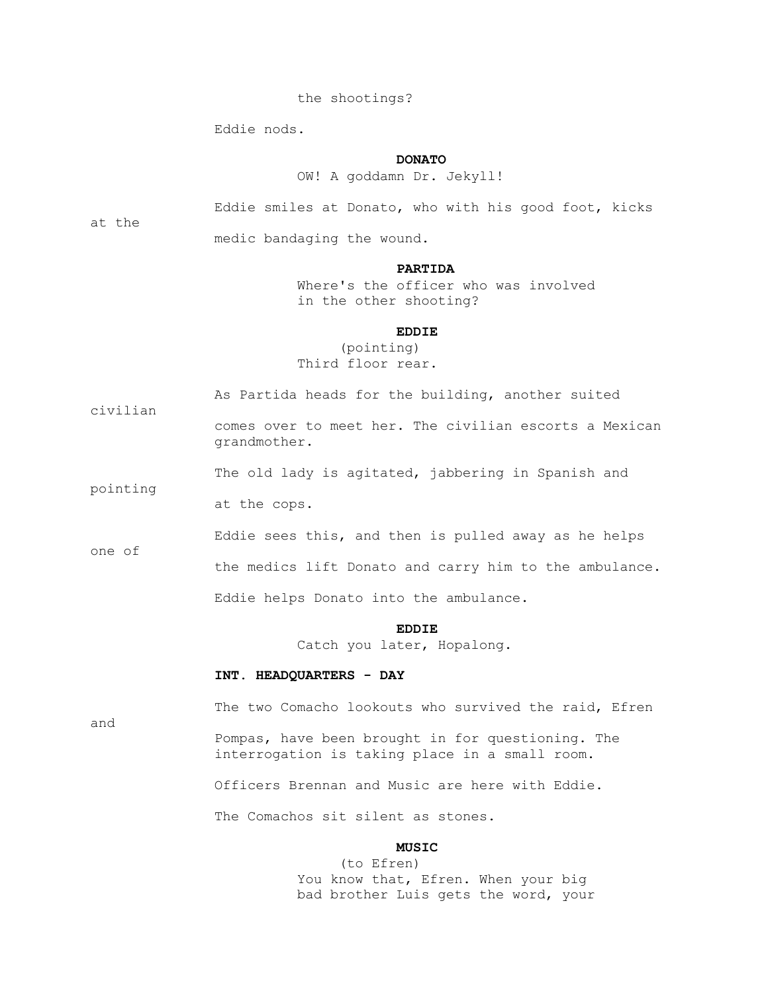## the shootings?

Eddie nods.

## **DONATO**

OW! A goddamn Dr. Jekyll!

at the

civilian

pointing

Eddie smiles at Donato, who with his good foot, kicks

medic bandaging the wound.

#### **PARTIDA**

 Where's the officer who was involved in the other shooting?

## **EDDIE**

 (pointing) Third floor rear.

As Partida heads for the building, another suited

 comes over to meet her. The civilian escorts a Mexican grandmother.

The old lady is agitated, jabbering in Spanish and

at the cops.

 Eddie sees this, and then is pulled away as he helps one of

the medics lift Donato and carry him to the ambulance.

Eddie helps Donato into the ambulance.

#### **EDDIE**

Catch you later, Hopalong.

#### **INT. HEADQUARTERS - DAY**

and

The two Comacho lookouts who survived the raid, Efren

 Pompas, have been brought in for questioning. The interrogation is taking place in a small room.

Officers Brennan and Music are here with Eddie.

The Comachos sit silent as stones.

## **MUSIC**

 (to Efren) You know that, Efren. When your big bad brother Luis gets the word, your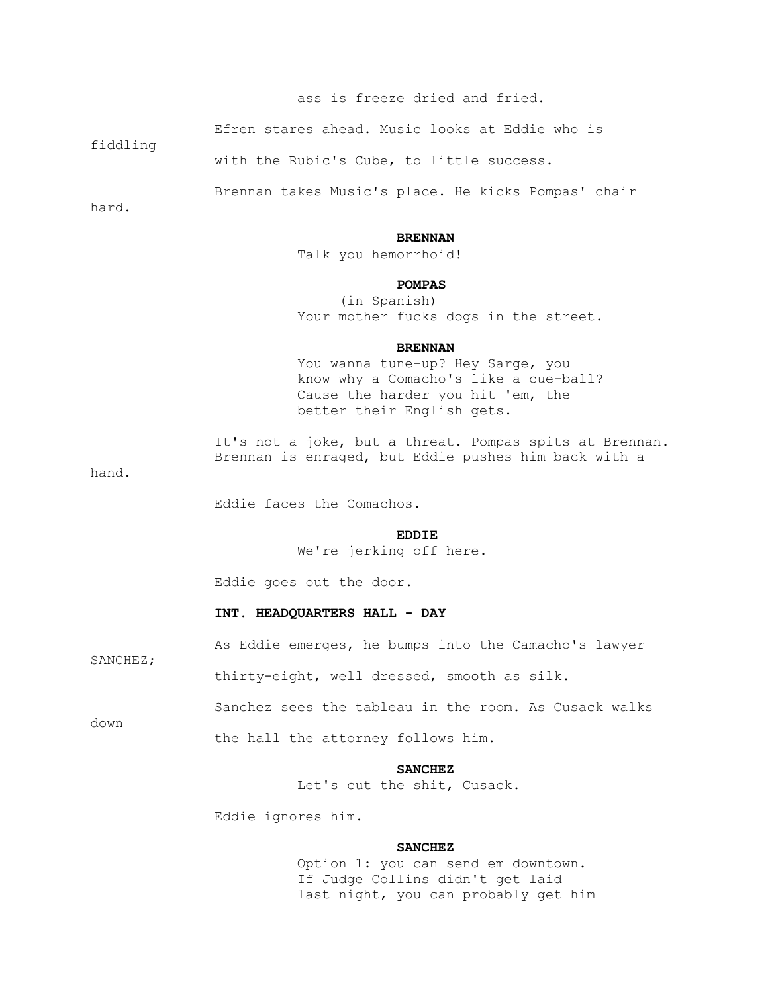## ass is freeze dried and fried.

Efren stares ahead. Music looks at Eddie who is

with the Rubic's Cube, to little success.

Brennan takes Music's place. He kicks Pompas' chair

hard.

fiddling

#### **BRENNAN**

Talk you hemorrhoid!

#### **POMPAS**

 (in Spanish) Your mother fucks dogs in the street.

#### **BRENNAN**

 You wanna tune-up? Hey Sarge, you know why a Comacho's like a cue-ball? Cause the harder you hit 'em, the better their English gets.

It's not a joke, but a threat. Pompas spits at Brennan. Brennan is enraged, but Eddie pushes him back with a

hand.

Eddie faces the Comachos.

## **EDDIE**

We're jerking off here.

Eddie goes out the door.

#### **INT. HEADQUARTERS HALL - DAY**

As Eddie emerges, he bumps into the Camacho's lawyer

thirty-eight, well dressed, smooth as silk.

Sanchez sees the tableau in the room. As Cusack walks

down

SANCHEZ;

the hall the attorney follows him.

## **SANCHEZ**

Let's cut the shit, Cusack.

Eddie ignores him.

#### **SANCHEZ**

 Option 1: you can send em downtown. If Judge Collins didn't get laid last night, you can probably get him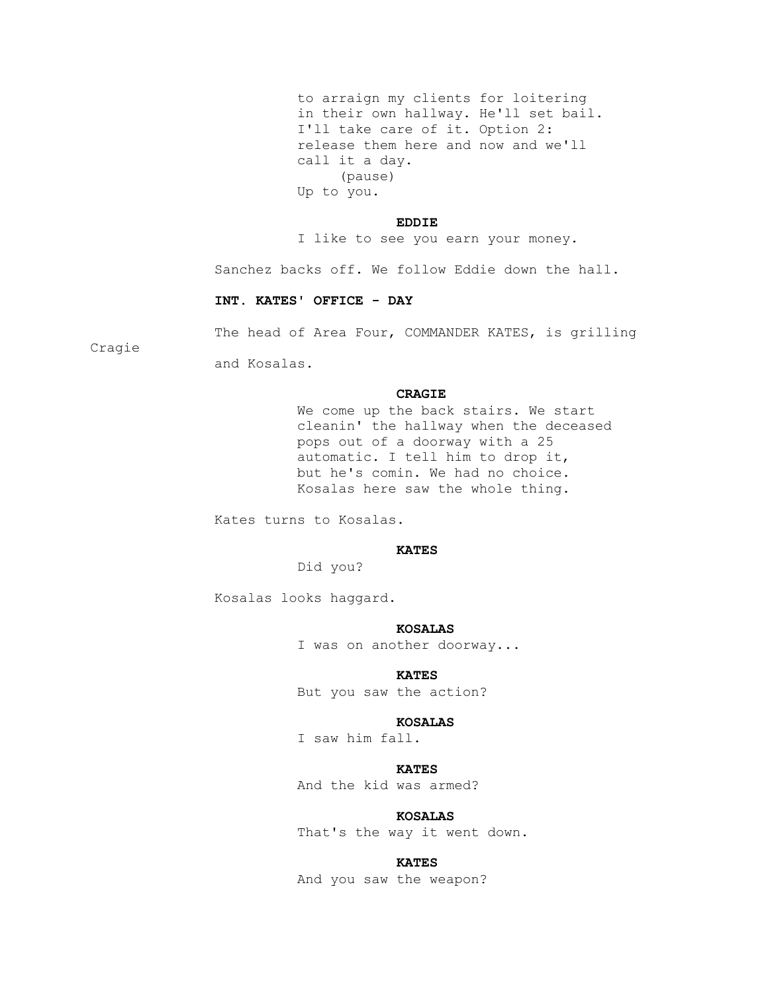to arraign my clients for loitering in their own hallway. He'll set bail. I'll take care of it. Option 2: release them here and now and we'll call it a day. (pause) Up to you.

#### **EDDIE**

I like to see you earn your money.

Sanchez backs off. We follow Eddie down the hall.

#### **INT. KATES' OFFICE - DAY**

Cragie

The head of Area Four, COMMANDER KATES, is grilling

and Kosalas.

#### **CRAGIE**

 We come up the back stairs. We start cleanin' the hallway when the deceased pops out of a doorway with a 25 automatic. I tell him to drop it, but he's comin. We had no choice. Kosalas here saw the whole thing.

Kates turns to Kosalas.

## **KATES**

Did you?

Kosalas looks haggard.

#### **KOSALAS**

I was on another doorway...

#### **KATES**

But you saw the action?

#### **KOSALAS**

I saw him fall.

## *KATES*

And the kid was armed?

## **KOSALAS**

That's the way it went down.

#### **KATES**

And you saw the weapon?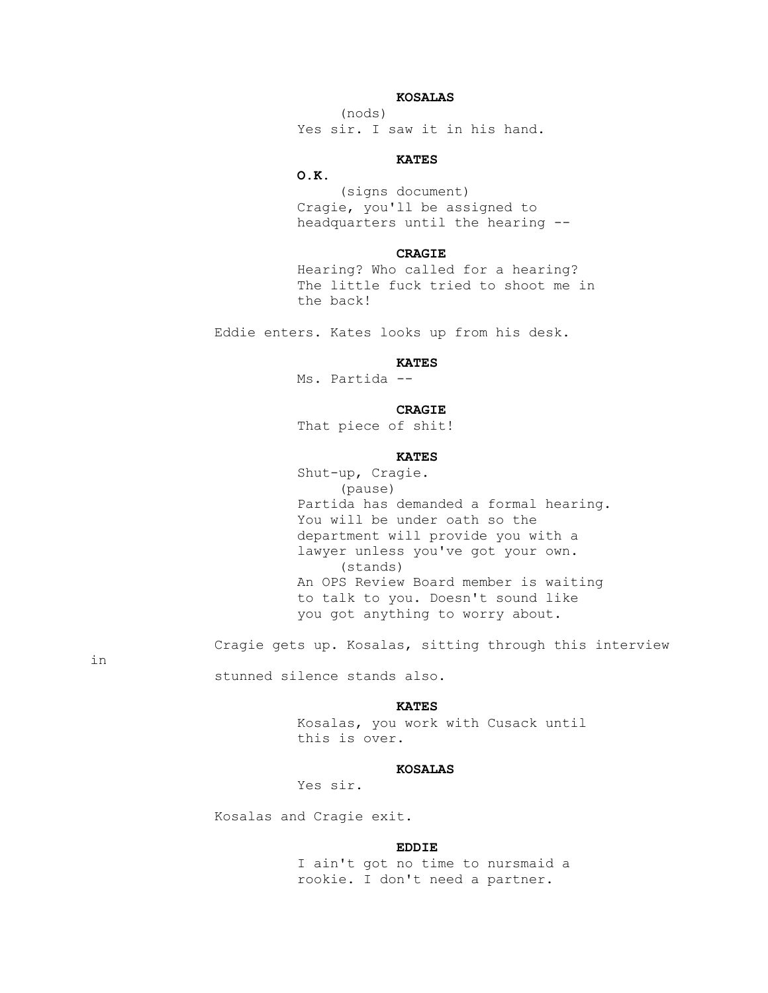## **KOSALAS**

 (nods) Yes sir. I saw it in his hand.

## **KATES**

## **O.K.**

 (signs document) Cragie, you'll be assigned to headquarters until the hearing --

## **CRAGIE**

 Hearing? Who called for a hearing? The little fuck tried to shoot me in the back!

Eddie enters. Kates looks up from his desk.

## *KATES*

Ms. Partida --

## **CRAGIE**

That piece of shit!

## **KATES**

 Shut-up, Cragie. (pause) Partida has demanded a formal hearing. You will be under oath so the department will provide you with a lawyer unless you've got your own. (stands) An OPS Review Board member is waiting to talk to you. Doesn't sound like you got anything to worry about.

Cragie gets up. Kosalas, sitting through this interview

in

stunned silence stands also.

## *KATES*

 Kosalas, you work with Cusack until this is over.

## **KOSALAS**

Yes sir.

Kosalas and Cragie exit.

#### **EDDIE**

 I ain't got no time to nursmaid a rookie. I don't need a partner.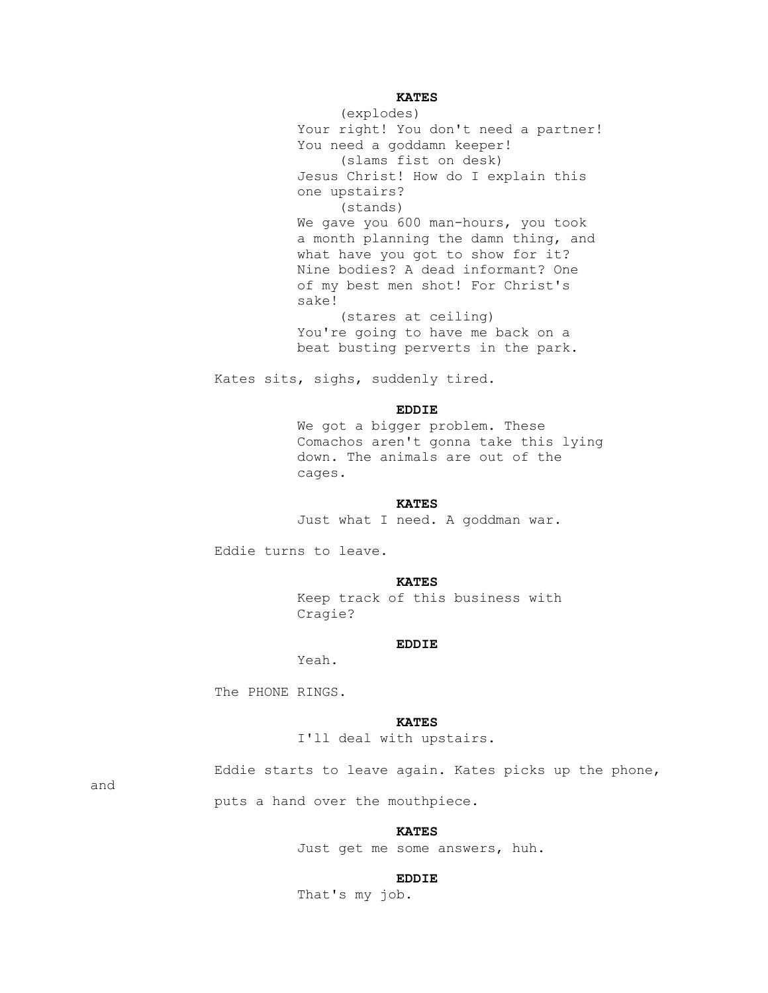## *KATES*

 (explodes) Your right! You don't need a partner! You need a goddamn keeper! (slams fist on desk) Jesus Christ! How do I explain this one upstairs? (stands) We gave you 600 man-hours, you took a month planning the damn thing, and what have you got to show for it? Nine bodies? A dead informant? One of my best men shot! For Christ's sake! (stares at ceiling) You're going to have me back on a beat busting perverts in the park.

Kates sits, sighs, suddenly tired.

## **EDDIE**

 We got a bigger problem. These Comachos aren't gonna take this lying down. The animals are out of the cages.

## **KATES**

Just what I need. A goddman war.

Eddie turns to leave.

## *KATES*

 Keep track of this business with Cragie?

## **EDDIE**

Yeah.

The PHONE RINGS.

#### **KATES**

I'll deal with upstairs.

Eddie starts to leave again. Kates picks up the phone,

and

puts a hand over the mouthpiece.

## *KATES*

Just get me some answers, huh.

## **EDDIE**

That's my job.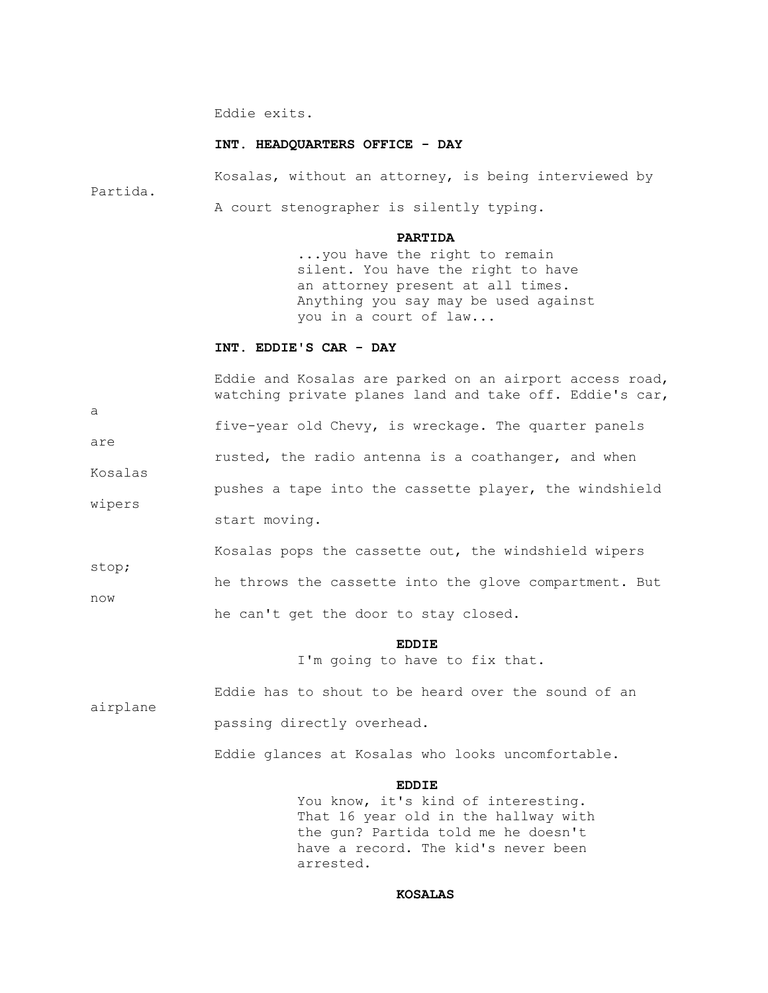Eddie exits.

## **INT. HEADQUARTERS OFFICE - DAY**

 Kosalas, without an attorney, is being interviewed by Partida. A court stenographer is silently typing.

#### **PARTIDA**

 ...you have the right to remain silent. You have the right to have an attorney present at all times. Anything you say may be used against you in a court of law...

#### **INT. EDDIE'S CAR - DAY**

 Eddie and Kosalas are parked on an airport access road, watching private planes land and take off. Eddie's car,

five-year old Chevy, is wreckage. The quarter panels

are rusted, the radio antenna is a coathanger, and when

Kosalas pushes a tape into the cassette player, the windshield

start moving.

a

wipers

 Kosalas pops the cassette out, the windshield wipers stop; he throws the cassette into the glove compartment. But now he can't get the door to stay closed.

**EDDIE** 

I'm going to have to fix that.

 Eddie has to shout to be heard over the sound of an airplane passing directly overhead.

Eddie glances at Kosalas who looks uncomfortable.

## **EDDIE**

You know, it's kind of interesting. That 16 year old in the hallway with the gun? Partida told me he doesn't have a record. The kid's never been arrested.

#### **KOSALAS**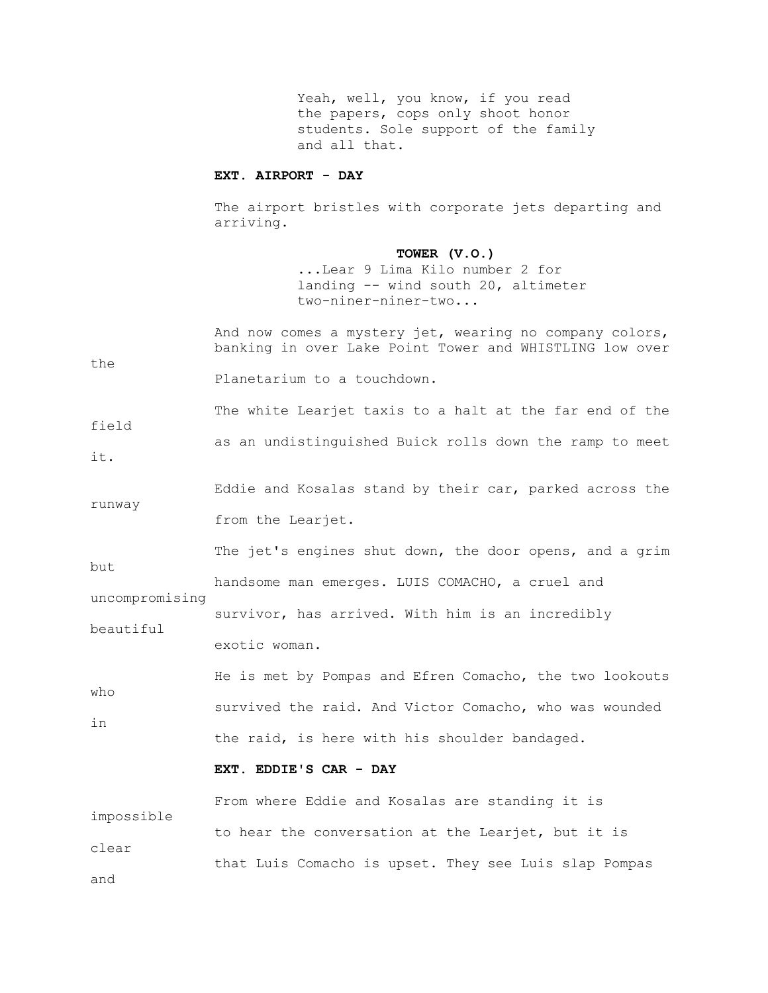Yeah, well, you know, if you read the papers, cops only shoot honor students. Sole support of the family and all that.

#### **EXT. AIRPORT - DAY**

 The airport bristles with corporate jets departing and arriving.

#### **TOWER (V.O.)**

 ...Lear 9 Lima Kilo number 2 for landing -- wind south 20, altimeter two-niner-niner-two...

 And now comes a mystery jet, wearing no company colors, banking in over Lake Point Tower and WHISTLING low over the Planetarium to a touchdown. The white Learjet taxis to a halt at the far end of the field as an undistinguished Buick rolls down the ramp to meet it. Eddie and Kosalas stand by their car, parked across the runway from the Learjet. The jet's engines shut down, the door opens, and a grim but handsome man emerges. LUIS COMACHO, a cruel and uncompromising survivor, has arrived. With him is an incredibly beautiful exotic woman. He is met by Pompas and Efren Comacho, the two lookouts who

 survived the raid. And Victor Comacho, who was wounded in the raid, is here with his shoulder bandaged.

## **EXT. EDDIE'S CAR - DAY**

 From where Eddie and Kosalas are standing it is impossible to hear the conversation at the Learjet, but it is clear that Luis Comacho is upset. They see Luis slap Pompas and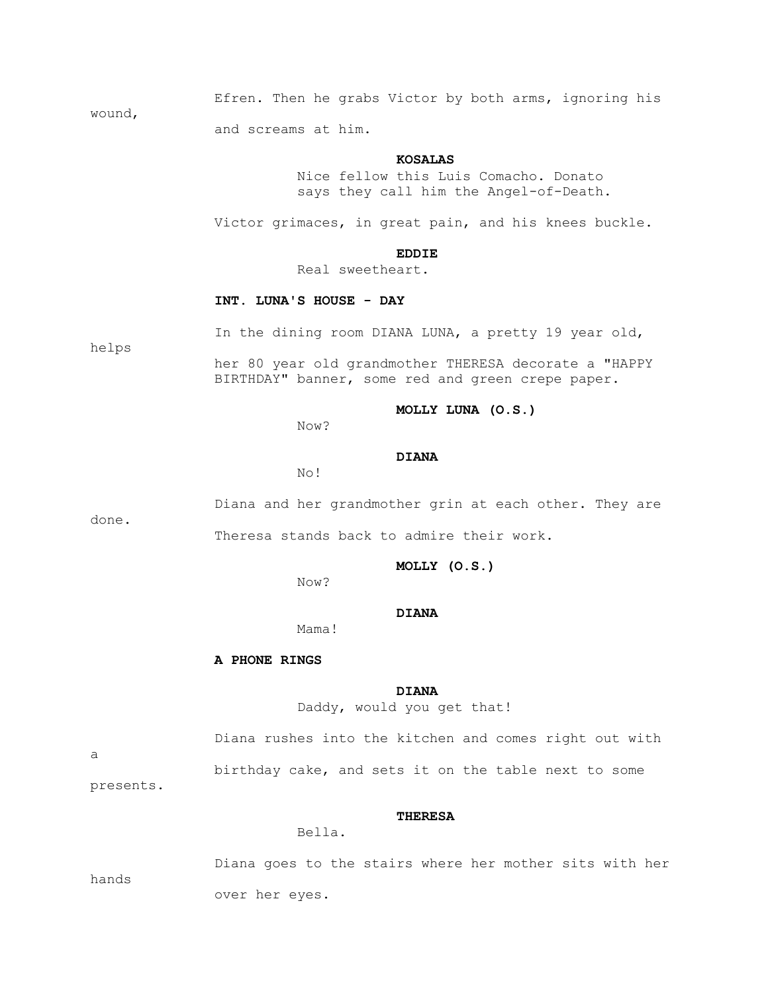Efren. Then he grabs Victor by both arms, ignoring his and screams at him.

#### **KOSALAS**

 Nice fellow this Luis Comacho. Donato says they call him the Angel-of-Death.

Victor grimaces, in great pain, and his knees buckle.

#### **EDDIE**

Real sweetheart.

#### **INT. LUNA'S HOUSE - DAY**

In the dining room DIANA LUNA, a pretty 19 year old,

 her 80 year old grandmother THERESA decorate a "HAPPY BIRTHDAY" banner, some red and green crepe paper.

#### **MOLLY LUNA (O.S.)**

Now?

## **DIANA**

No!

 Diana and her grandmother grin at each other. They are done. Theresa stands back to admire their work.

 **MOLLY (O.S.)**

Now?

## **DIANA**

Mama!

#### **A PHONE RINGS**

#### **DIANA**

Daddy, would you get that!

a

birthday cake, and sets it on the table next to some

Diana rushes into the kitchen and comes right out with

presents.

wound,

helps

#### **THERESA**

Bella.

hands

 Diana goes to the stairs where her mother sits with her over her eyes.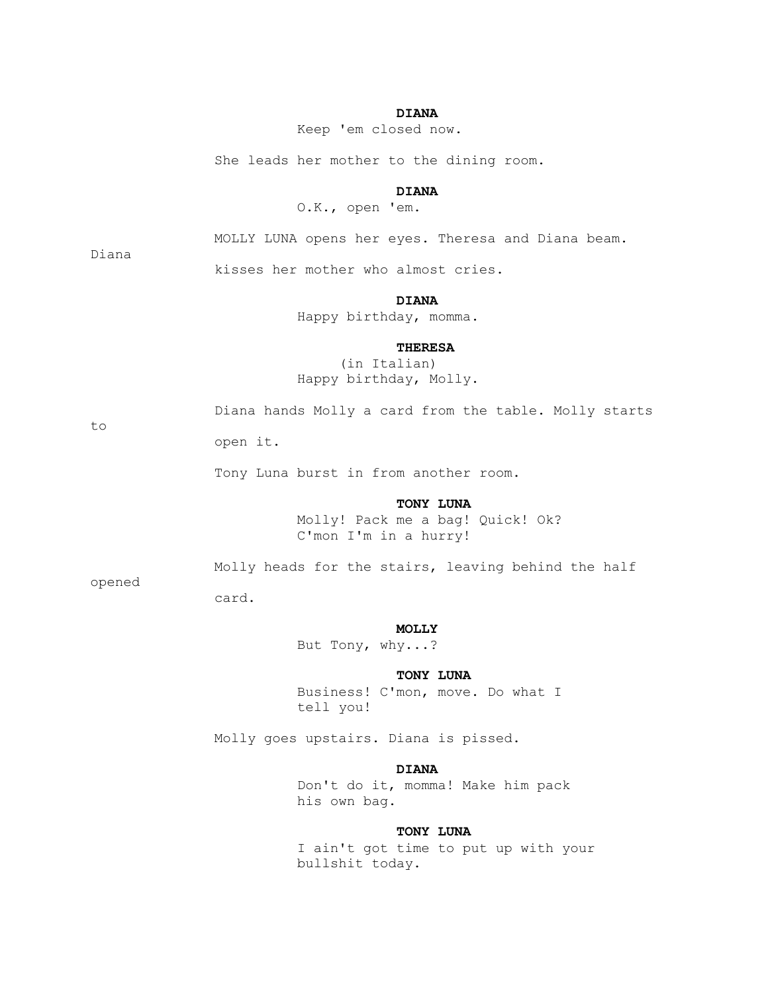## **DIANA**

Keep 'em closed now.

She leads her mother to the dining room.

## **DIANA**

O.K., open 'em.

Diana

MOLLY LUNA opens her eyes. Theresa and Diana beam.

kisses her mother who almost cries.

## **DIANA**

Happy birthday, momma.

#### **THERESA**

 (in Italian) Happy birthday, Molly.

to

Diana hands Molly a card from the table. Molly starts

open it.

Tony Luna burst in from another room.

## **TONY LUNA**

 Molly! Pack me a bag! Quick! Ok? C'mon I'm in a hurry!

opened

# card.

Molly heads for the stairs, leaving behind the half

## **MOLLY**

But Tony, why...?

## **TONY LUNA**

 Business! C'mon, move. Do what I tell you!

Molly goes upstairs. Diana is pissed.

#### **DIANA**

 Don't do it, momma! Make him pack his own bag.

## **TONY LUNA**

 I ain't got time to put up with your bullshit today.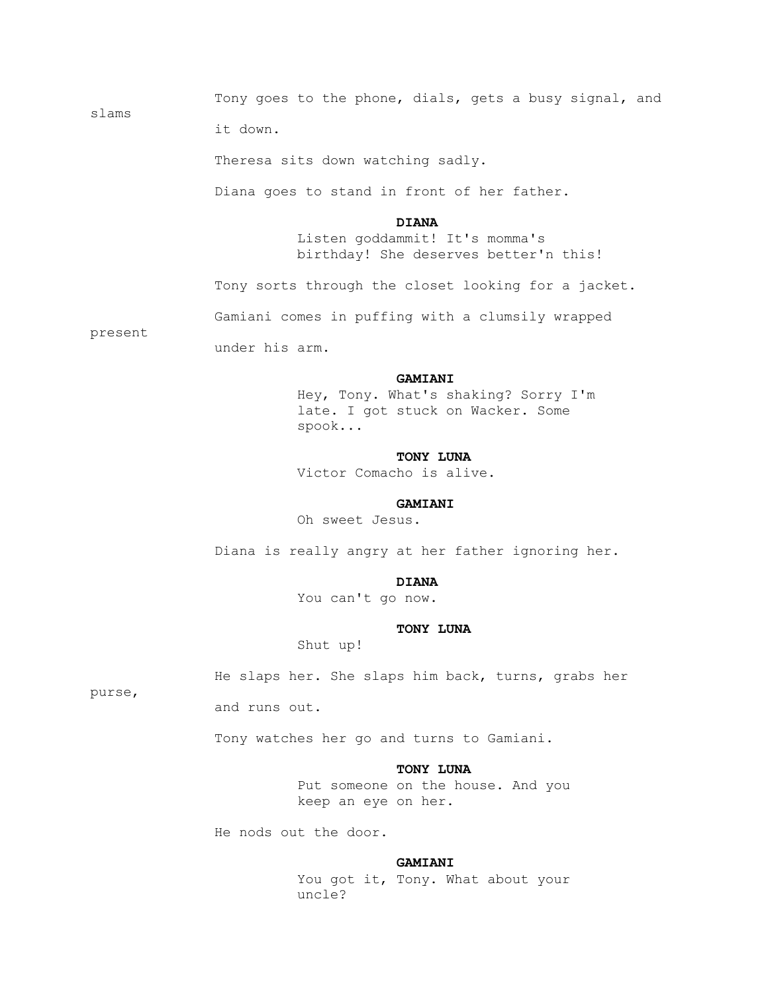Tony goes to the phone, dials, gets a busy signal, and

it down.

Theresa sits down watching sadly.

Diana goes to stand in front of her father.

#### **DIANA**

 Listen goddammit! It's momma's birthday! She deserves better'n this!

Tony sorts through the closet looking for a jacket.

Gamiani comes in puffing with a clumsily wrapped

present

slams

under his arm.

#### **GAMIANI**

 Hey, Tony. What's shaking? Sorry I'm late. I got stuck on Wacker. Some spook...

#### **TONY LUNA**

Victor Comacho is alive.

#### **GAMIANI**

Oh sweet Jesus.

Diana is really angry at her father ignoring her.

## **DIANA**

You can't go now.

## **TONY LUNA**

Shut up!

He slaps her. She slaps him back, turns, grabs her

purse,

and runs out.

Tony watches her go and turns to Gamiani.

## **TONY LUNA**

 Put someone on the house. And you keep an eye on her.

He nods out the door.

#### **GAMIANI**

You got it, Tony. What about your uncle?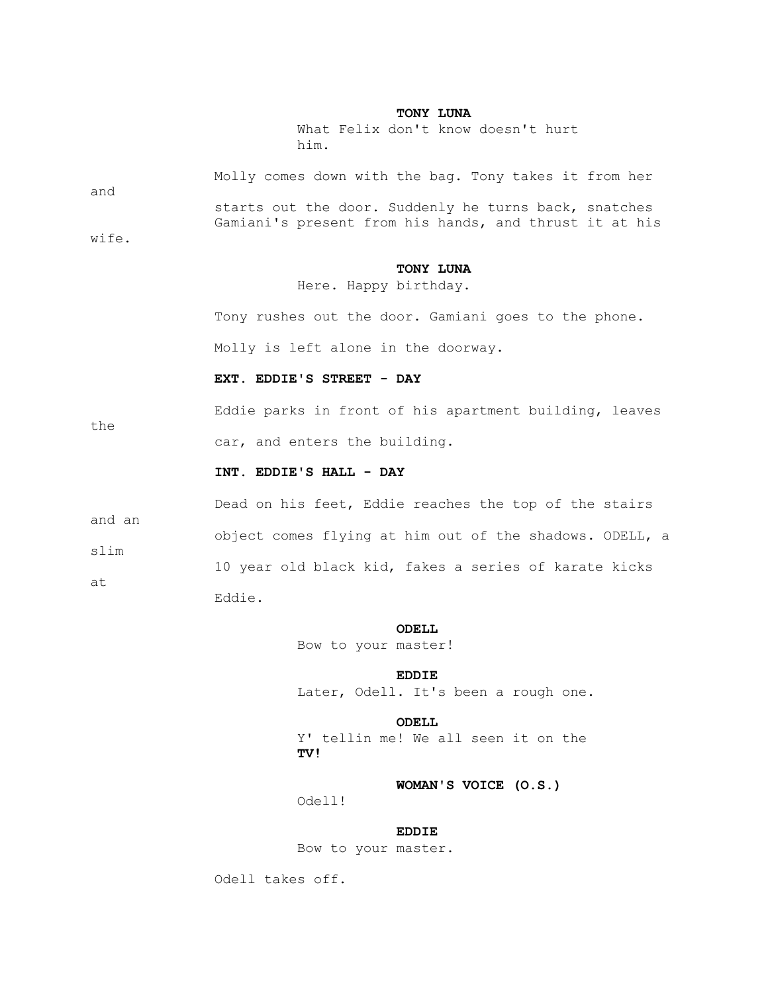## **TONY LUNA**

 What Felix don't know doesn't hurt him.

| and<br>wife.         | Molly comes down with the bag. Tony takes it from her<br>starts out the door. Suddenly he turns back, snatches<br>Gamiani's present from his hands, and thrust it at his |
|----------------------|--------------------------------------------------------------------------------------------------------------------------------------------------------------------------|
|                      | TONY LUNA<br>Here. Happy birthday.                                                                                                                                       |
|                      | Tony rushes out the door. Gamiani goes to the phone.                                                                                                                     |
|                      | Molly is left alone in the doorway.                                                                                                                                      |
|                      | EXT. EDDIE'S STREET - DAY                                                                                                                                                |
|                      | Eddie parks in front of his apartment building, leaves                                                                                                                   |
| the                  | car, and enters the building.                                                                                                                                            |
|                      | INT. EDDIE'S HALL - DAY                                                                                                                                                  |
| and an<br>slim<br>at | Dead on his feet, Eddie reaches the top of the stairs                                                                                                                    |
|                      | object comes flying at him out of the shadows. ODELL, a                                                                                                                  |
|                      | 10 year old black kid, fakes a series of karate kicks                                                                                                                    |
|                      | Eddie.                                                                                                                                                                   |

## **ODELL**

Bow to your master!

 **EDDIE** Later, Odell. It's been a rough one.

 **ODELL** Y' tellin me! We all seen it on the **TV!**

 **WOMAN'S VOICE (O.S.)**

Odell!

## **EDDIE**

Bow to your master.

Odell takes off.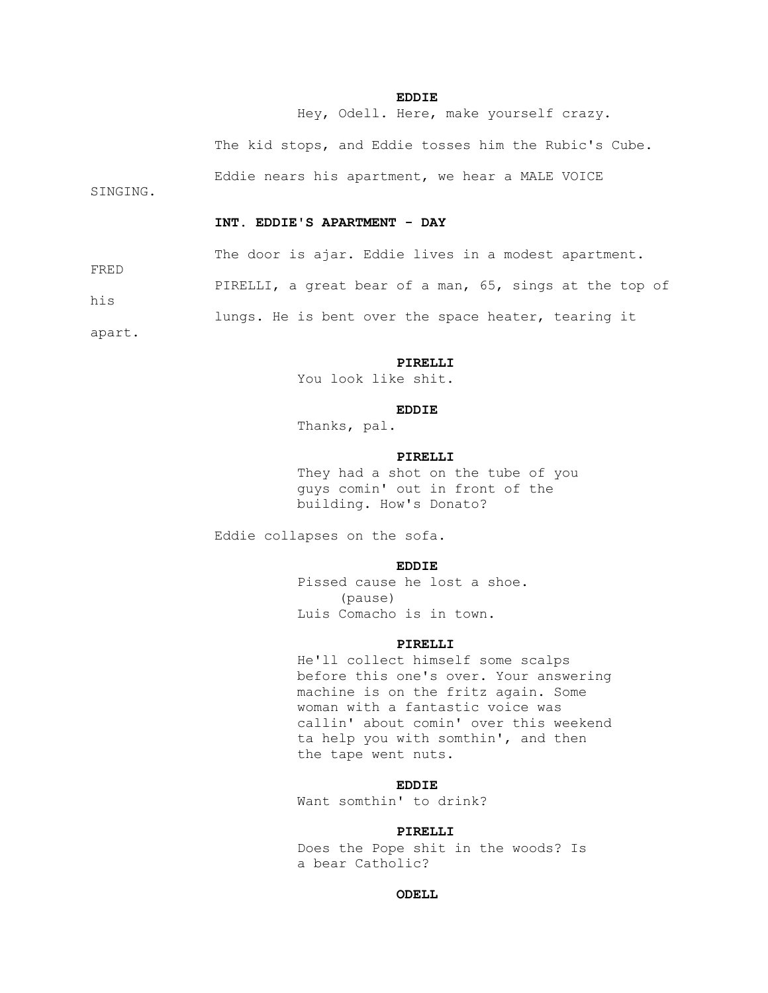## **EDDIE**

Hey, Odell. Here, make yourself crazy.

The kid stops, and Eddie tosses him the Rubic's Cube.

Eddie nears his apartment, we hear a MALE VOICE

SINGING.

#### **INT. EDDIE'S APARTMENT - DAY**

The door is ajar. Eddie lives in a modest apartment.

PIRELLI, a great bear of a man, 65, sings at the top of

lungs. He is bent over the space heater, tearing it

apart.

FRED

his

#### **PIRELLI**

You look like shit.

## **EDDIE**

Thanks, pal.

#### **PIRELLI**

 They had a shot on the tube of you guys comin' out in front of the building. How's Donato?

Eddie collapses on the sofa.

## **EDDIE**

 Pissed cause he lost a shoe. (pause) Luis Comacho is in town.

#### **PIRELLI**

 He'll collect himself some scalps before this one's over. Your answering machine is on the fritz again. Some woman with a fantastic voice was callin' about comin' over this weekend ta help you with somthin', and then the tape went nuts.

## **EDDIE**

Want somthin' to drink?

#### **PIRELLI**

 Does the Pope shit in the woods? Is a bear Catholic?

## *ODELL*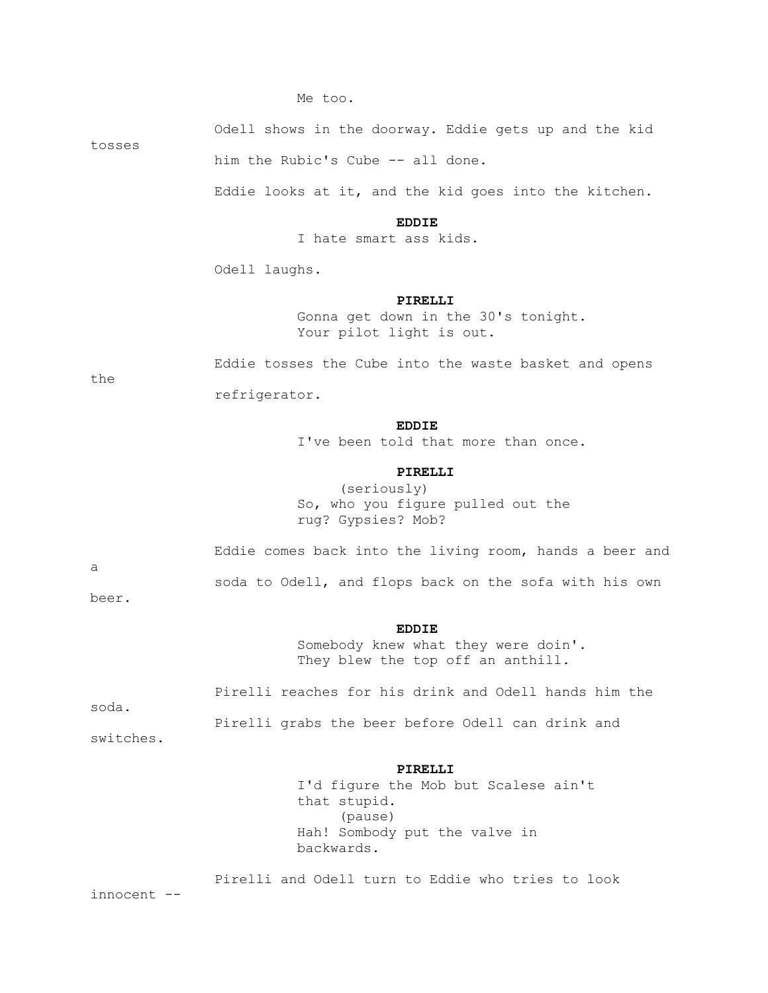Me too.

Odell shows in the doorway. Eddie gets up and the kid

tosses

him the Rubic's Cube -- all done.

Eddie looks at it, and the kid goes into the kitchen.

#### **EDDIE**

I hate smart ass kids.

Odell laughs.

#### **PIRELLI**

 Gonna get down in the 30's tonight. Your pilot light is out.

Eddie tosses the Cube into the waste basket and opens

refrigerator.

## **EDDIE**

I've been told that more than once.

## **PIRELLI**

 (seriously) So, who you figure pulled out the rug? Gypsies? Mob?

Eddie comes back into the living room, hands a beer and

soda to Odell, and flops back on the sofa with his own

beer.

a

the

#### **EDDIE**

 Somebody knew what they were doin'. They blew the top off an anthill.

 Pirelli reaches for his drink and Odell hands him the soda. Pirelli grabs the beer before Odell can drink and

switches.

#### **PIRELLI**

 I'd figure the Mob but Scalese ain't that stupid. (pause) Hah! Sombody put the valve in backwards.

 Pirelli and Odell turn to Eddie who tries to look innocent --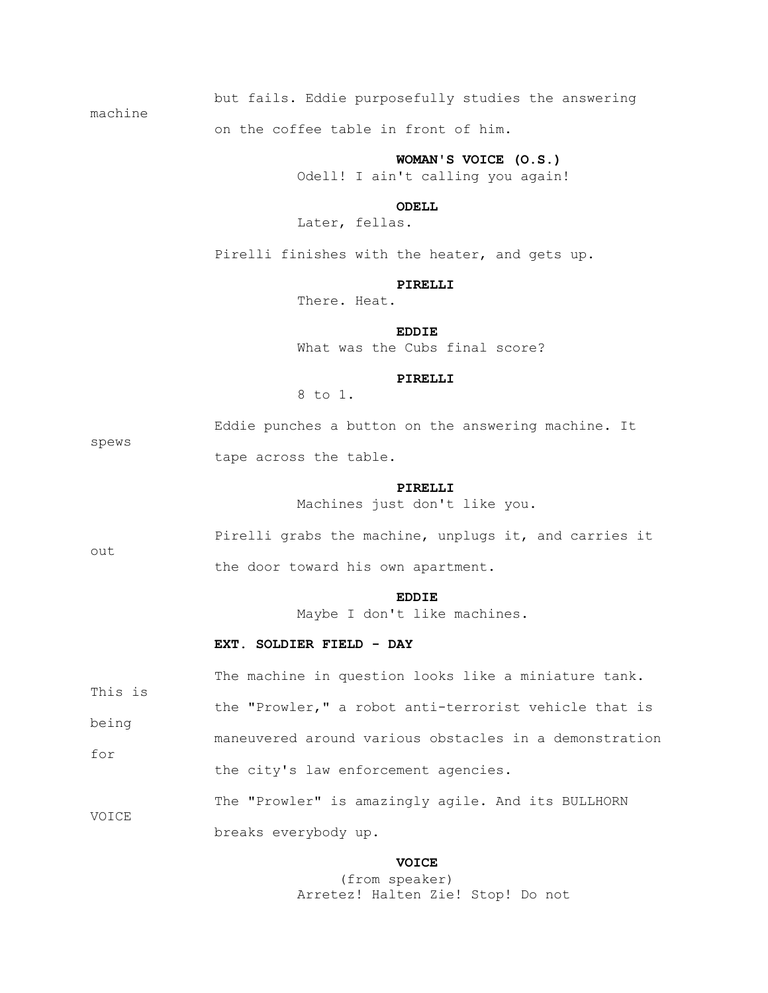but fails. Eddie purposefully studies the answering

machine

on the coffee table in front of him.

 **WOMAN'S VOICE (O.S.)**

Odell! I ain't calling you again!

 *ODELL* 

Later, fellas.

Pirelli finishes with the heater, and gets up.

#### **PIRELLI**

There. Heat.

 **EDDIE** What was the Cubs final score?

#### **PIRELLI**

8 to 1.

 Eddie punches a button on the answering machine. It tape across the table.

#### **PIRELLI**

Machines just don't like you.

out

spews

 Pirelli grabs the machine, unplugs it, and carries it the door toward his own apartment.

#### **EDDIE**

Maybe I don't like machines.

#### **EXT. SOLDIER FIELD - DAY**

 The machine in question looks like a miniature tank. This is the "Prowler," a robot anti-terrorist vehicle that is being maneuvered around various obstacles in a demonstration for the city's law enforcement agencies. The "Prowler" is amazingly agile. And its BULLHORN VOICE breaks everybody up.

#### **VOICE**

 (from speaker) Arretez! Halten Zie! Stop! Do not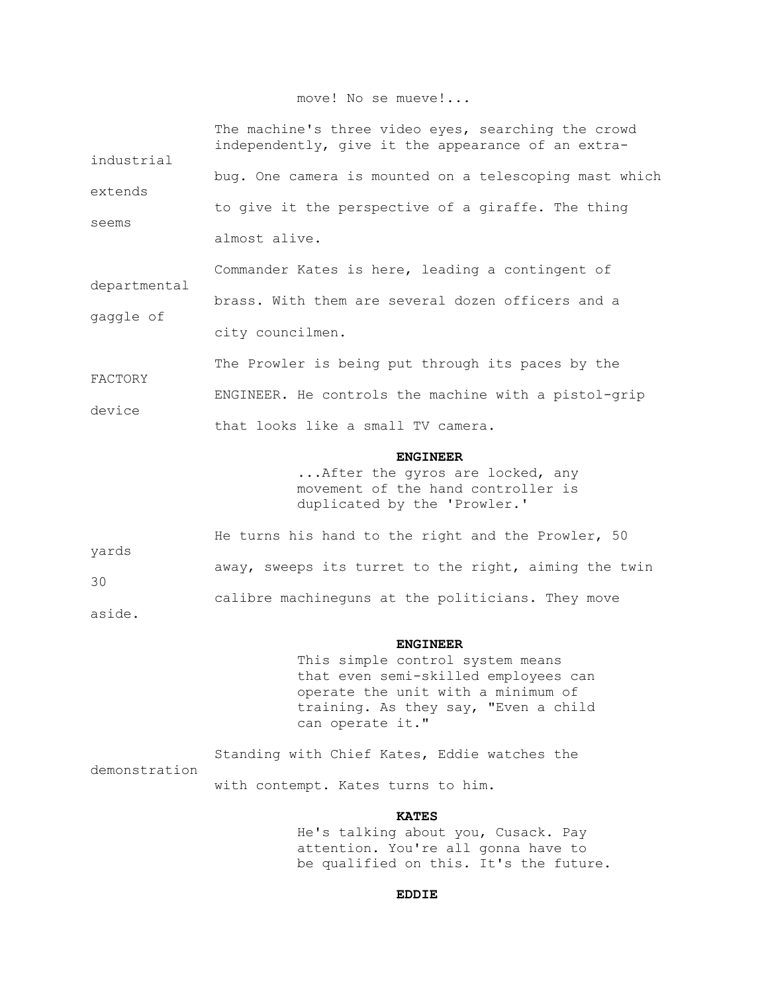## move! No se mueve!...

| industrial<br>extends<br>seems | The machine's three video eyes, searching the crowd<br>independently, give it the appearance of an extra-<br>bug. One camera is mounted on a telescoping mast which       |
|--------------------------------|---------------------------------------------------------------------------------------------------------------------------------------------------------------------------|
|                                | to give it the perspective of a giraffe. The thing<br>almost alive.                                                                                                       |
| departmental<br>gaggle of      | Commander Kates is here, leading a contingent of<br>brass. With them are several dozen officers and a<br>city councilmen.                                                 |
| FACTORY<br>device              | The Prowler is being put through its paces by the<br>ENGINEER. He controls the machine with a pistol-grip<br>that looks like a small TV camera.                           |
|                                | <b>ENGINEER</b><br>After the gyros are locked, any<br>movement of the hand controller is<br>duplicated by the 'Prowler.'                                                  |
| yards<br>30<br>aside.          | He turns his hand to the right and the Prowler, 50<br>away, sweeps its turret to the right, aiming the twin<br>calibre machineguns at the politicians. They move          |
|                                | <b>ENGINEER</b><br>This simple control system means<br>that even semi-skilled employees can<br>operate the unit with a minimum of<br>training. As they say, "Even a child |

 Standing with Chief Kates, Eddie watches the demonstration with contempt. Kates turns to him.

can operate it."

## **KATES**

 He's talking about you, Cusack. Pay attention. You're all gonna have to be qualified on this. It's the future.

**EDDIE**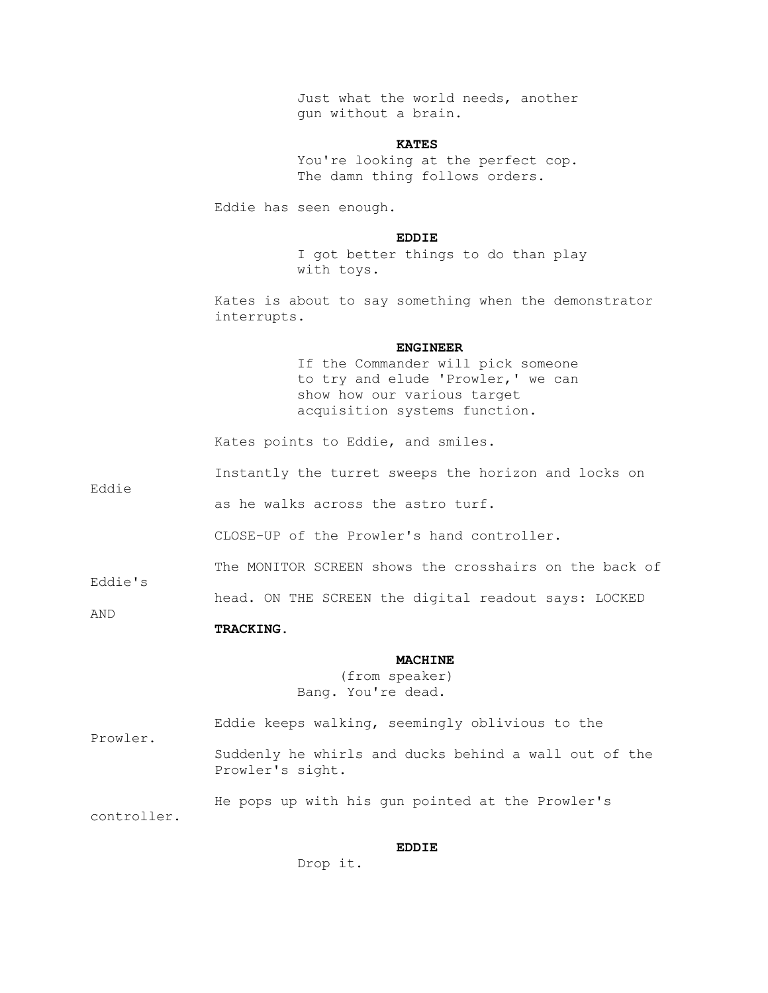Just what the world needs, another gun without a brain.

## **KATES**

 You're looking at the perfect cop. The damn thing follows orders.

Eddie has seen enough.

## **EDDIE**

 I got better things to do than play with toys.

 Kates is about to say something when the demonstrator interrupts.

#### **ENGINEER**

 If the Commander will pick someone to try and elude 'Prowler,' we can show how our various target acquisition systems function.

Kates points to Eddie, and smiles.

Instantly the turret sweeps the horizon and locks on

as he walks across the astro turf.

CLOSE-UP of the Prowler's hand controller.

The MONITOR SCREEN shows the crosshairs on the back of

Eddie's

Eddie

head. ON THE SCREEN the digital readout says: LOCKED

AND

 **TRACKING.**

#### **MACHINE**

 (from speaker) Bang. You're dead.

 Eddie keeps walking, seemingly oblivious to the Prowler.

 Suddenly he whirls and ducks behind a wall out of the Prowler's sight.

 He pops up with his gun pointed at the Prowler's controller.

## **EDDIE**

Drop it.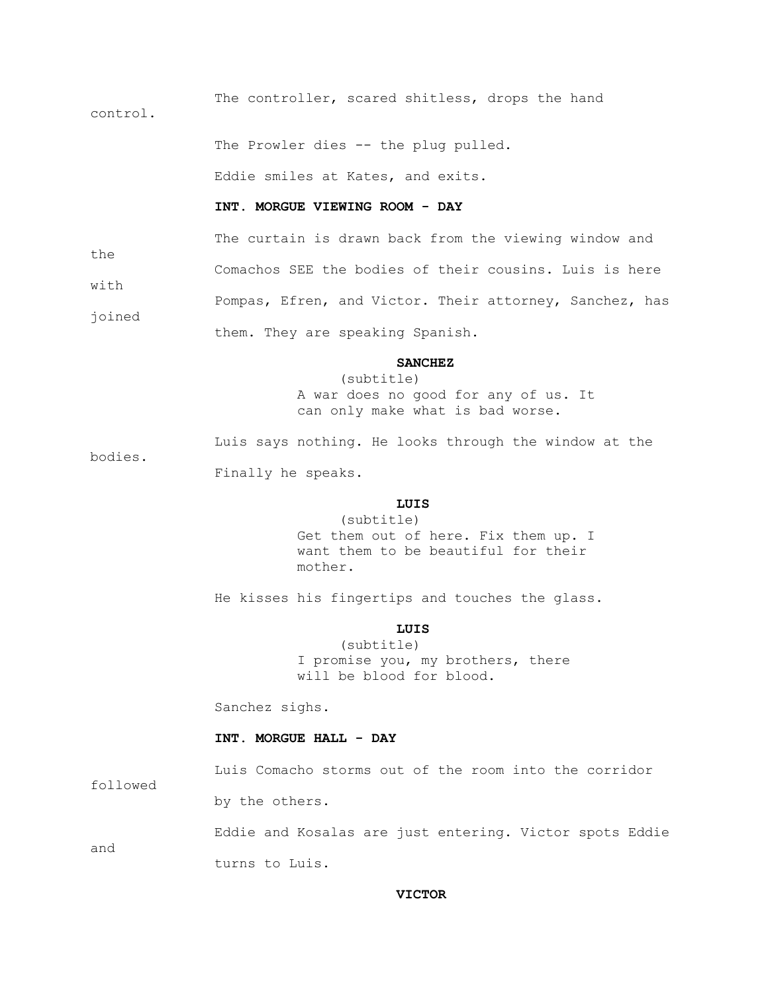The controller, scared shitless, drops the hand control.

The Prowler dies -- the plug pulled.

Eddie smiles at Kates, and exits.

# **INT. MORGUE VIEWING ROOM - DAY**

 The curtain is drawn back from the viewing window and the Comachos SEE the bodies of their cousins. Luis is here with

 Pompas, Efren, and Victor. Their attorney, Sanchez, has joined

them. They are speaking Spanish.

bodies.

followed

#### **SANCHEZ**

 (subtitle) A war does no good for any of us. It can only make what is bad worse.

 Luis says nothing. He looks through the window at the Finally he speaks.

## **LUIS**

 (subtitle) Get them out of here. Fix them up. I want them to be beautiful for their mother.

He kisses his fingertips and touches the glass.

# **LUIS**

 (subtitle) I promise you, my brothers, there will be blood for blood.

Sanchez sighs.

# **INT. MORGUE HALL - DAY**

Luis Comacho storms out of the room into the corridor

by the others.

 Eddie and Kosalas are just entering. Victor spots Eddie and turns to Luis.

### **VICTOR**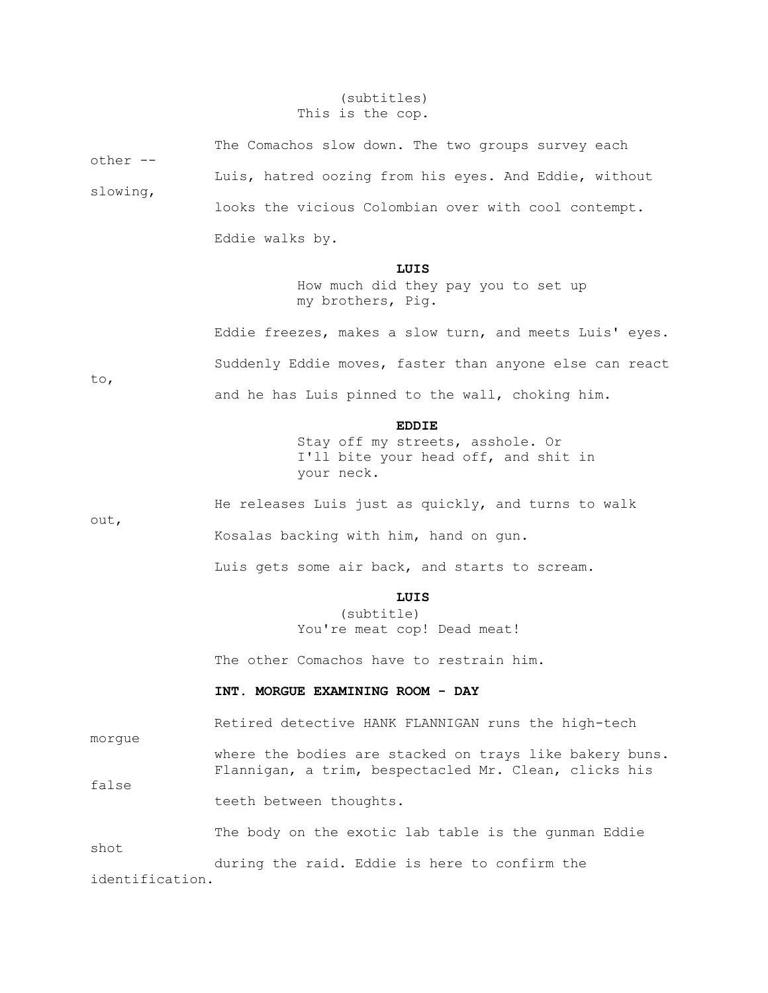# (subtitles) This is the cop.

| other --        | The Comachos slow down. The two groups survey each                                                               |  |  |  |  |  |  |  |
|-----------------|------------------------------------------------------------------------------------------------------------------|--|--|--|--|--|--|--|
|                 | Luis, hatred oozing from his eyes. And Eddie, without                                                            |  |  |  |  |  |  |  |
| slowing,        | looks the vicious Colombian over with cool contempt.                                                             |  |  |  |  |  |  |  |
|                 | Eddie walks by.                                                                                                  |  |  |  |  |  |  |  |
|                 | LUIS<br>How much did they pay you to set up<br>my brothers, Pig.                                                 |  |  |  |  |  |  |  |
|                 | Eddie freezes, makes a slow turn, and meets Luis' eyes.                                                          |  |  |  |  |  |  |  |
|                 | Suddenly Eddie moves, faster than anyone else can react                                                          |  |  |  |  |  |  |  |
| to,             | and he has Luis pinned to the wall, choking him.                                                                 |  |  |  |  |  |  |  |
|                 | <b>EDDIE</b><br>Stay off my streets, asshole. Or<br>I'll bite your head off, and shit in<br>your neck.           |  |  |  |  |  |  |  |
|                 | He releases Luis just as quickly, and turns to walk                                                              |  |  |  |  |  |  |  |
| out,            | Kosalas backing with him, hand on gun.                                                                           |  |  |  |  |  |  |  |
|                 | Luis gets some air back, and starts to scream.                                                                   |  |  |  |  |  |  |  |
|                 | LUIS<br>(subtitle)<br>You're meat cop! Dead meat!                                                                |  |  |  |  |  |  |  |
|                 | The other Comachos have to restrain him.                                                                         |  |  |  |  |  |  |  |
|                 | INT. MORGUE EXAMINING ROOM - DAY                                                                                 |  |  |  |  |  |  |  |
| morgue          | Retired detective HANK FLANNIGAN runs the high-tech                                                              |  |  |  |  |  |  |  |
| false           | where the bodies are stacked on trays like bakery buns.<br>Flannigan, a trim, bespectacled Mr. Clean, clicks his |  |  |  |  |  |  |  |
|                 | teeth between thoughts.                                                                                          |  |  |  |  |  |  |  |
| shot            | The body on the exotic lab table is the gunman Eddie                                                             |  |  |  |  |  |  |  |
| identification. | during the raid. Eddie is here to confirm the                                                                    |  |  |  |  |  |  |  |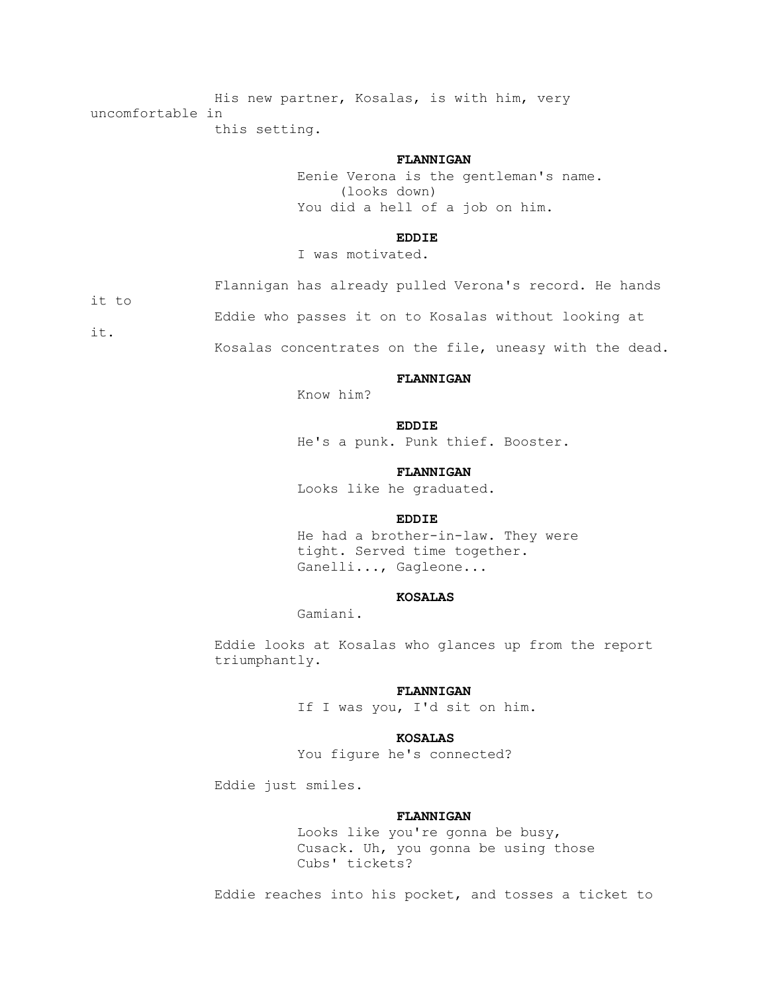His new partner, Kosalas, is with him, very uncomfortable in this setting.

#### **FLANNIGAN**

 Eenie Verona is the gentleman's name. (looks down) You did a hell of a job on him.

## **EDDIE**

I was motivated.

Flannigan has already pulled Verona's record. He hands

it to

Eddie who passes it on to Kosalas without looking at

it.

Kosalas concentrates on the file, uneasy with the dead.

#### **FLANNIGAN**

Know him?

#### **EDDIE**

He's a punk. Punk thief. Booster.

#### **FLANNIGAN**

Looks like he graduated.

## **EDDIE**

 He had a brother-in-law. They were tight. Served time together. Ganelli..., Gagleone...

### **KOSALAS**

Gamiani.

 Eddie looks at Kosalas who glances up from the report triumphantly.

#### **FLANNIGAN**

If I was you, I'd sit on him.

### **KOSALAS**

You figure he's connected?

Eddie just smiles.

### **FLANNIGAN**

 Looks like you're gonna be busy, Cusack. Uh, you gonna be using those Cubs' tickets?

Eddie reaches into his pocket, and tosses a ticket to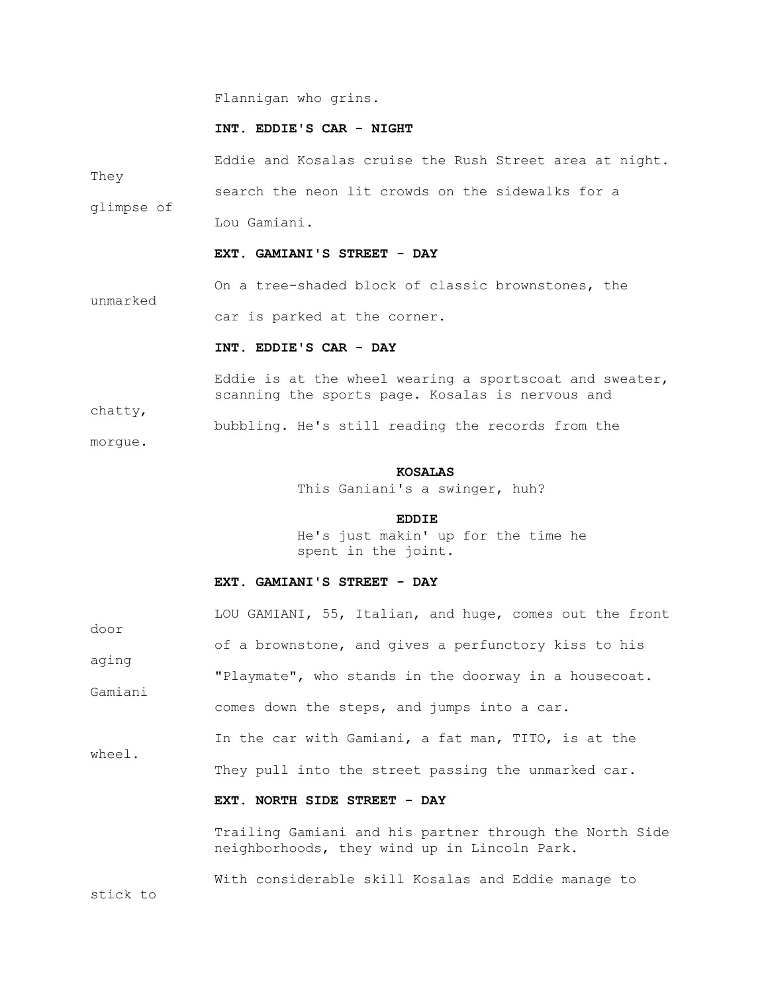Flannigan who grins.

### **INT. EDDIE'S CAR - NIGHT**

 Eddie and Kosalas cruise the Rush Street area at night. They search the neon lit crowds on the sidewalks for a glimpse of Lou Gamiani.  **EXT. GAMIANI'S STREET - DAY** On a tree-shaded block of classic brownstones, the unmarked car is parked at the corner.  **INT. EDDIE'S CAR - DAY**

 Eddie is at the wheel wearing a sportscoat and sweater, scanning the sports page. Kosalas is nervous and

bubbling. He's still reading the records from the

morgue.

chatty,

#### **KOSALAS**

This Ganiani's a swinger, huh?

#### **EDDIE**

 He's just makin' up for the time he spent in the joint.

# **EXT. GAMIANI'S STREET - DAY**

|               | LOU GAMIANI, 55, Italian, and huge, comes out the front |  |  |  |  |  |  |
|---------------|---------------------------------------------------------|--|--|--|--|--|--|
| door<br>aging | of a brownstone, and gives a perfunctory kiss to his    |  |  |  |  |  |  |
| Gamiani       | "Playmate", who stands in the doorway in a housecoat.   |  |  |  |  |  |  |
|               | comes down the steps, and jumps into a car.             |  |  |  |  |  |  |
| wheel.        | In the car with Gamiani, a fat man, TITO, is at the     |  |  |  |  |  |  |
|               | They pull into the street passing the unmarked car.     |  |  |  |  |  |  |
|               | EXT. NORTH SIDE STREET - DAY                            |  |  |  |  |  |  |
|               | Trailing Gamiani and his partner through the North Side |  |  |  |  |  |  |

neighborhoods, they wind up in Lincoln Park.

With considerable skill Kosalas and Eddie manage to

stick to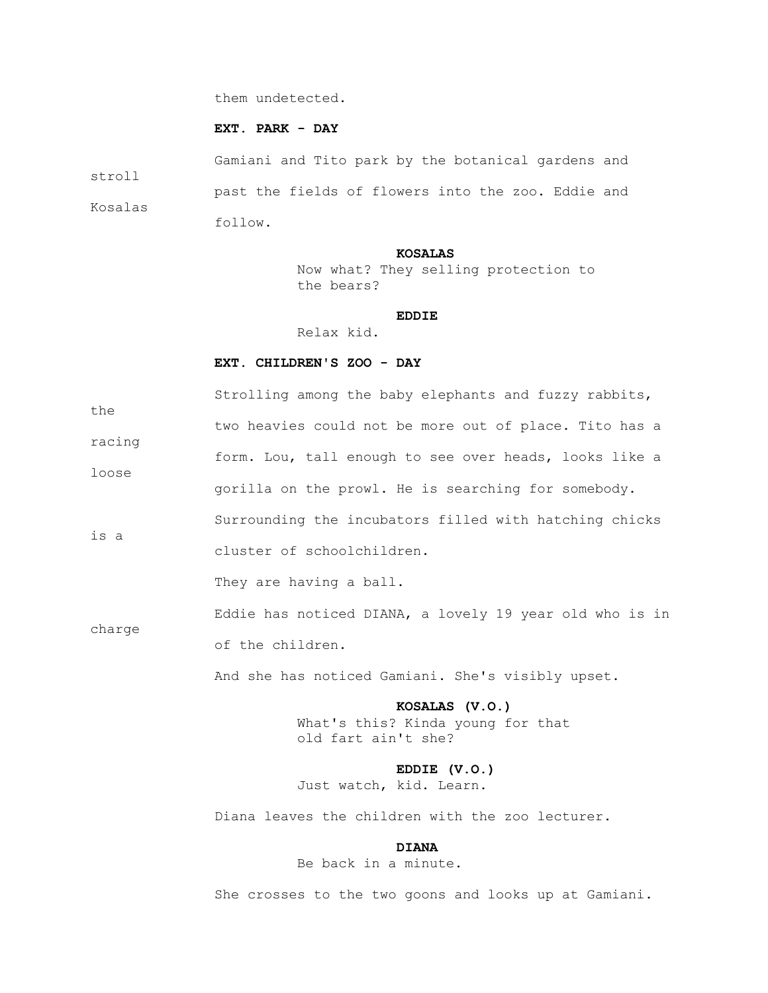them undetected.

### **EXT. PARK - DAY**

 Gamiani and Tito park by the botanical gardens and stroll past the fields of flowers into the zoo. Eddie and Kosalas follow.

#### **KOSALAS**

 Now what? They selling protection to the bears?

#### **EDDIE**

Relax kid.

### **EXT. CHILDREN'S ZOO - DAY**

 Strolling among the baby elephants and fuzzy rabbits, the two heavies could not be more out of place. Tito has a racing form. Lou, tall enough to see over heads, looks like a loose gorilla on the prowl. He is searching for somebody. Surrounding the incubators filled with hatching chicks is a cluster of schoolchildren.

They are having a ball.

 Eddie has noticed DIANA, a lovely 19 year old who is in charge of the children.

And she has noticed Gamiani. She's visibly upset.

 **KOSALAS (V.O.)** What's this? Kinda young for that old fart ain't she?

 **EDDIE (V.O.)** Just watch, kid. Learn.

Diana leaves the children with the zoo lecturer.

### **DIANA**

Be back in a minute.

She crosses to the two goons and looks up at Gamiani.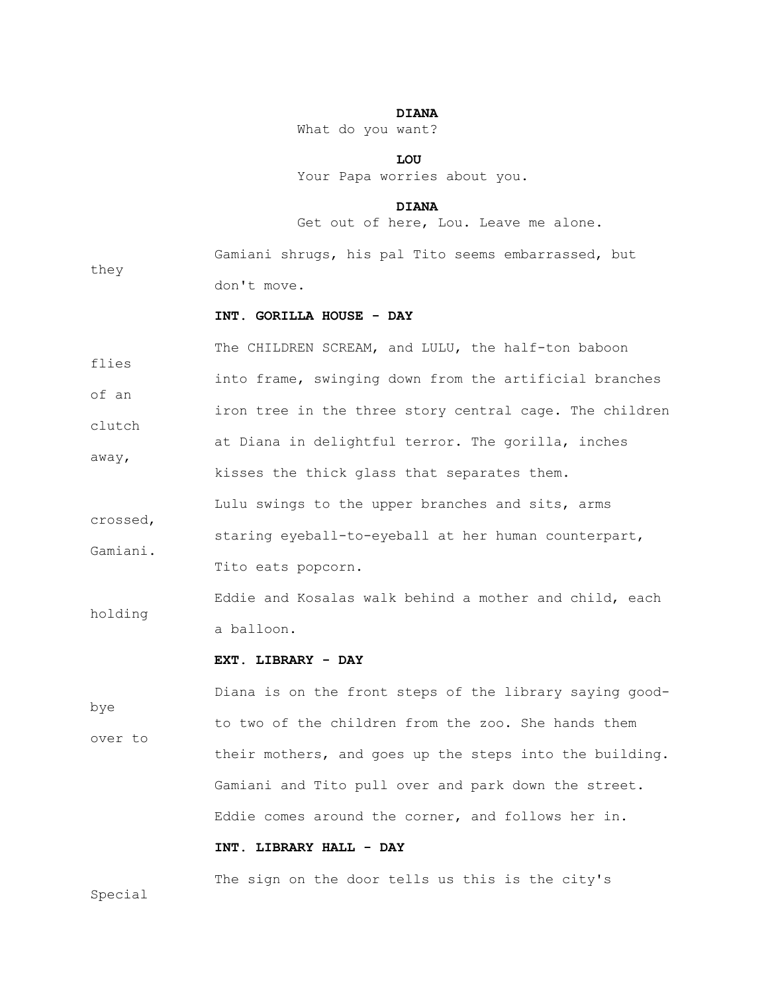## **DIANA**

What do you want?

 **LOU** Your Papa worries about you.

#### **DIANA**

Get out of here, Lou. Leave me alone.

they

 Gamiani shrugs, his pal Tito seems embarrassed, but don't move.

## **INT. GORILLA HOUSE - DAY**

 The CHILDREN SCREAM, and LULU, the half-ton baboon flies into frame, swinging down from the artificial branches of an iron tree in the three story central cage. The children clutch at Diana in delightful terror. The gorilla, inches away, kisses the thick glass that separates them. Lulu swings to the upper branches and sits, arms crossed, staring eyeball-to-eyeball at her human counterpart, Gamiani. Tito eats popcorn.

 Eddie and Kosalas walk behind a mother and child, each holding a balloon.

### **EXT. LIBRARY - DAY**

 Diana is on the front steps of the library saying goodbye to two of the children from the zoo. She hands them over to their mothers, and goes up the steps into the building. Gamiani and Tito pull over and park down the street. Eddie comes around the corner, and follows her in.

# **INT. LIBRARY HALL - DAY**

The sign on the door tells us this is the city's

Special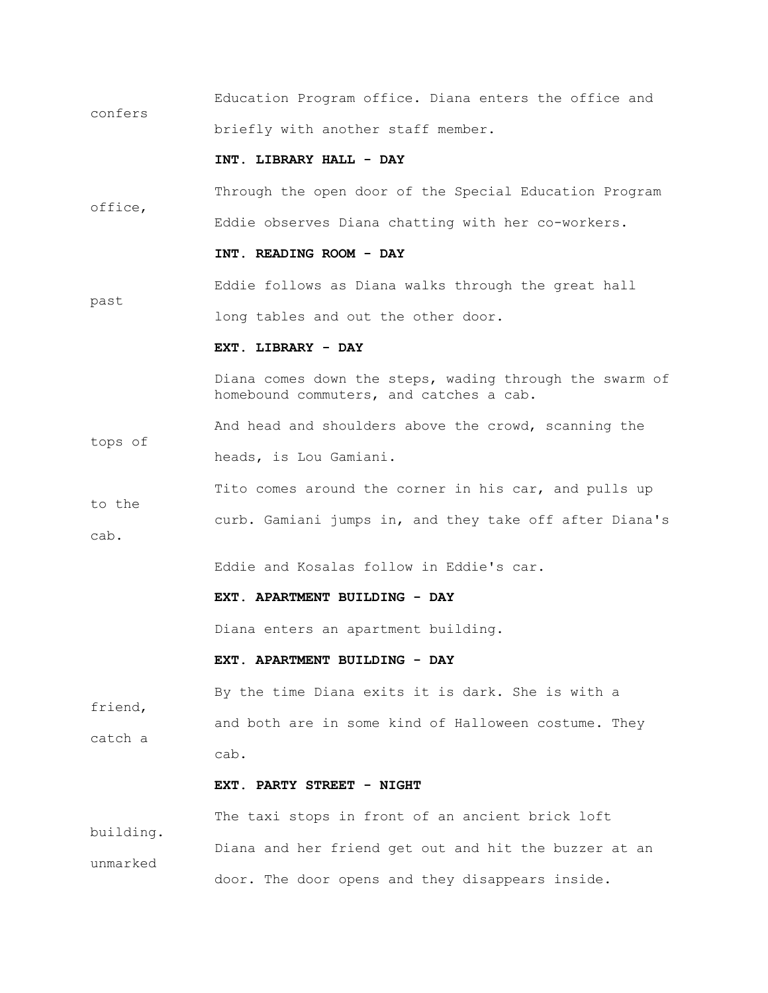Education Program office. Diana enters the office and confers briefly with another staff member.

### **INT. LIBRARY HALL - DAY**

 Through the open door of the Special Education Program office, Eddie observes Diana chatting with her co-workers.

### **INT. READING ROOM - DAY**

 Eddie follows as Diana walks through the great hall past long tables and out the other door.

#### **EXT. LIBRARY - DAY**

 Diana comes down the steps, wading through the swarm of homebound commuters, and catches a cab.

 And head and shoulders above the crowd, scanning the tops of heads, is Lou Gamiani.

Tito comes around the corner in his car, and pulls up to the curb. Gamiani jumps in, and they take off after Diana's cab.

Eddie and Kosalas follow in Eddie's car.

### **EXT. APARTMENT BUILDING - DAY**

Diana enters an apartment building.

### **EXT. APARTMENT BUILDING - DAY**

 By the time Diana exits it is dark. She is with a friend, and both are in some kind of Halloween costume. They catch a cab.

### **EXT. PARTY STREET - NIGHT**

 The taxi stops in front of an ancient brick loft building. Diana and her friend get out and hit the buzzer at an unmarked door. The door opens and they disappears inside.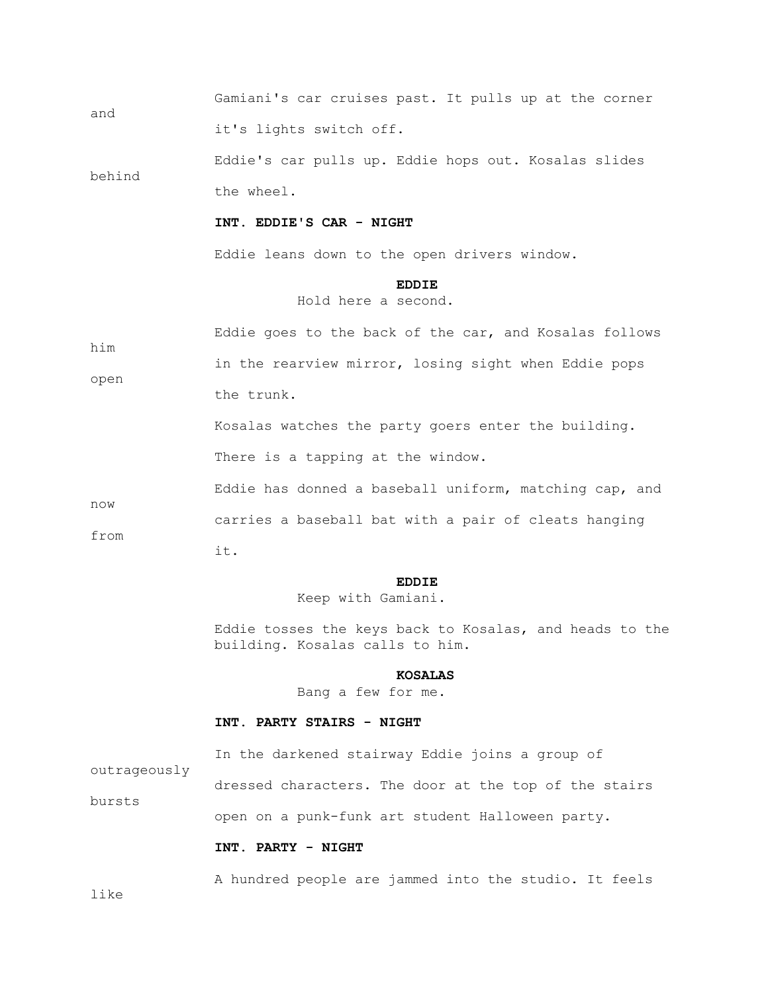Gamiani's car cruises past. It pulls up at the corner and it's lights switch off.

 Eddie's car pulls up. Eddie hops out. Kosalas slides behind the wheel.

#### **INT. EDDIE'S CAR - NIGHT**

Eddie leans down to the open drivers window.

## **EDDIE**

Hold here a second.

| him  | Eddie goes to the back of the car, and Kosalas follows |
|------|--------------------------------------------------------|
|      | in the rearview mirror, losing sight when Eddie pops   |
| open | the trunk.                                             |

 Kosalas watches the party goers enter the building. There is a tapping at the window.

 Eddie has donned a baseball uniform, matching cap, and now carries a baseball bat with a pair of cleats hanging from

it.

## **EDDIE**

Keep with Gamiani.

 Eddie tosses the keys back to Kosalas, and heads to the building. Kosalas calls to him.

#### **KOSALAS**

Bang a few for me.

#### **INT. PARTY STAIRS - NIGHT**

In the darkened stairway Eddie joins a group of

outrageously

 dressed characters. The door at the top of the stairs bursts open on a punk-funk art student Halloween party.

### **INT. PARTY - NIGHT**

A hundred people are jammed into the studio. It feels

like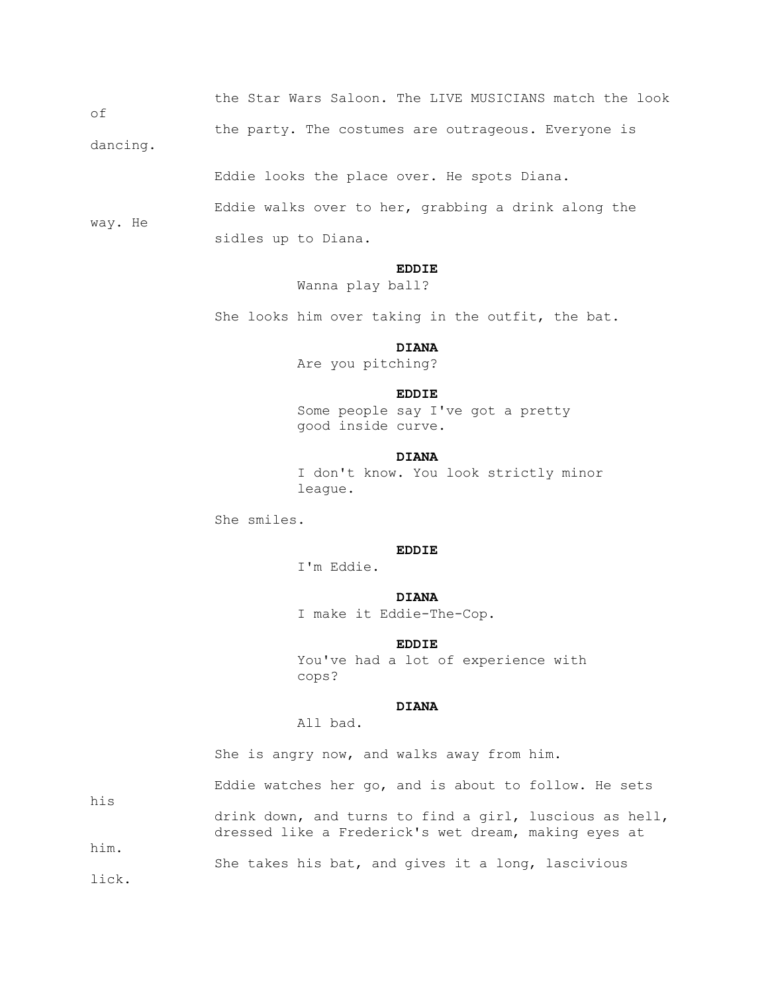the Star Wars Saloon. The LIVE MUSICIANS match the look

the party. The costumes are outrageous. Everyone is

dancing.

way. He

of

Eddie looks the place over. He spots Diana.

 Eddie walks over to her, grabbing a drink along the sidles up to Diana.

## **EDDIE**

Wanna play ball?

She looks him over taking in the outfit, the bat.

## **DIANA**

Are you pitching?

#### **EDDIE**

 Some people say I've got a pretty good inside curve.

## **DIANA**

 I don't know. You look strictly minor league.

She smiles.

### **EDDIE**

I'm Eddie.

### **DIANA**

I make it Eddie-The-Cop.

## **EDDIE**

 You've had a lot of experience with cops?

## **DIANA**

All bad.

She is angry now, and walks away from him.

 Eddie watches her go, and is about to follow. He sets his drink down, and turns to find a girl, luscious as hell, dressed like a Frederick's wet dream, making eyes at him. She takes his bat, and gives it a long, lascivious

lick.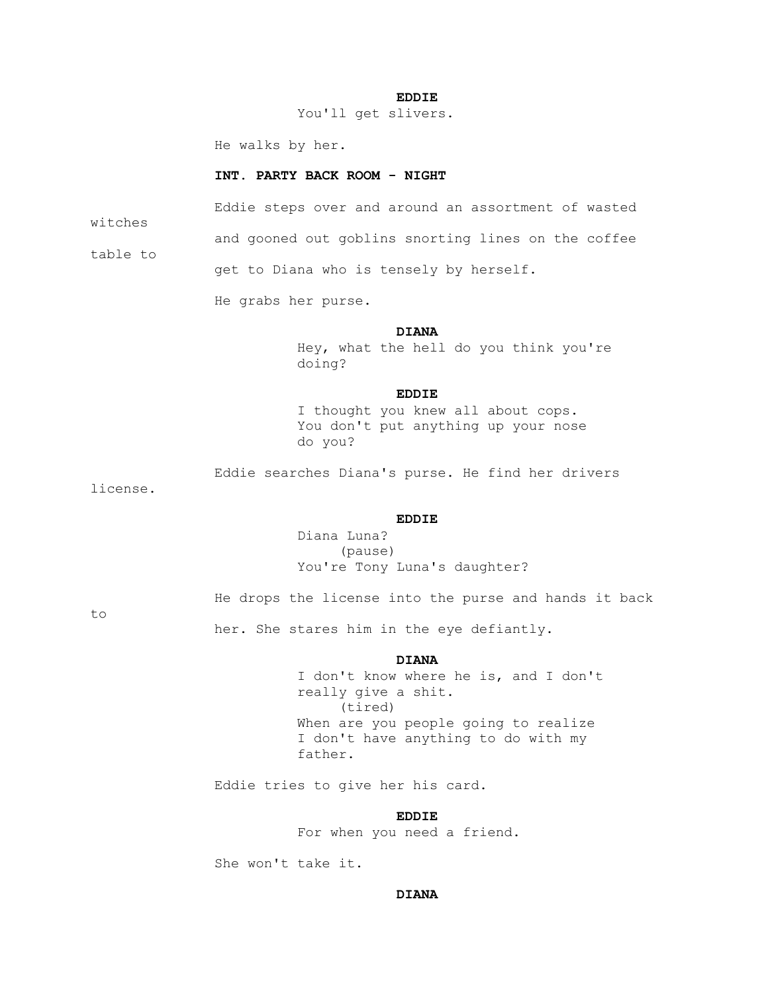#### **EDDIE**

You'll get slivers.

He walks by her.

### **INT. PARTY BACK ROOM - NIGHT**

 Eddie steps over and around an assortment of wasted witches and gooned out goblins snorting lines on the coffee table to get to Diana who is tensely by herself.

He grabs her purse.

## **DIANA**

 Hey, what the hell do you think you're doing?

#### **EDDIE**

 I thought you knew all about cops. You don't put anything up your nose do you?

Eddie searches Diana's purse. He find her drivers

license.

### **EDDIE**

 Diana Luna? (pause) You're Tony Luna's daughter?

to

He drops the license into the purse and hands it back

her. She stares him in the eye defiantly.

## **DIANA**

 I don't know where he is, and I don't really give a shit. (tired) When are you people going to realize I don't have anything to do with my father.

Eddie tries to give her his card.

## **EDDIE**

For when you need a friend.

She won't take it.

## **DIANA**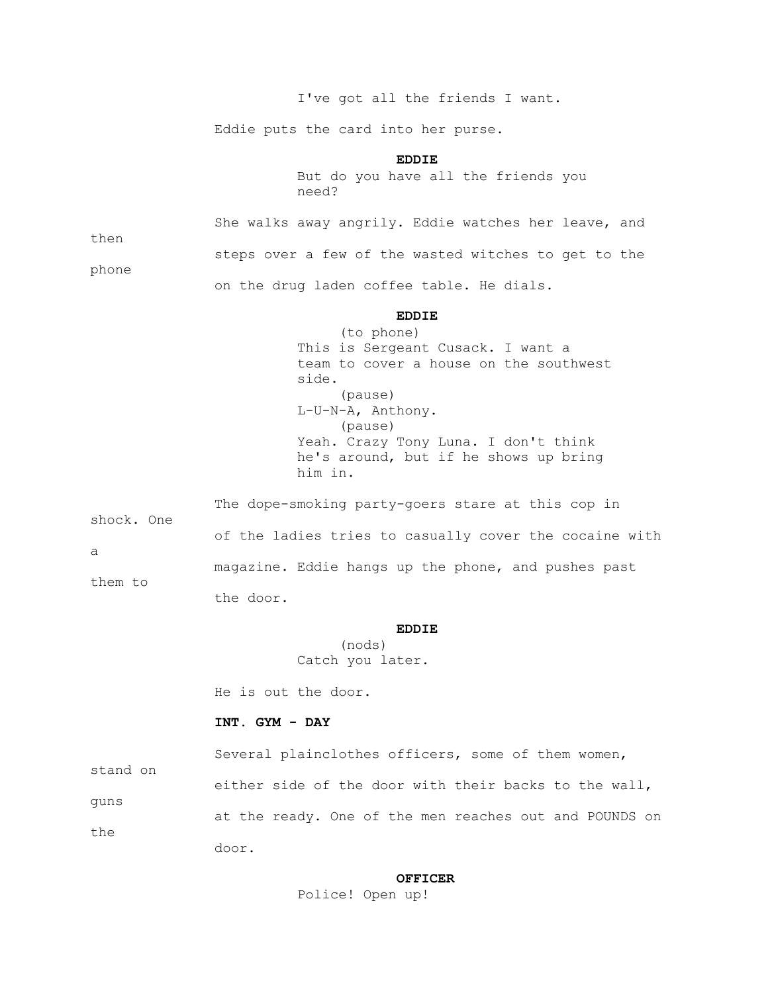I've got all the friends I want.

Eddie puts the card into her purse.

## **EDDIE**

 But do you have all the friends you need?

 She walks away angrily. Eddie watches her leave, and then steps over a few of the wasted witches to get to the phone on the drug laden coffee table. He dials.

### **EDDIE**

 (to phone) This is Sergeant Cusack. I want a team to cover a house on the southwest side. (pause) L-U-N-A, Anthony. (pause) Yeah. Crazy Tony Luna. I don't think he's around, but if he shows up bring him in.

 The dope-smoking party-goers stare at this cop in shock. One of the ladies tries to casually cover the cocaine with a magazine. Eddie hangs up the phone, and pushes past them to the door.

## **EDDIE**

 (nods) Catch you later.

He is out the door.

### **INT. GYM - DAY**

 Several plainclothes officers, some of them women, stand on either side of the door with their backs to the wall, guns at the ready. One of the men reaches out and POUNDS on the door.

### **OFFICER**

Police! Open up!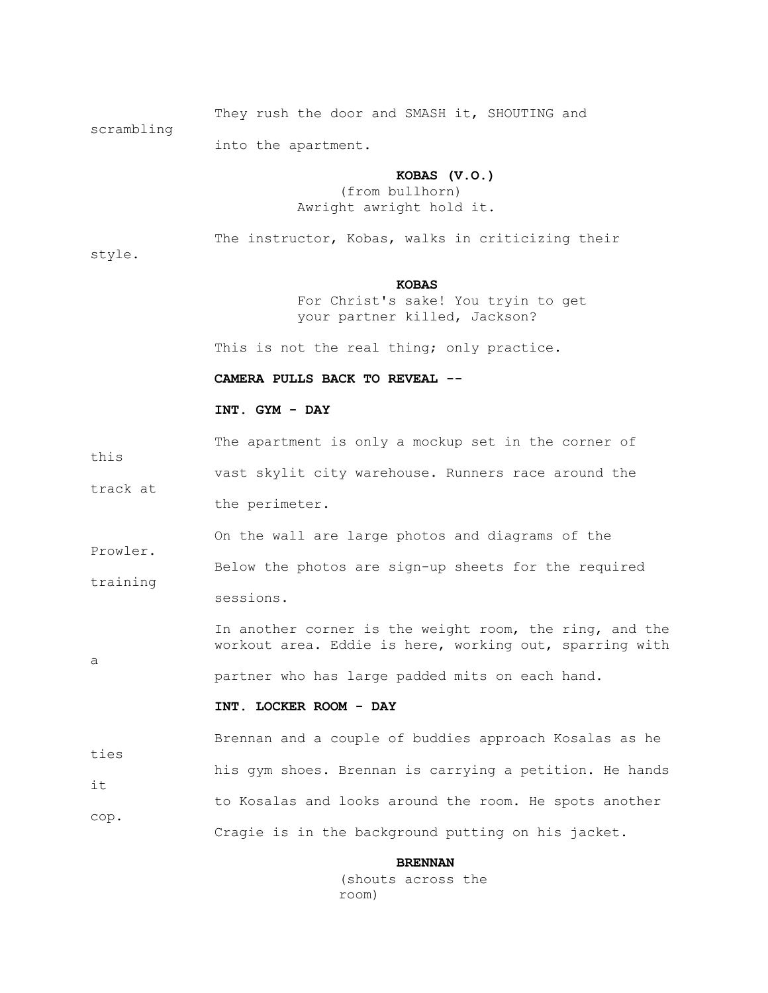They rush the door and SMASH it, SHOUTING and

scrambling

into the apartment.

#### **KOBAS (V.O.)**

 (from bullhorn) Awright awright hold it.

The instructor, Kobas, walks in criticizing their

style.

this

Prowler.

a

## *KOBAS*

 For Christ's sake! You tryin to get your partner killed, Jackson?

This is not the real thing; only practice.

 **CAMERA PULLS BACK TO REVEAL --**

# **INT. GYM - DAY**

The apartment is only a mockup set in the corner of

 vast skylit city warehouse. Runners race around the track at the perimeter.

On the wall are large photos and diagrams of the

 Below the photos are sign-up sheets for the required training

sessions.

 In another corner is the weight room, the ring, and the workout area. Eddie is here, working out, sparring with

partner who has large padded mits on each hand.

### **INT. LOCKER ROOM - DAY**

 Brennan and a couple of buddies approach Kosalas as he ties his gym shoes. Brennan is carrying a petition. He hands it to Kosalas and looks around the room. He spots another cop. Cragie is in the background putting on his jacket.

#### **BRENNAN**

 (shouts across the room)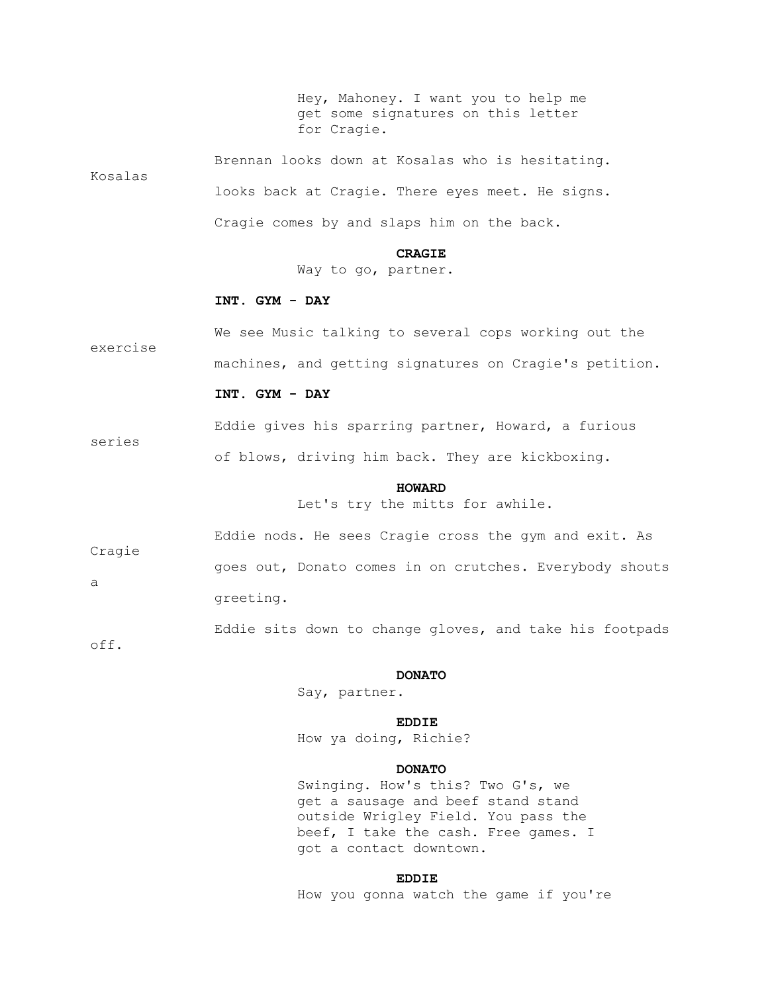Hey, Mahoney. I want you to help me get some signatures on this letter for Cragie.

 Brennan looks down at Kosalas who is hesitating. Kosalas looks back at Cragie. There eyes meet. He signs. Cragie comes by and slaps him on the back.

 **CRAGIE**

Way to go, partner.

### **INT. GYM - DAY**

 We see Music talking to several cops working out the exercise machines, and getting signatures on Cragie's petition.

#### **INT. GYM - DAY**

Eddie gives his sparring partner, Howard, a furious

of blows, driving him back. They are kickboxing.

#### **HOWARD**

Let's try the mitts for awhile.

 Eddie nods. He sees Cragie cross the gym and exit. As Cragie goes out, Donato comes in on crutches. Everybody shouts a greeting.

Eddie sits down to change gloves, and take his footpads

off.

series

#### **DONATO**

Say, partner.

## **EDDIE**

How ya doing, Richie?

### **DONATO**

 Swinging. How's this? Two G's, we get a sausage and beef stand stand outside Wrigley Field. You pass the beef, I take the cash. Free games. I got a contact downtown.

## **EDDIE**

How you gonna watch the game if you're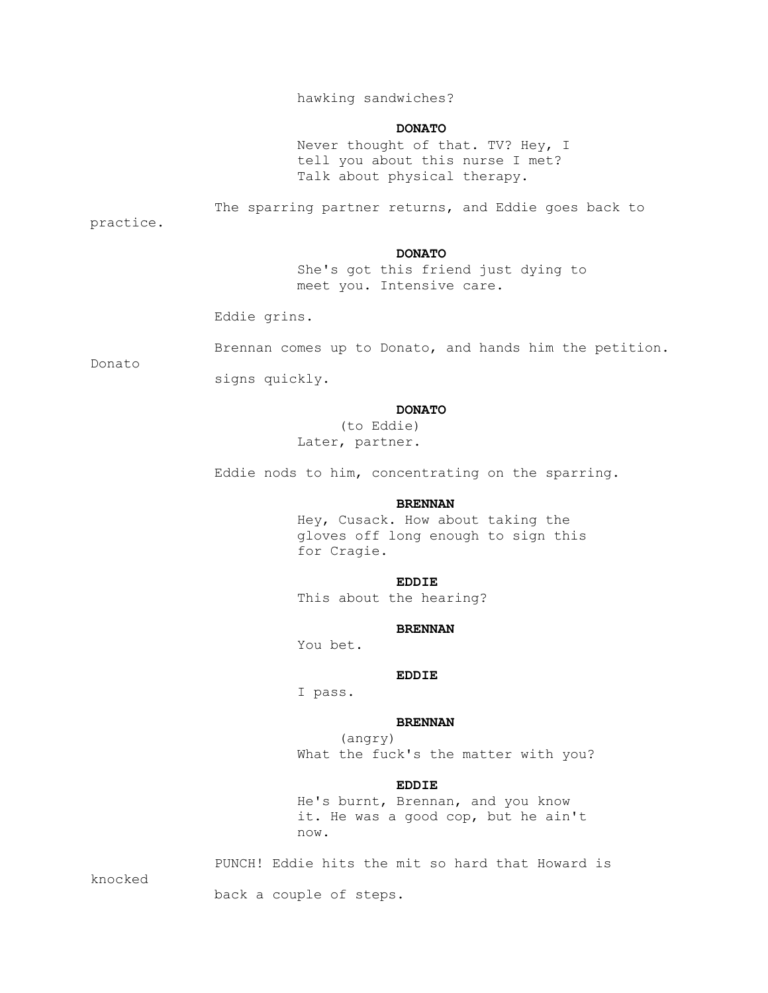# hawking sandwiches?

#### **DONATO**

 Never thought of that. TV? Hey, I tell you about this nurse I met? Talk about physical therapy.

The sparring partner returns, and Eddie goes back to

practice.

### **DONATO**

 She's got this friend just dying to meet you. Intensive care.

Eddie grins.

Brennan comes up to Donato, and hands him the petition.

Donato

signs quickly.

### **DONATO**

 (to Eddie) Later, partner.

Eddie nods to him, concentrating on the sparring.

### **BRENNAN**

 Hey, Cusack. How about taking the gloves off long enough to sign this for Cragie.

## **EDDIE**

This about the hearing?

### **BRENNAN**

You bet.

#### **EDDIE**

I pass.

### **BRENNAN**

 (angry) What the fuck's the matter with you?

### **EDDIE**

 He's burnt, Brennan, and you know it. He was a good cop, but he ain't now.

PUNCH! Eddie hits the mit so hard that Howard is

knocked

back a couple of steps.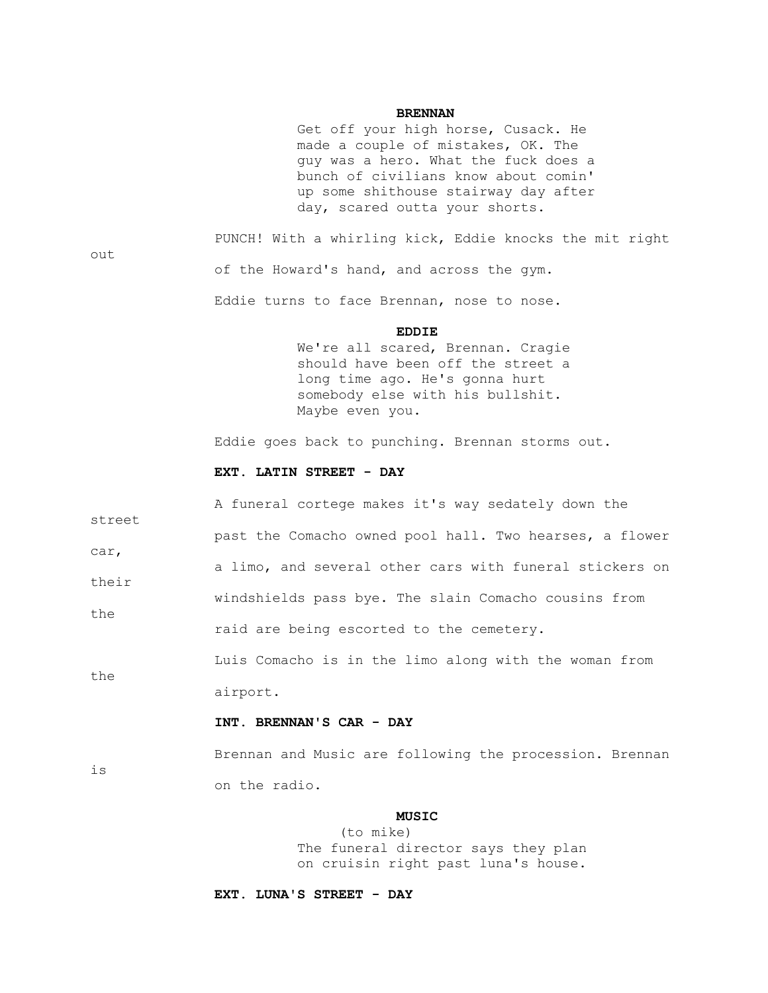#### **BRENNAN**

 Get off your high horse, Cusack. He made a couple of mistakes, OK. The guy was a hero. What the fuck does a bunch of civilians know about comin' up some shithouse stairway day after day, scared outta your shorts.

out

is

 PUNCH! With a whirling kick, Eddie knocks the mit right of the Howard's hand, and across the gym.

Eddie turns to face Brennan, nose to nose.

#### **EDDIE**

 We're all scared, Brennan. Cragie should have been off the street a long time ago. He's gonna hurt somebody else with his bullshit. Maybe even you.

Eddie goes back to punching. Brennan storms out.

#### **EXT. LATIN STREET - DAY**

 A funeral cortege makes it's way sedately down the street past the Comacho owned pool hall. Two hearses, a flower car, a limo, and several other cars with funeral stickers on their windshields pass bye. The slain Comacho cousins from the raid are being escorted to the cemetery. Luis Comacho is in the limo along with the woman from the

airport.

### **INT. BRENNAN'S CAR - DAY**

 Brennan and Music are following the procession. Brennan on the radio.

## *MUSIC*

 (to mike) The funeral director says they plan on cruisin right past luna's house.

 **EXT. LUNA'S STREET - DAY**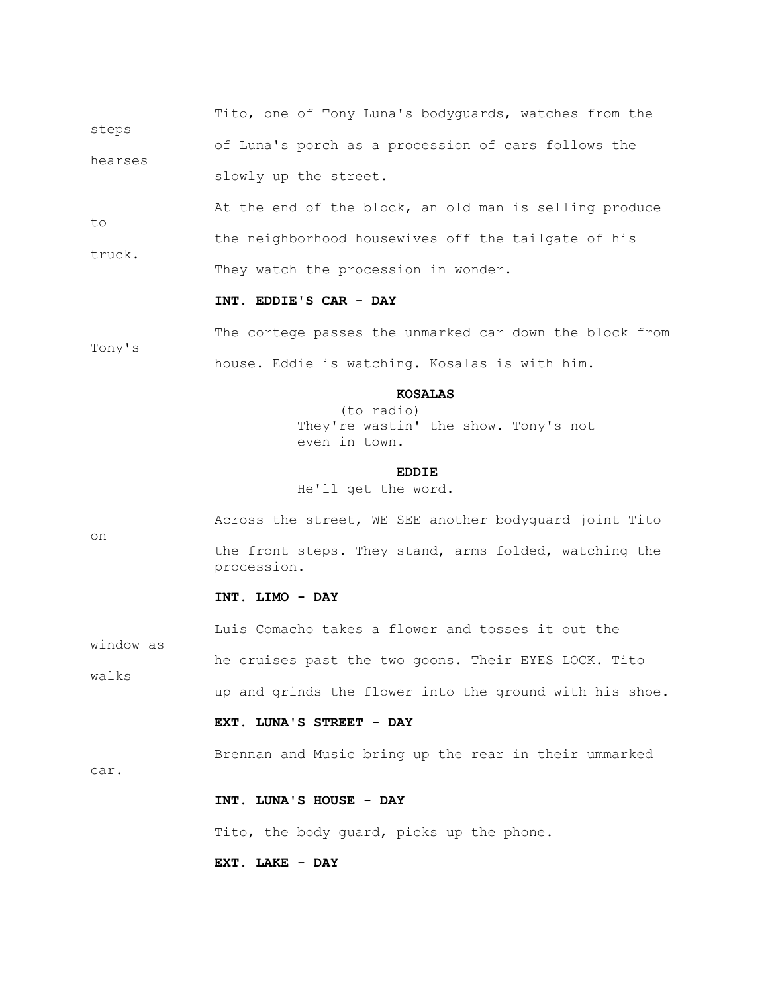Tito, one of Tony Luna's bodyguards, watches from the steps of Luna's porch as a procession of cars follows the hearses slowly up the street.

to

car.

 At the end of the block, an old man is selling produce the neighborhood housewives off the tailgate of his truck. They watch the procession in wonder.

### **INT. EDDIE'S CAR - DAY**

 The cortege passes the unmarked car down the block from Tony's house. Eddie is watching. Kosalas is with him.

### **KOSALAS**

 (to radio) They're wastin' the show. Tony's not even in town.

## **EDDIE**

He'll get the word.

 Across the street, WE SEE another bodyguard joint Tito on the front steps. They stand, arms folded, watching the procession.

# **INT. LIMO - DAY**

 Luis Comacho takes a flower and tosses it out the window as he cruises past the two goons. Their EYES LOCK. Tito walks up and grinds the flower into the ground with his shoe.

# **EXT. LUNA'S STREET - DAY**

Brennan and Music bring up the rear in their ummarked

# **INT. LUNA'S HOUSE - DAY**

Tito, the body guard, picks up the phone.

### **EXT. LAKE - DAY**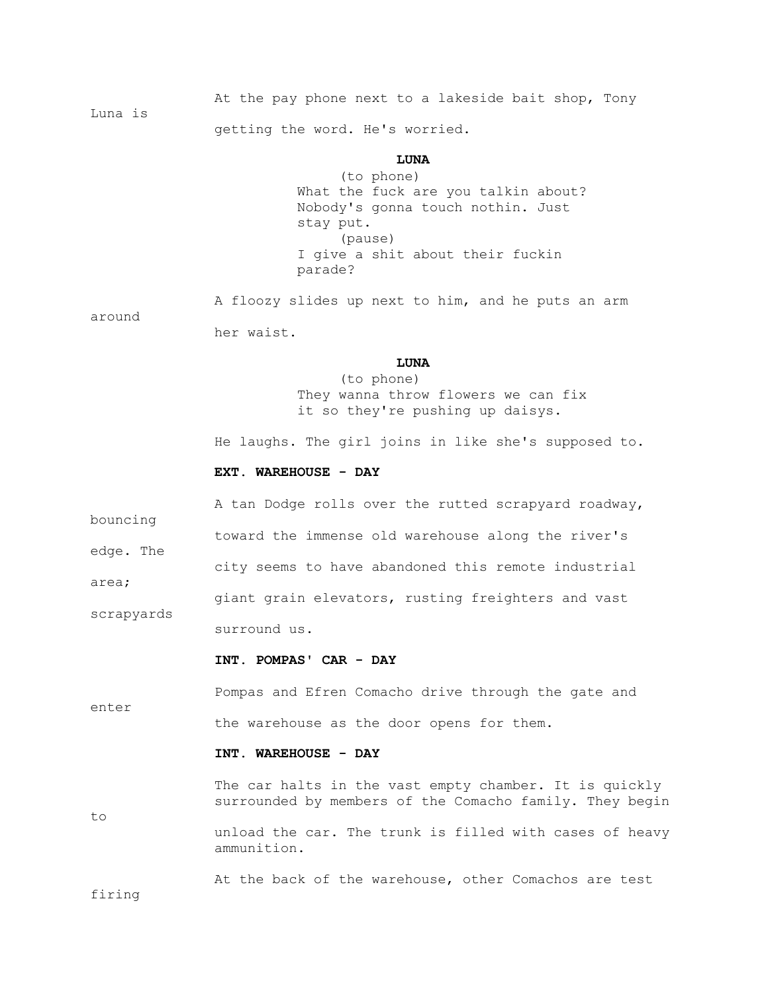At the pay phone next to a lakeside bait shop, Tony Luna is getting the word. He's worried.

## **LUNA**

 (to phone) What the fuck are you talkin about? Nobody's gonna touch nothin. Just stay put. (pause) I give a shit about their fuckin parade?

 A floozy slides up next to him, and he puts an arm around her waist.

## **LUNA**

 (to phone) They wanna throw flowers we can fix it so they're pushing up daisys.

He laughs. The girl joins in like she's supposed to.

### **EXT. WAREHOUSE - DAY**

 A tan Dodge rolls over the rutted scrapyard roadway, bouncing toward the immense old warehouse along the river's edge. The city seems to have abandoned this remote industrial area; giant grain elevators, rusting freighters and vast scrapyards surround us.

### **INT. POMPAS' CAR - DAY**

 Pompas and Efren Comacho drive through the gate and enter the warehouse as the door opens for them.

### **INT. WAREHOUSE - DAY**

The car halts in the vast empty chamber. It is quickly surrounded by members of the Comacho family. They begin to unload the car. The trunk is filled with cases of heavy ammunition.

At the back of the warehouse, other Comachos are test

firing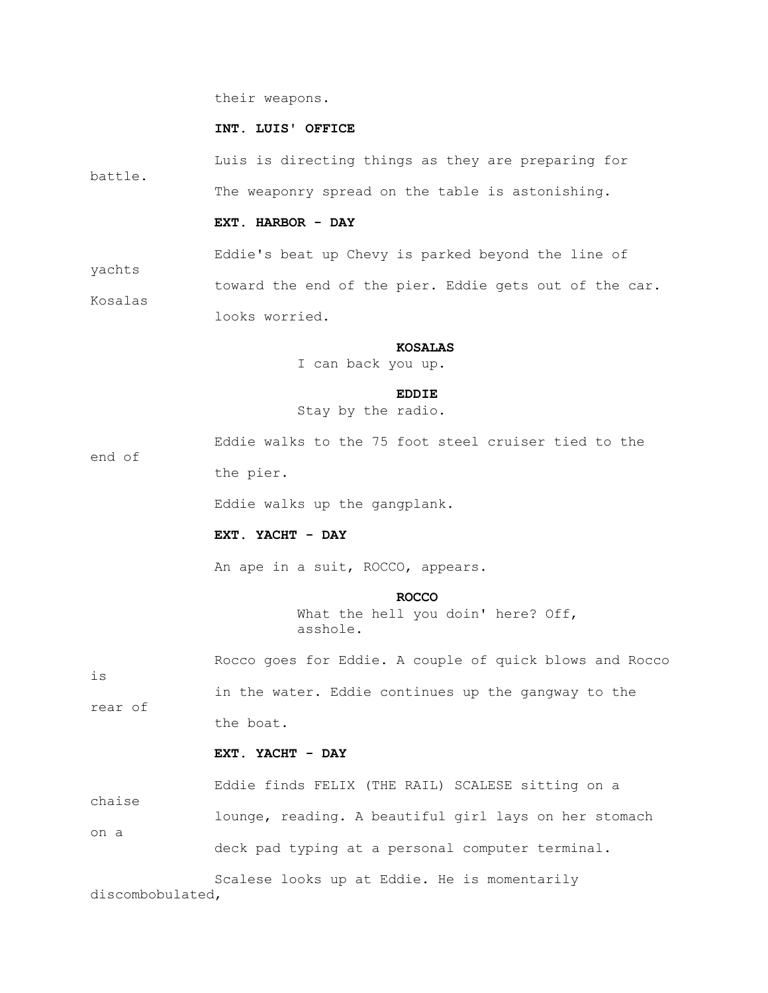their weapons.

### **INT. LUIS' OFFICE**

 Luis is directing things as they are preparing for battle. The weaponry spread on the table is astonishing.

#### **EXT. HARBOR - DAY**

Eddie's beat up Chevy is parked beyond the line of

 toward the end of the pier. Eddie gets out of the car. Kosalas looks worried.

#### **KOSALAS**

I can back you up.

#### **EDDIE**

Stay by the radio.

 Eddie walks to the 75 foot steel cruiser tied to the end of

the pier.

yachts

Eddie walks up the gangplank.

# **EXT. YACHT - DAY**

An ape in a suit, ROCCO, appears.

#### **ROCCO**

What the hell you doin' here? Off, asshole.

 Rocco goes for Eddie. A couple of quick blows and Rocco is in the water. Eddie continues up the gangway to the rear of the boat.

# **EXT. YACHT - DAY**

 Eddie finds FELIX (THE RAIL) SCALESE sitting on a chaise lounge, reading. A beautiful girl lays on her stomach on a deck pad typing at a personal computer terminal.

 Scalese looks up at Eddie. He is momentarily discombobulated,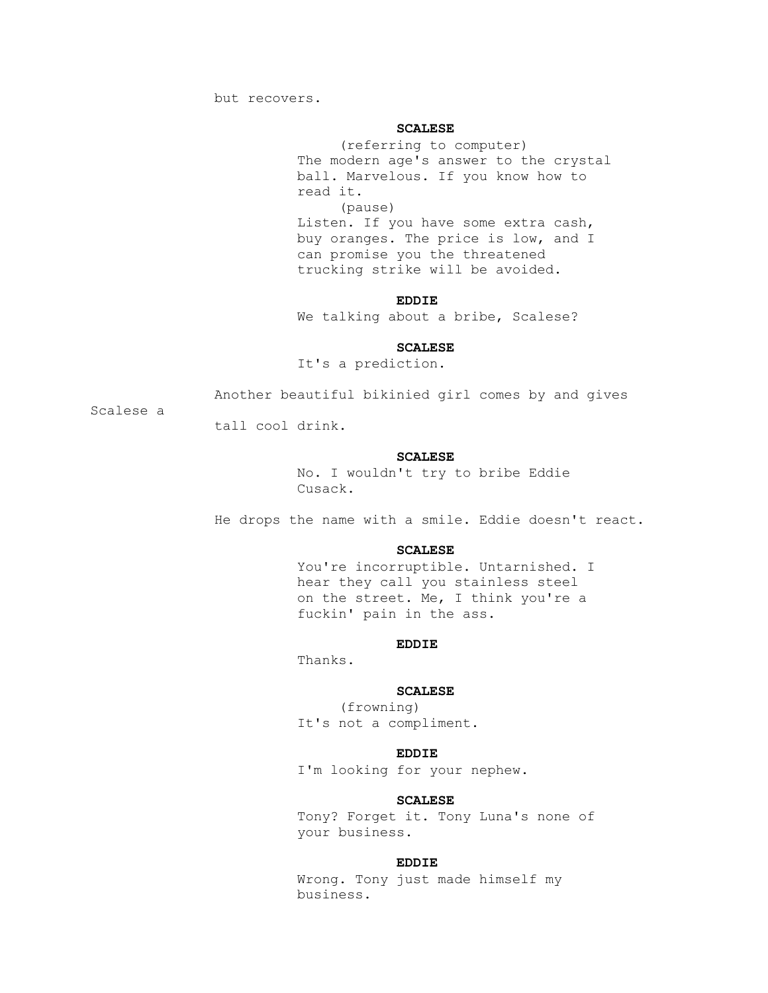but recovers.

### **SCALESE**

 (referring to computer) The modern age's answer to the crystal ball. Marvelous. If you know how to read it. (pause) Listen. If you have some extra cash, buy oranges. The price is low, and I can promise you the threatened trucking strike will be avoided.

## **EDDIE**

We talking about a bribe, Scalese?

#### **SCALESE**

It's a prediction.

Scalese a

Another beautiful bikinied girl comes by and gives

tall cool drink.

### **SCALESE**

 No. I wouldn't try to bribe Eddie Cusack.

He drops the name with a smile. Eddie doesn't react.

#### **SCALESE**

You're incorruptible. Untarnished. I hear they call you stainless steel on the street. Me, I think you're a fuckin' pain in the ass.

## **EDDIE**

Thanks.

# **SCALESE**

 (frowning) It's not a compliment.

## **EDDIE**

I'm looking for your nephew.

#### **SCALESE**

 Tony? Forget it. Tony Luna's none of your business.

### **EDDIE**

 Wrong. Tony just made himself my business.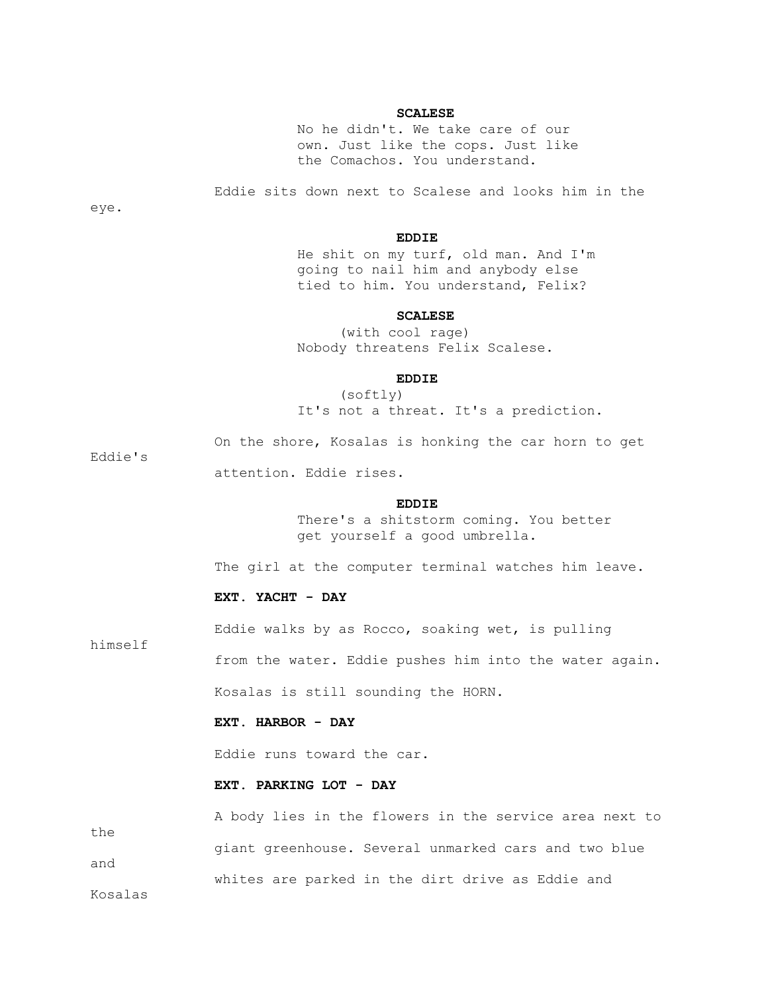### **SCALESE**

 No he didn't. We take care of our own. Just like the cops. Just like the Comachos. You understand.

Eddie sits down next to Scalese and looks him in the

eye.

Eddie's

himself

## **EDDIE**

 He shit on my turf, old man. And I'm going to nail him and anybody else tied to him. You understand, Felix?

#### **SCALESE**

 (with cool rage) Nobody threatens Felix Scalese.

## **EDDIE**

 (softly) It's not a threat. It's a prediction.

On the shore, Kosalas is honking the car horn to get

attention. Eddie rises.

#### **EDDIE**

 There's a shitstorm coming. You better get yourself a good umbrella.

The girl at the computer terminal watches him leave.

### **EXT. YACHT - DAY**

Eddie walks by as Rocco, soaking wet, is pulling

from the water. Eddie pushes him into the water again.

Kosalas is still sounding the HORN.

# **EXT. HARBOR - DAY**

Eddie runs toward the car.

### **EXT. PARKING LOT - DAY**

 A body lies in the flowers in the service area next to the giant greenhouse. Several unmarked cars and two blue and whites are parked in the dirt drive as Eddie and Kosalas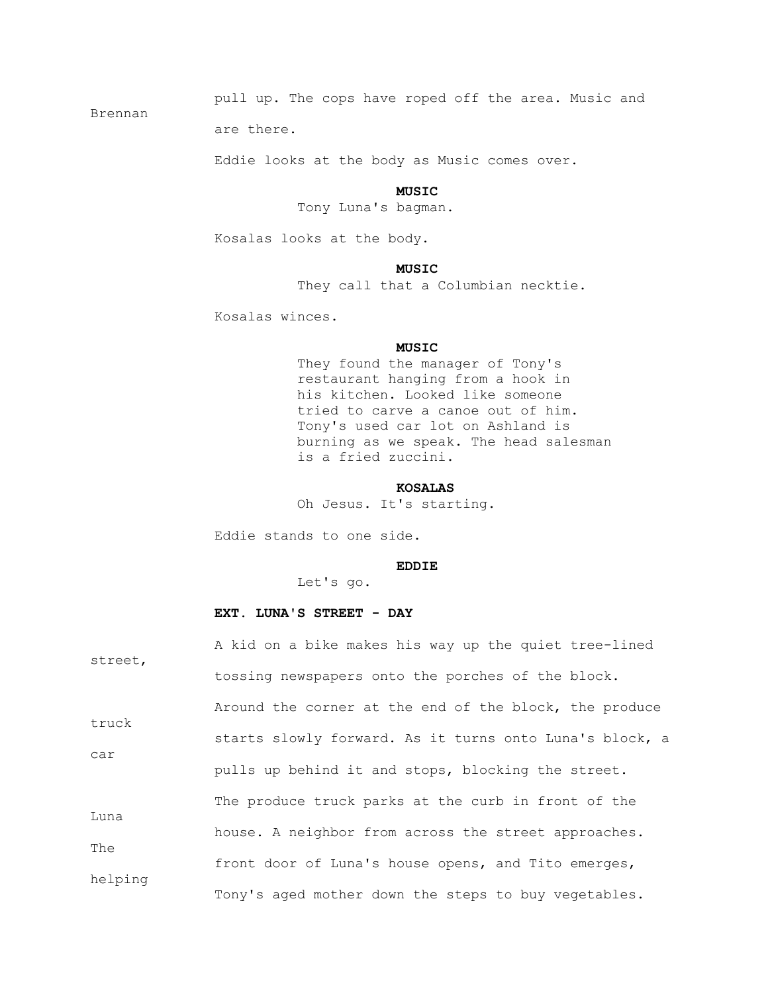pull up. The cops have roped off the area. Music and

are there.

Brennan

Eddie looks at the body as Music comes over.

### **MUSIC**

Tony Luna's bagman.

Kosalas looks at the body.

## **MUSIC**

They call that a Columbian necktie.

Kosalas winces.

### **MUSIC**

 They found the manager of Tony's restaurant hanging from a hook in his kitchen. Looked like someone tried to carve a canoe out of him. Tony's used car lot on Ashland is burning as we speak. The head salesman is a fried zuccini.

### **KOSALAS**

Oh Jesus. It's starting.

Eddie stands to one side.

### **EDDIE**

Let's go.

# **EXT. LUNA'S STREET - DAY**

| street,     | A kid on a bike makes his way up the quiet tree-lined   |  |  |  |  |  |  |  |
|-------------|---------------------------------------------------------|--|--|--|--|--|--|--|
|             | tossing newspapers onto the porches of the block.       |  |  |  |  |  |  |  |
| truck       | Around the corner at the end of the block, the produce  |  |  |  |  |  |  |  |
| car         | starts slowly forward. As it turns onto Luna's block, a |  |  |  |  |  |  |  |
|             | pulls up behind it and stops, blocking the street.      |  |  |  |  |  |  |  |
| Luna<br>The | The produce truck parks at the curb in front of the     |  |  |  |  |  |  |  |
|             | house. A neighbor from across the street approaches.    |  |  |  |  |  |  |  |
| helping     | front door of Luna's house opens, and Tito emerges,     |  |  |  |  |  |  |  |
|             | Tony's aged mother down the steps to buy vegetables.    |  |  |  |  |  |  |  |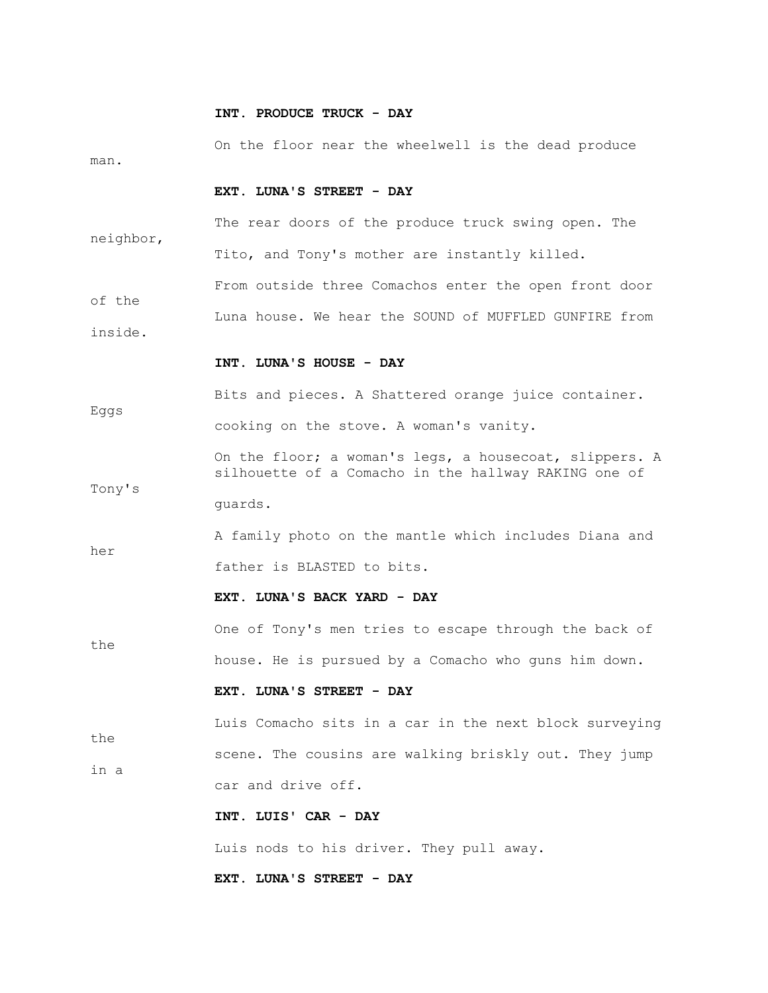#### **INT. PRODUCE TRUCK - DAY**

 On the floor near the wheelwell is the dead produce man.

# **EXT. LUNA'S STREET - DAY**

 The rear doors of the produce truck swing open. The neighbor, Tito, and Tony's mother are instantly killed.

 From outside three Comachos enter the open front door of the Luna house. We hear the SOUND of MUFFLED GUNFIRE from inside.

#### **INT. LUNA'S HOUSE - DAY**

Tony's

the

 Bits and pieces. A Shattered orange juice container. Eggs

cooking on the stove. A woman's vanity.

 On the floor; a woman's legs, a housecoat, slippers. A silhouette of a Comacho in the hallway RAKING one of guards.

 A family photo on the mantle which includes Diana and her father is BLASTED to bits.

### **EXT. LUNA'S BACK YARD - DAY**

 One of Tony's men tries to escape through the back of house. He is pursued by a Comacho who guns him down.

#### **EXT. LUNA'S STREET - DAY**

 Luis Comacho sits in a car in the next block surveying the scene. The cousins are walking briskly out. They jump in a car and drive off.

 **INT. LUIS' CAR - DAY**

Luis nods to his driver. They pull away.

 **EXT. LUNA'S STREET - DAY**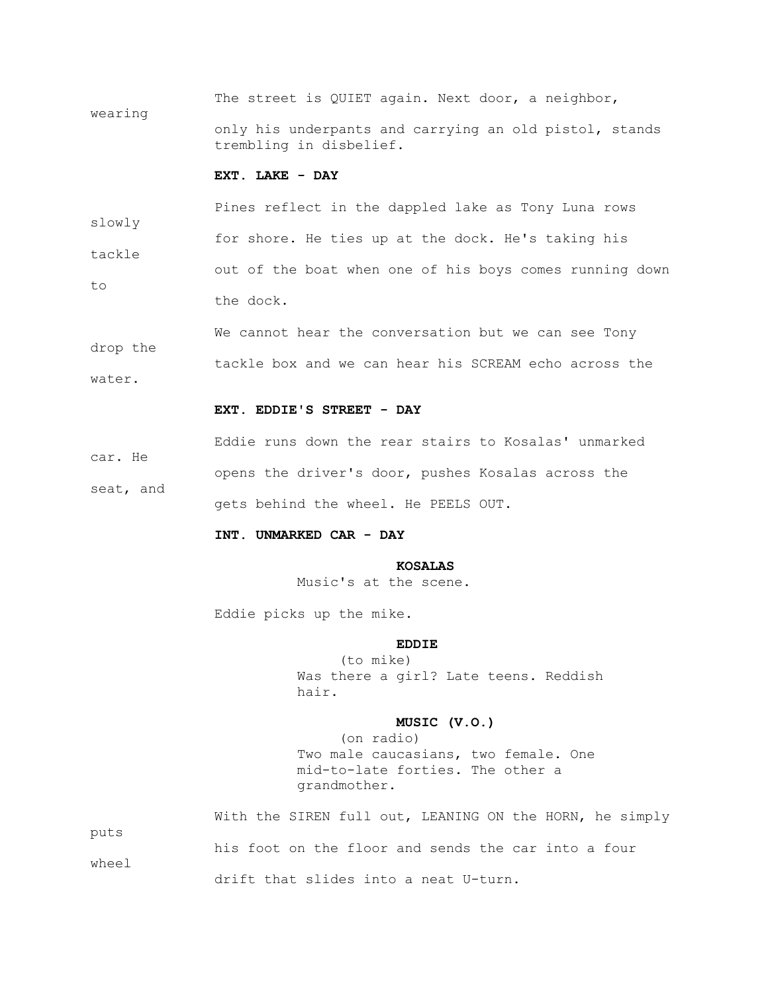The street is QUIET again. Next door, a neighbor, wearing only his underpants and carrying an old pistol, stands trembling in disbelief.

### **EXT. LAKE - DAY**

 Pines reflect in the dappled lake as Tony Luna rows slowly for shore. He ties up at the dock. He's taking his tackle out of the boat when one of his boys comes running down to the dock.

 We cannot hear the conversation but we can see Tony drop the tackle box and we can hear his SCREAM echo across the water.

#### **EXT. EDDIE'S STREET - DAY**

 Eddie runs down the rear stairs to Kosalas' unmarked car. He opens the driver's door, pushes Kosalas across the seat, and gets behind the wheel. He PEELS OUT.

### **INT. UNMARKED CAR - DAY**

# **KOSALAS**

Music's at the scene.

Eddie picks up the mike.

## **EDDIE**

 (to mike) Was there a girl? Late teens. Reddish hair.

# **MUSIC (V.O.)**

 (on radio) Two male caucasians, two female. One mid-to-late forties. The other a grandmother.

With the SIREN full out, LEANING ON the HORN, he simply puts his foot on the floor and sends the car into a four wheel drift that slides into a neat U-turn.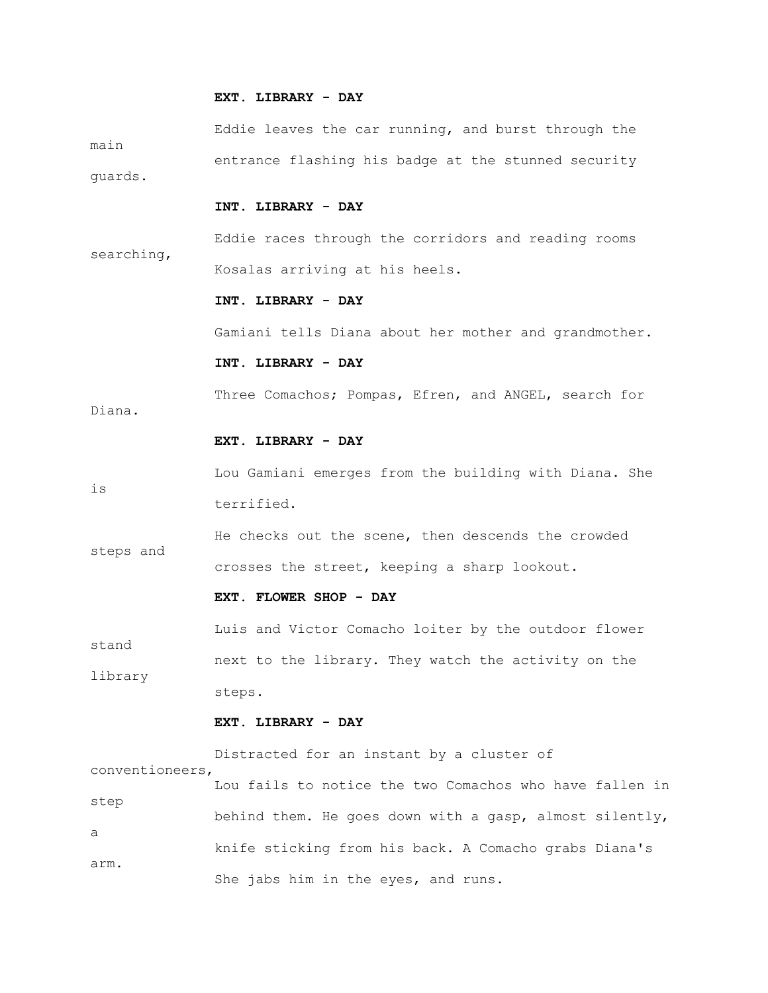#### **EXT. LIBRARY - DAY**

 Eddie leaves the car running, and burst through the main entrance flashing his badge at the stunned security guards.

# **INT. LIBRARY - DAY**

 Eddie races through the corridors and reading rooms searching, Kosalas arriving at his heels.

### **INT. LIBRARY - DAY**

Gamiani tells Diana about her mother and grandmother.

## **INT. LIBRARY - DAY**

Three Comachos; Pompas, Efren, and ANGEL, search for

Diana.

# **EXT. LIBRARY - DAY**

 Lou Gamiani emerges from the building with Diana. She is terrified.

 He checks out the scene, then descends the crowded steps and crosses the street, keeping a sharp lookout.

### **EXT. FLOWER SHOP - DAY**

 Luis and Victor Comacho loiter by the outdoor flower stand next to the library. They watch the activity on the library steps.

### **EXT. LIBRARY - DAY**

 Distracted for an instant by a cluster of conventioneers, Lou fails to notice the two Comachos who have fallen in step behind them. He goes down with a gasp, almost silently, a knife sticking from his back. A Comacho grabs Diana's arm. She jabs him in the eyes, and runs.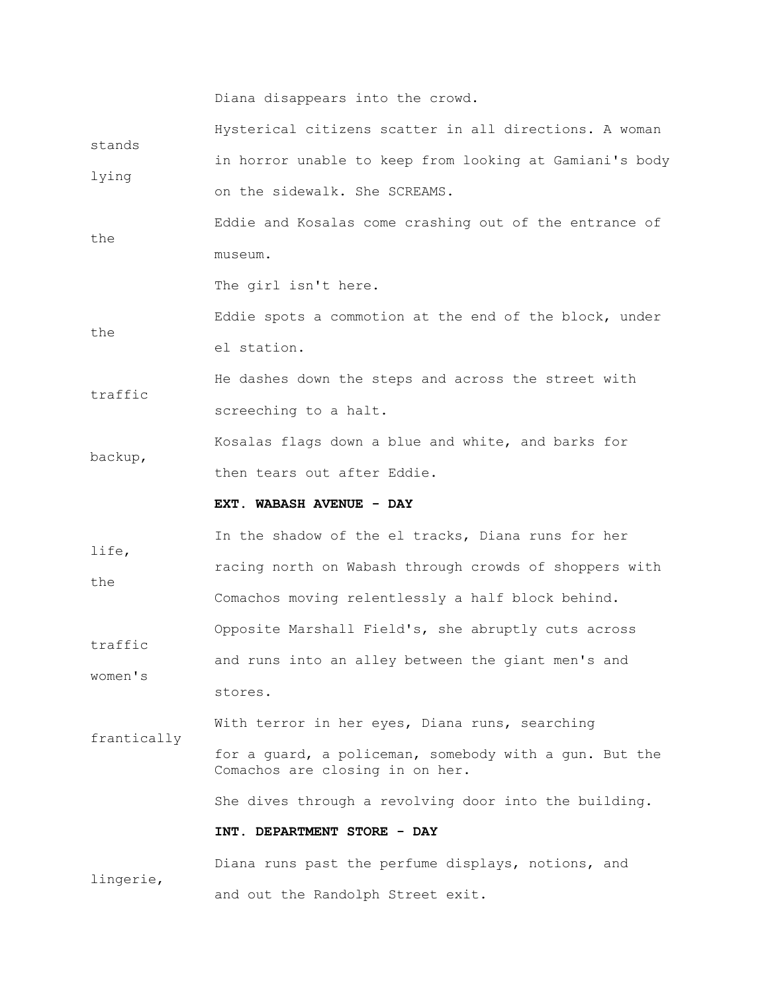Diana disappears into the crowd.

| stands      | Hysterical citizens scatter in all directions. A woman                                    |  |  |  |  |  |  |
|-------------|-------------------------------------------------------------------------------------------|--|--|--|--|--|--|
|             | in horror unable to keep from looking at Gamiani's body                                   |  |  |  |  |  |  |
| lying       | on the sidewalk. She SCREAMS.                                                             |  |  |  |  |  |  |
| the         | Eddie and Kosalas come crashing out of the entrance of                                    |  |  |  |  |  |  |
|             | museum.                                                                                   |  |  |  |  |  |  |
|             | The girl isn't here.                                                                      |  |  |  |  |  |  |
|             | Eddie spots a commotion at the end of the block, under                                    |  |  |  |  |  |  |
| the         | el station.                                                                               |  |  |  |  |  |  |
| traffic     | He dashes down the steps and across the street with                                       |  |  |  |  |  |  |
|             | screeching to a halt.                                                                     |  |  |  |  |  |  |
|             | Kosalas flags down a blue and white, and barks for                                        |  |  |  |  |  |  |
| backup,     | then tears out after Eddie.                                                               |  |  |  |  |  |  |
|             | EXT. WABASH AVENUE - DAY                                                                  |  |  |  |  |  |  |
| life,       | In the shadow of the el tracks, Diana runs for her                                        |  |  |  |  |  |  |
| the         | racing north on Wabash through crowds of shoppers with                                    |  |  |  |  |  |  |
|             | Comachos moving relentlessly a half block behind.                                         |  |  |  |  |  |  |
|             |                                                                                           |  |  |  |  |  |  |
|             | Opposite Marshall Field's, she abruptly cuts across                                       |  |  |  |  |  |  |
| traffic     | and runs into an alley between the giant men's and                                        |  |  |  |  |  |  |
| women's     | stores.                                                                                   |  |  |  |  |  |  |
|             | With terror in her eyes, Diana runs, searching                                            |  |  |  |  |  |  |
| frantically | for a quard, a policeman, somebody with a qun. But the<br>Comachos are closing in on her. |  |  |  |  |  |  |
|             | She dives through a revolving door into the building.                                     |  |  |  |  |  |  |
|             | INT. DEPARTMENT STORE - DAY                                                               |  |  |  |  |  |  |

and out the Randolph Street exit.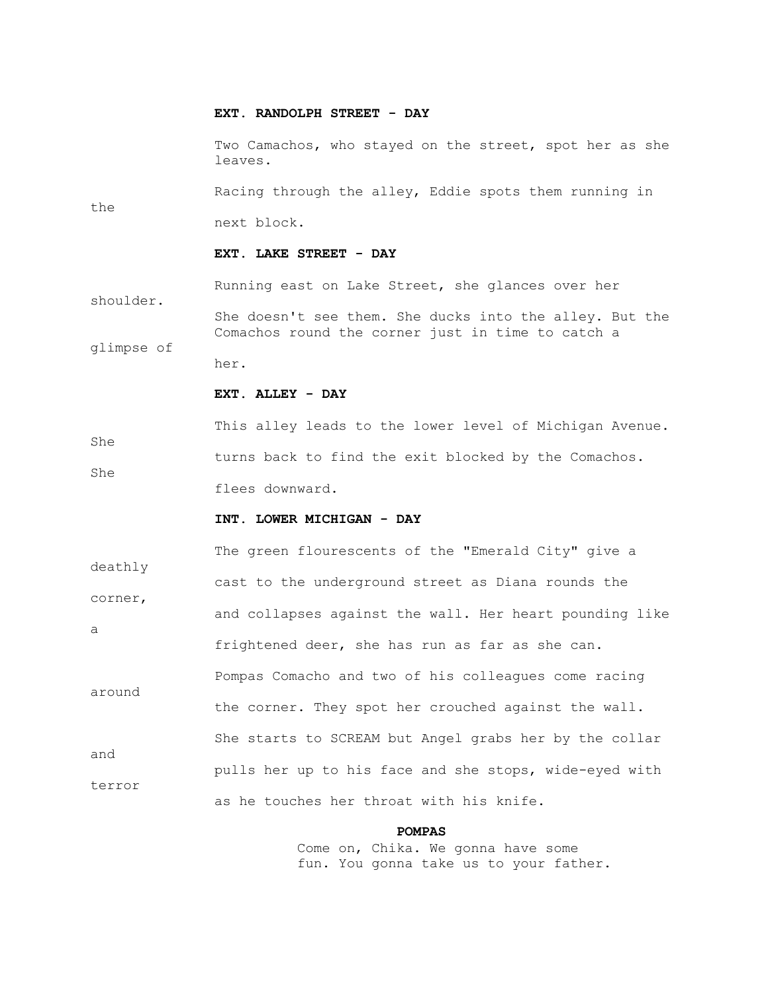#### **EXT. RANDOLPH STREET - DAY**

 Two Camachos, who stayed on the street, spot her as she leaves.

 Racing through the alley, Eddie spots them running in the next block.

#### **EXT. LAKE STREET - DAY**

 Running east on Lake Street, she glances over her shoulder. She doesn't see them. She ducks into the alley. But the Comachos round the corner just in time to catch a glimpse of her.

### **EXT. ALLEY - DAY**

 This alley leads to the lower level of Michigan Avenue. She turns back to find the exit blocked by the Comachos. She flees downward.

### **INT. LOWER MICHIGAN - DAY**

 The green flourescents of the "Emerald City" give a deathly cast to the underground street as Diana rounds the corner, and collapses against the wall. Her heart pounding like a frightened deer, she has run as far as she can. Pompas Comacho and two of his colleagues come racing around the corner. They spot her crouched against the wall. She starts to SCREAM but Angel grabs her by the collar and pulls her up to his face and she stops, wide-eyed with terror as he touches her throat with his knife.

#### **POMPAS**

 Come on, Chika. We gonna have some fun. You gonna take us to your father.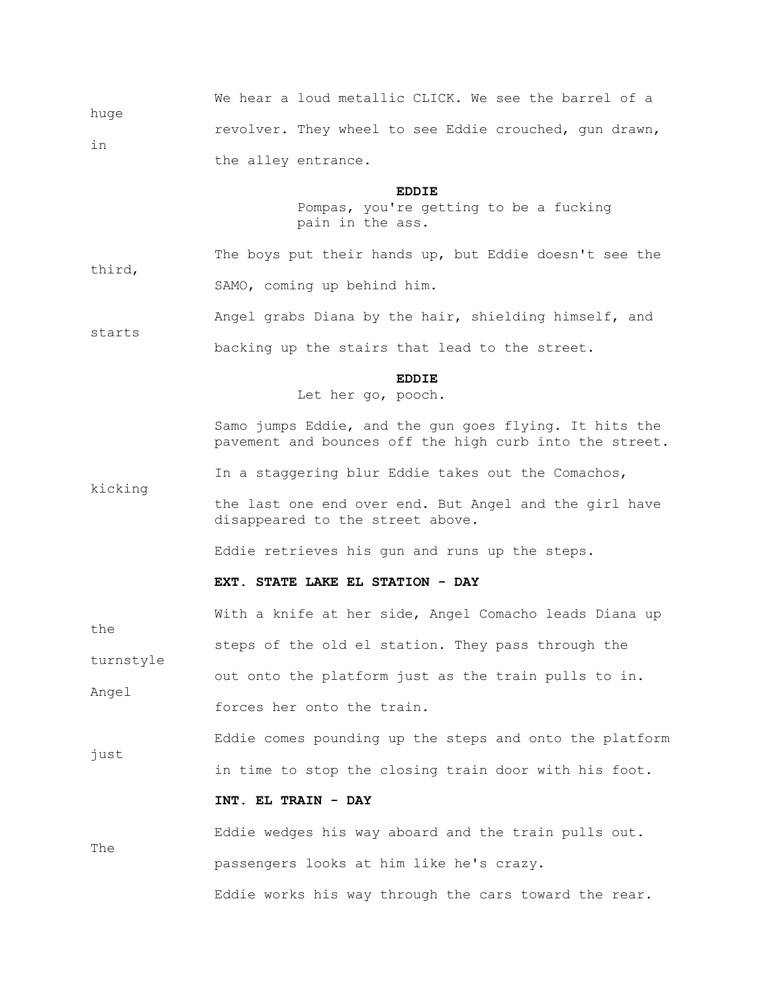| huge | We hear a loud metallic CLICK. We see the barrel of a  |  |  |  |  |  |
|------|--------------------------------------------------------|--|--|--|--|--|
| in   | revolver. They wheel to see Eddie crouched, gun drawn, |  |  |  |  |  |
|      | the alley entrance.                                    |  |  |  |  |  |

## **EDDIE**

 Pompas, you're getting to be a fucking pain in the ass.

 The boys put their hands up, but Eddie doesn't see the third, SAMO, coming up behind him.

Angel grabs Diana by the hair, shielding himself, and

backing up the stairs that lead to the street.

starts

kicking

## **EDDIE**

Let her go, pooch.

 Samo jumps Eddie, and the gun goes flying. It hits the pavement and bounces off the high curb into the street.

In a staggering blur Eddie takes out the Comachos,

 the last one end over end. But Angel and the girl have disappeared to the street above.

Eddie retrieves his gun and runs up the steps.

### **EXT. STATE LAKE EL STATION - DAY**

 With a knife at her side, Angel Comacho leads Diana up the steps of the old el station. They pass through the turnstyle out onto the platform just as the train pulls to in. Angel forces her onto the train. Eddie comes pounding up the steps and onto the platform just in time to stop the closing train door with his foot.  **INT. EL TRAIN - DAY**

 Eddie wedges his way aboard and the train pulls out. The passengers looks at him like he's crazy. Eddie works his way through the cars toward the rear.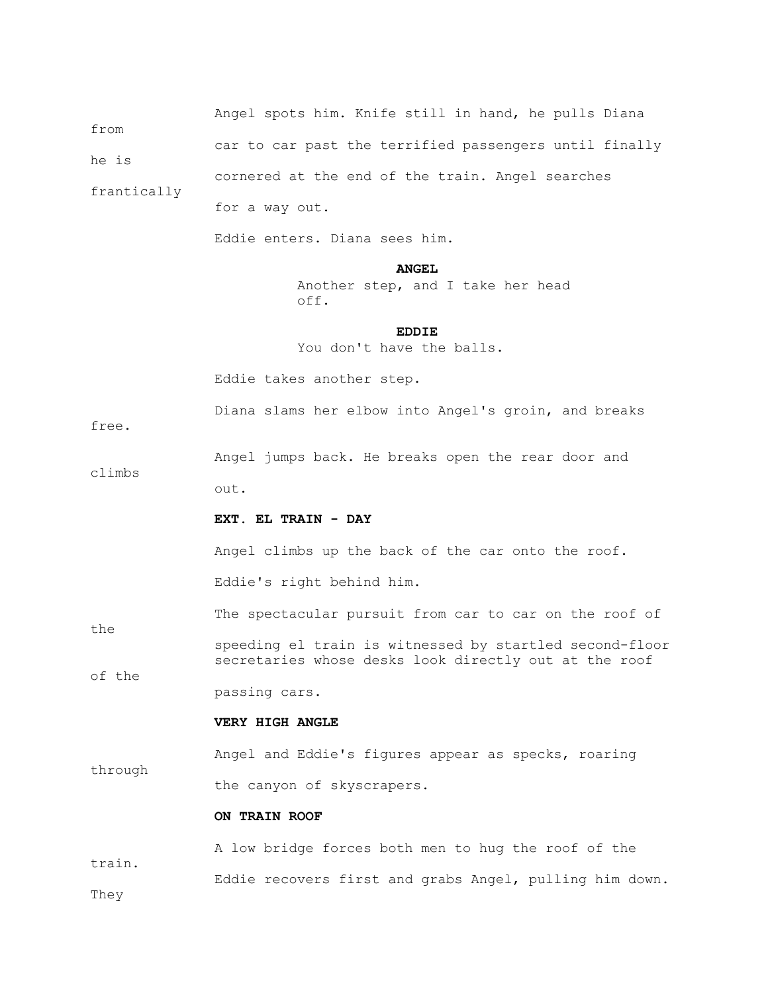| from        |                                                                                                                  |  |  |  |  |  |  |  |
|-------------|------------------------------------------------------------------------------------------------------------------|--|--|--|--|--|--|--|
| he is       | car to car past the terrified passengers until finally                                                           |  |  |  |  |  |  |  |
|             | cornered at the end of the train. Angel searches                                                                 |  |  |  |  |  |  |  |
| frantically | for a way out.                                                                                                   |  |  |  |  |  |  |  |
|             | Eddie enters. Diana sees him.                                                                                    |  |  |  |  |  |  |  |
|             | <b>ANGEL</b><br>Another step, and I take her head<br>off.                                                        |  |  |  |  |  |  |  |
|             | <b>EDDIE</b><br>You don't have the balls.                                                                        |  |  |  |  |  |  |  |
|             | Eddie takes another step.                                                                                        |  |  |  |  |  |  |  |
| free.       | Diana slams her elbow into Angel's groin, and breaks                                                             |  |  |  |  |  |  |  |
|             | Angel jumps back. He breaks open the rear door and                                                               |  |  |  |  |  |  |  |
| climbs      | out.                                                                                                             |  |  |  |  |  |  |  |
|             | EXT. EL TRAIN - DAY                                                                                              |  |  |  |  |  |  |  |
|             | Angel climbs up the back of the car onto the roof.                                                               |  |  |  |  |  |  |  |
|             | Eddie's right behind him.                                                                                        |  |  |  |  |  |  |  |
| the         | The spectacular pursuit from car to car on the roof of                                                           |  |  |  |  |  |  |  |
| of the      | speeding el train is witnessed by startled second-floor<br>secretaries whose desks look directly out at the roof |  |  |  |  |  |  |  |
|             | passing cars.                                                                                                    |  |  |  |  |  |  |  |
|             | VERY HIGH ANGLE                                                                                                  |  |  |  |  |  |  |  |
| through     | Angel and Eddie's figures appear as specks, roaring                                                              |  |  |  |  |  |  |  |
|             | the canyon of skyscrapers.                                                                                       |  |  |  |  |  |  |  |

Angel spots him. Knife still in hand, he pulls Diana

# **ON TRAIN ROOF**

 A low bridge forces both men to hug the roof of the train. Eddie recovers first and grabs Angel, pulling him down. They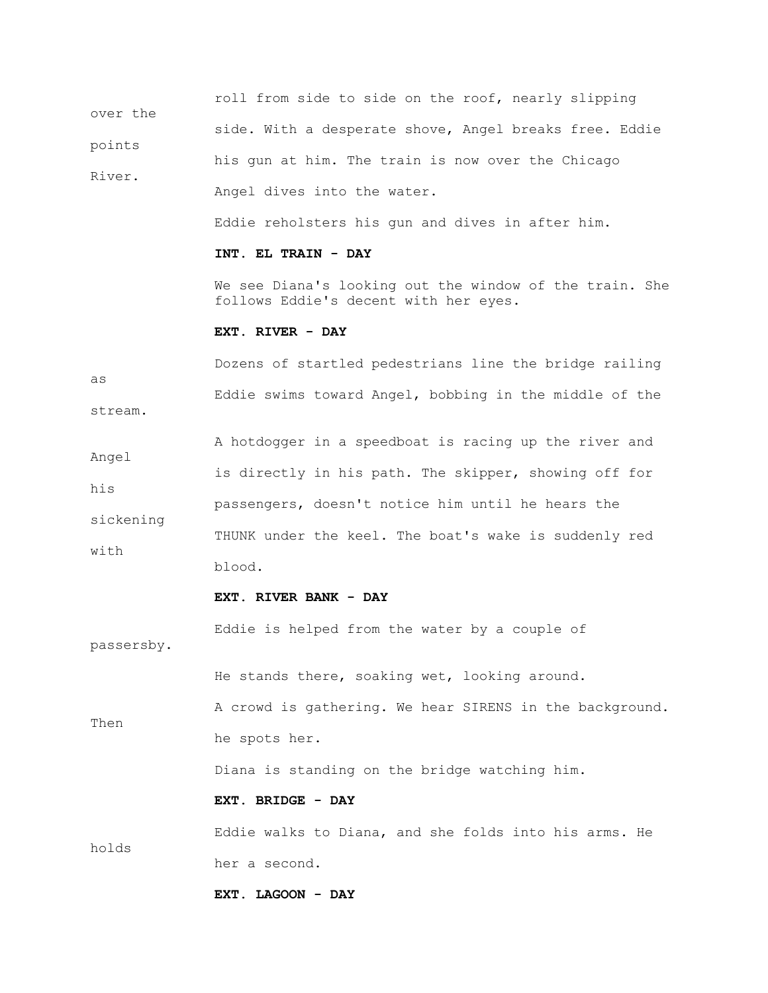roll from side to side on the roof, nearly slipping over the side. With a desperate shove, Angel breaks free. Eddie points his gun at him. The train is now over the Chicago River. Angel dives into the water. Eddie reholsters his gun and dives in after him.  **INT. EL TRAIN - DAY** We see Diana's looking out the window of the train. She follows Eddie's decent with her eyes.  **EXT. RIVER - DAY** Dozens of startled pedestrians line the bridge railing

as Eddie swims toward Angel, bobbing in the middle of the stream.

 A hotdogger in a speedboat is racing up the river and Angel is directly in his path. The skipper, showing off for his passengers, doesn't notice him until he hears the sickening THUNK under the keel. The boat's wake is suddenly red with blood.

### **EXT. RIVER BANK - DAY**

Eddie is helped from the water by a couple of

passersby.

He stands there, soaking wet, looking around.

 A crowd is gathering. We hear SIRENS in the background. Then he spots her.

Diana is standing on the bridge watching him.

### **EXT. BRIDGE - DAY**

 Eddie walks to Diana, and she folds into his arms. He holds her a second.

```
 EXT. LAGOON - DAY
```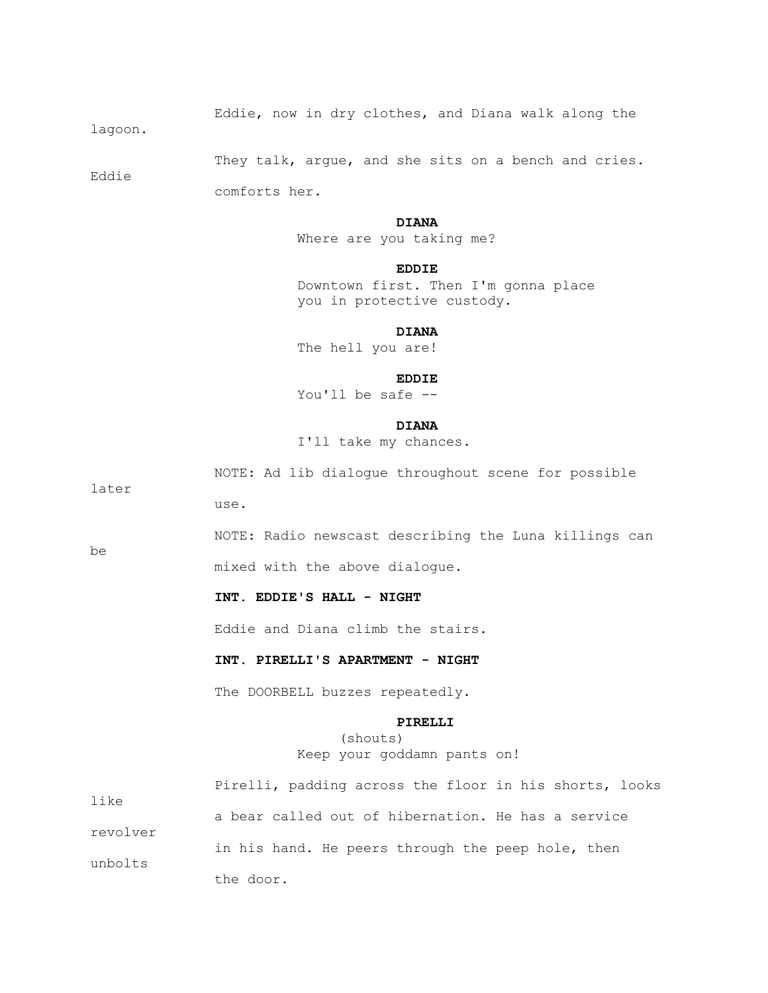Eddie, now in dry clothes, and Diana walk along the

lagoon.

They talk, argue, and she sits on a bench and cries.

Eddie

comforts her.

use.

### **DIANA**

Where are you taking me?

## **EDDIE**

 Downtown first. Then I'm gonna place you in protective custody.

 **DIANA**

The hell you are!

### **EDDIE**

You'll be safe --

### **DIANA**

I'll take my chances.

NOTE: Ad lib dialogue throughout scene for possible

later

be

NOTE: Radio newscast describing the Luna killings can

mixed with the above dialogue.

# **INT. EDDIE'S HALL - NIGHT**

Eddie and Diana climb the stairs.

 **INT. PIRELLI'S APARTMENT - NIGHT**

The DOORBELL buzzes repeatedly.

#### **PIRELLI**

 (shouts) Keep your goddamn pants on!

|          | Pirelli, padding across the floor in his shorts, looks |
|----------|--------------------------------------------------------|
| like     | a bear called out of hibernation. He has a service     |
| revolver | in his hand. He peers through the peep hole, then      |
| unbolts  | the door.                                              |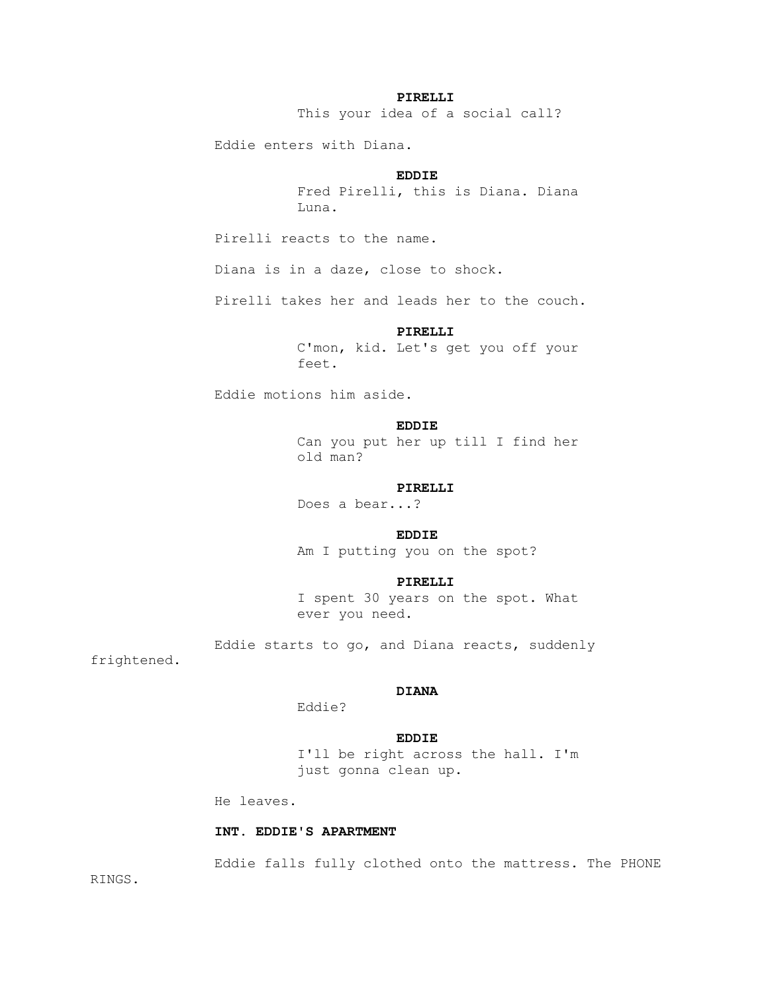### **PIRELLI**

This your idea of a social call?

Eddie enters with Diana.

## **EDDIE**

 Fred Pirelli, this is Diana. Diana Luna.

Pirelli reacts to the name.

Diana is in a daze, close to shock.

Pirelli takes her and leads her to the couch.

#### **PIRELLI**

 C'mon, kid. Let's get you off your feet.

Eddie motions him aside.

### **EDDIE**

 Can you put her up till I find her old man?

#### **PIRELLI**

Does a bear...?

## **EDDIE**

Am I putting you on the spot?

#### **PIRELLI**

 I spent 30 years on the spot. What ever you need.

Eddie starts to go, and Diana reacts, suddenly

frightened.

### **DIANA**

Eddie?

### **EDDIE**

 I'll be right across the hall. I'm just gonna clean up.

He leaves.

### **INT. EDDIE'S APARTMENT**

Eddie falls fully clothed onto the mattress. The PHONE

RINGS.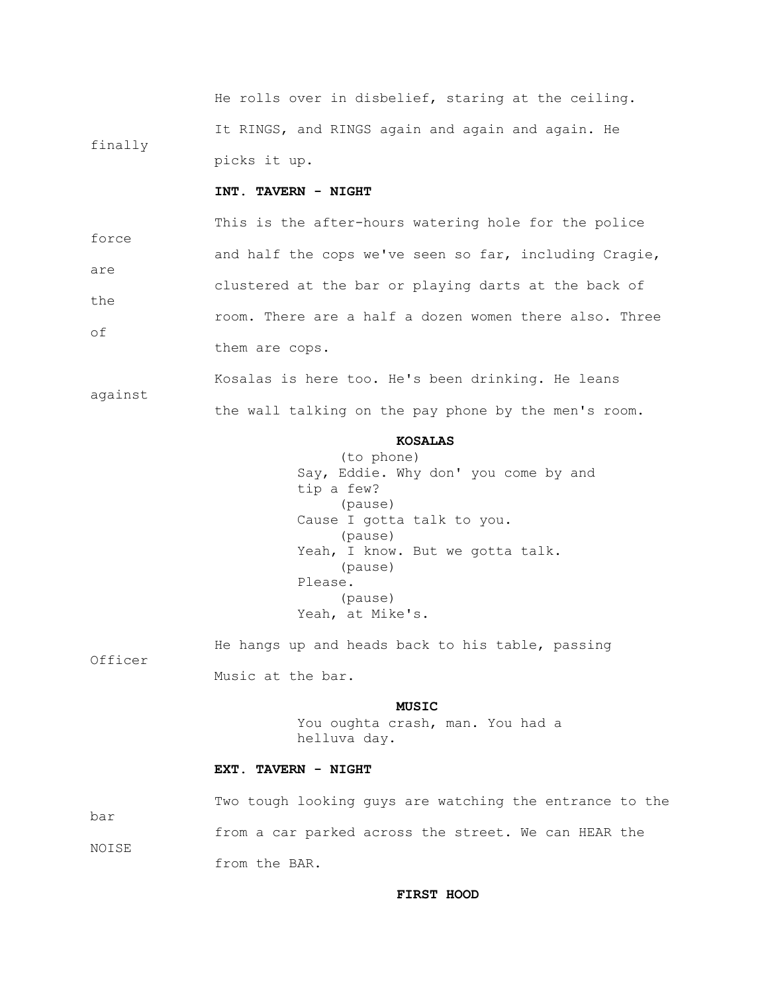He rolls over in disbelief, staring at the ceiling. It RINGS, and RINGS again and again and again. He finally picks it up.

# **INT. TAVERN - NIGHT**

 This is the after-hours watering hole for the police force and half the cops we've seen so far, including Cragie, are clustered at the bar or playing darts at the back of the room. There are a half a dozen women there also. Three of them are cops.

 Kosalas is here too. He's been drinking. He leans against the wall talking on the pay phone by the men's room.

## **KOSALAS**

 (to phone) Say, Eddie. Why don' you come by and tip a few? (pause) Cause I gotta talk to you. (pause) Yeah, I know. But we gotta talk. (pause) Please. (pause) Yeah, at Mike's.

 He hangs up and heads back to his table, passing Officer Music at the bar.

## **MUSIC**

 You oughta crash, man. You had a helluva day.

### **EXT. TAVERN - NIGHT**

 Two tough looking guys are watching the entrance to the bar from a car parked across the street. We can HEAR the NOISE from the BAR.

#### **FIRST HOOD**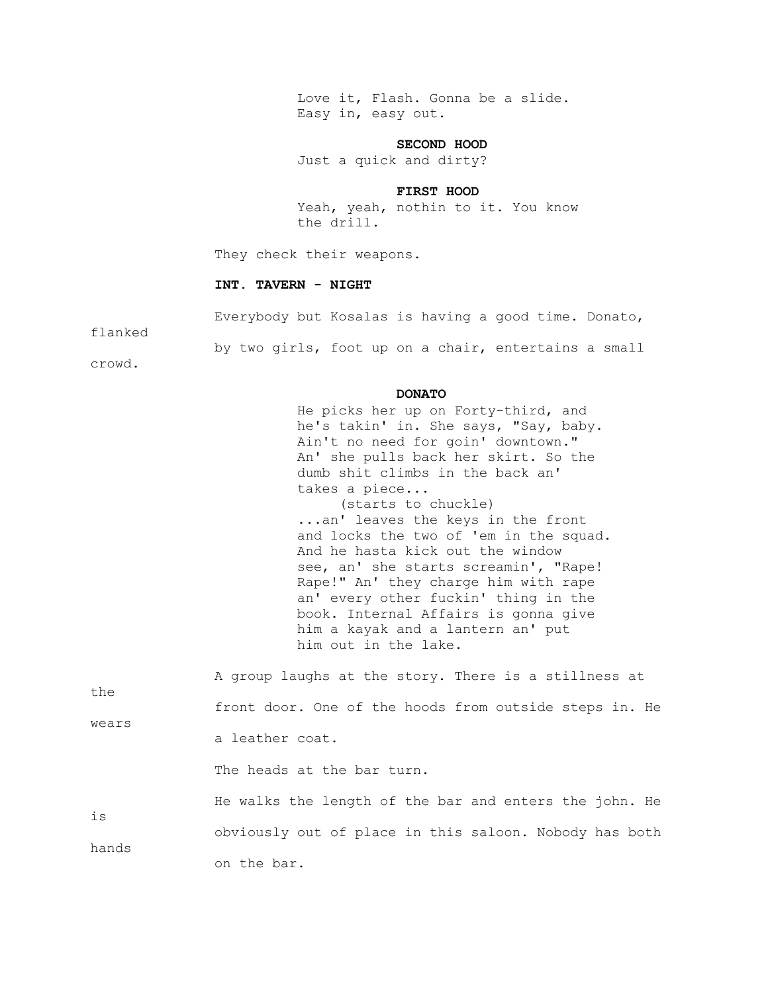Love it, Flash. Gonna be a slide. Easy in, easy out.

## **SECOND HOOD**

Just a quick and dirty?

### **FIRST HOOD**

 Yeah, yeah, nothin to it. You know the drill.

They check their weapons.

#### **INT. TAVERN - NIGHT**

Everybody but Kosalas is having a good time. Donato,

flanked

by two girls, foot up on a chair, entertains a small

crowd.

#### **DONATO**

 He picks her up on Forty-third, and he's takin' in. She says, "Say, baby. Ain't no need for goin' downtown." An' she pulls back her skirt. So the dumb shit climbs in the back an' takes a piece... (starts to chuckle) ...an' leaves the keys in the front and locks the two of 'em in the squad. And he hasta kick out the window see, an' she starts screamin', "Rape! Rape!" An' they charge him with rape an' every other fuckin' thing in the

book. Internal Affairs is gonna give him a kayak and a lantern an' put him out in the lake.

 A group laughs at the story. There is a stillness at the front door. One of the hoods from outside steps in. He wears a leather coat. The heads at the bar turn. He walks the length of the bar and enters the john. He is obviously out of place in this saloon. Nobody has both hands on the bar.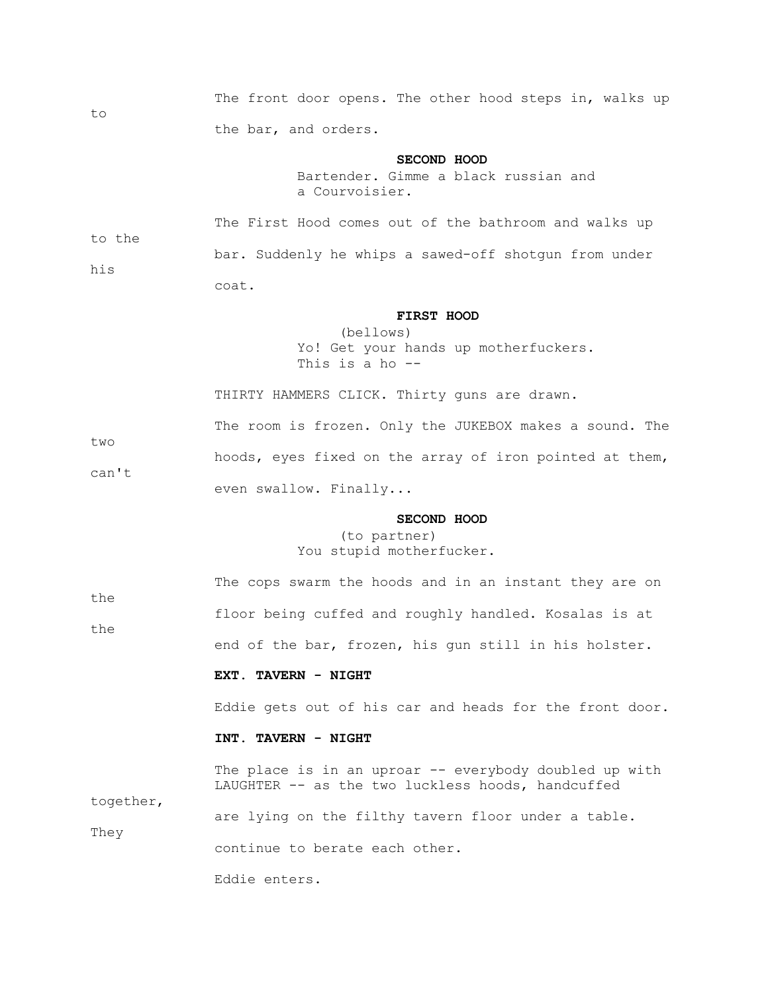The front door opens. The other hood steps in, walks up the bar, and orders.

#### **SECOND HOOD**

 Bartender. Gimme a black russian and a Courvoisier.

 The First Hood comes out of the bathroom and walks up to the bar. Suddenly he whips a sawed-off shotgun from under his coat.

### **FIRST HOOD**

 (bellows) Yo! Get your hands up motherfuckers. This is a ho --

THIRTY HAMMERS CLICK. Thirty guns are drawn.

 The room is frozen. Only the JUKEBOX makes a sound. The two hoods, eyes fixed on the array of iron pointed at them, can't even swallow. Finally...

### **SECOND HOOD**

 (to partner) You stupid motherfucker.

 The cops swarm the hoods and in an instant they are on the floor being cuffed and roughly handled. Kosalas is at the end of the bar, frozen, his gun still in his holster.  **EXT. TAVERN - NIGHT** Eddie gets out of his car and heads for the front door.  **INT. TAVERN - NIGHT** The place is in an uproar -- everybody doubled up with LAUGHTER -- as the two luckless hoods, handcuffed together, are lying on the filthy tavern floor under a table.

continue to berate each other.

Eddie enters.

They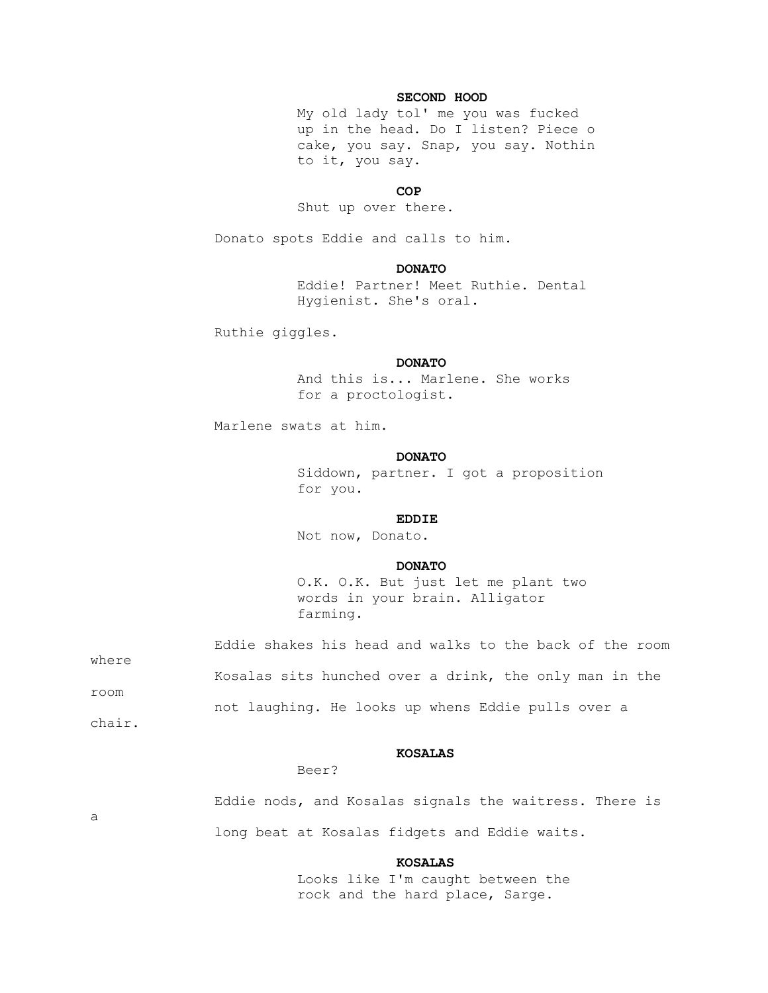### **SECOND HOOD**

 My old lady tol' me you was fucked up in the head. Do I listen? Piece o cake, you say. Snap, you say. Nothin to it, you say.

## **COP**

Shut up over there.

Donato spots Eddie and calls to him.

### **DONATO**

 Eddie! Partner! Meet Ruthie. Dental Hygienist. She's oral.

Ruthie giggles.

### **DONATO**

 And this is... Marlene. She works for a proctologist.

Marlene swats at him.

#### **DONATO**

 Siddown, partner. I got a proposition for you.

## **EDDIE**

Not now, Donato.

### **DONATO**

 O.K. O.K. But just let me plant two words in your brain. Alligator farming.

| where | Eddie shakes his head and walks to the back of the room |  |  |  |
|-------|---------------------------------------------------------|--|--|--|
|       | Kosalas sits hunched over a drink, the only man in the  |  |  |  |
| room  | not laughing. He looks up whens Eddie pulls over a      |  |  |  |

chair.

### **KOSALAS**

#### Beer?

 Eddie nods, and Kosalas signals the waitress. There is a long beat at Kosalas fidgets and Eddie waits.

#### **KOSALAS**

 Looks like I'm caught between the rock and the hard place, Sarge.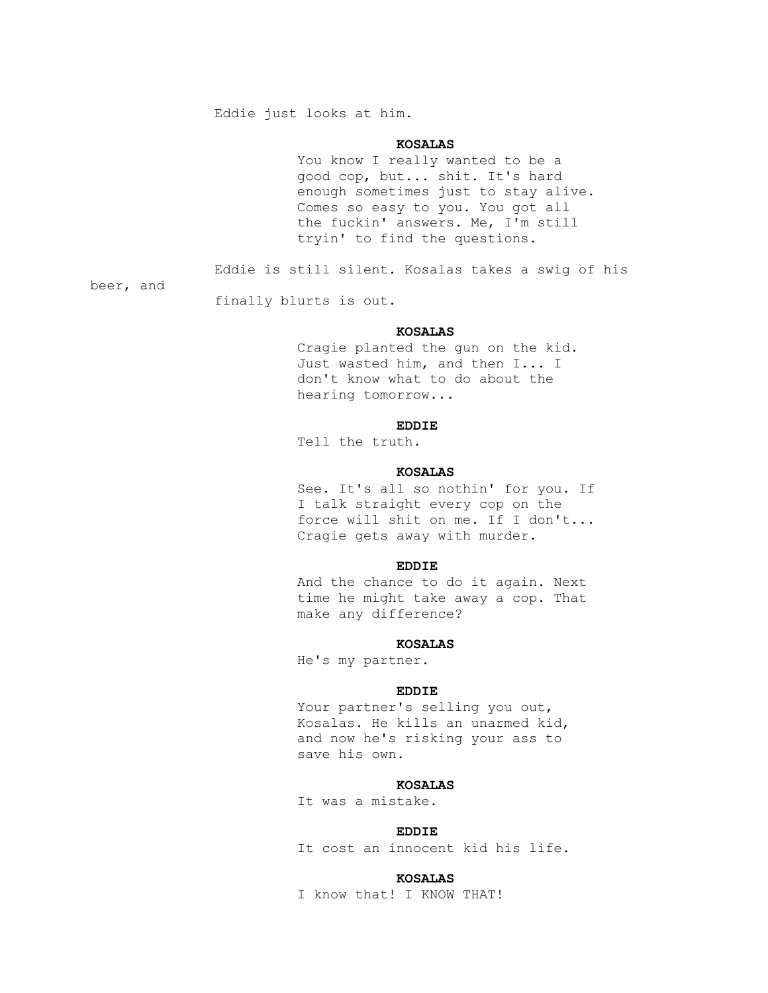Eddie just looks at him.

## **KOSALAS**

 You know I really wanted to be a good cop, but... shit. It's hard enough sometimes just to stay alive. Comes so easy to you. You got all the fuckin' answers. Me, I'm still tryin' to find the questions.

Eddie is still silent. Kosalas takes a swig of his

beer, and

finally blurts is out.

### **KOSALAS**

 Cragie planted the gun on the kid. Just wasted him, and then I... I don't know what to do about the hearing tomorrow...

## **EDDIE**

Tell the truth.

### **KOSALAS**

 See. It's all so nothin' for you. If I talk straight every cop on the force will shit on me. If I don't... Cragie gets away with murder.

#### **EDDIE**

 And the chance to do it again. Next time he might take away a cop. That make any difference?

#### **KOSALAS**

He's my partner.

#### **EDDIE**

Your partner's selling you out, Kosalas. He kills an unarmed kid, and now he's risking your ass to save his own.

### **KOSALAS**

It was a mistake.

## **EDDIE**

It cost an innocent kid his life.

#### **KOSALAS**

I know that! I KNOW THAT!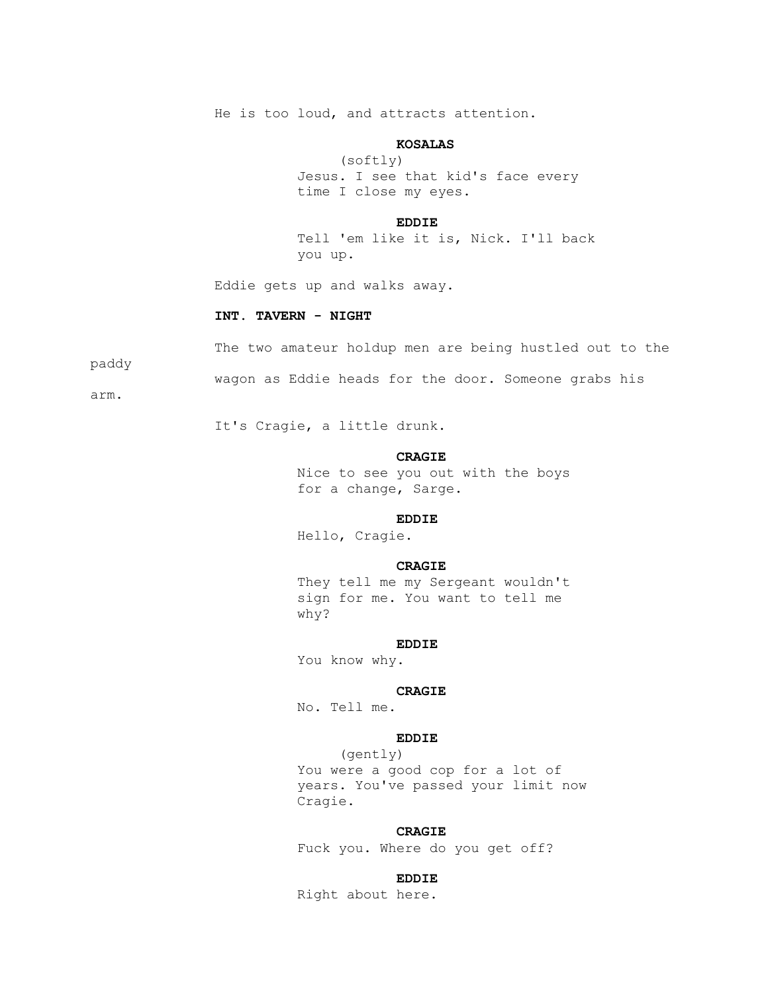He is too loud, and attracts attention.

## **KOSALAS**

 (softly) Jesus. I see that kid's face every time I close my eyes.

#### **EDDIE**

 Tell 'em like it is, Nick. I'll back you up.

Eddie gets up and walks away.

#### **INT. TAVERN - NIGHT**

The two amateur holdup men are being hustled out to the

paddy

wagon as Eddie heads for the door. Someone grabs his

arm.

It's Cragie, a little drunk.

#### **CRAGIE**

 Nice to see you out with the boys for a change, Sarge.

## **EDDIE**

Hello, Cragie.

## **CRAGIE**

 They tell me my Sergeant wouldn't sign for me. You want to tell me why?

## **EDDIE**

You know why.

# **CRAGIE**

No. Tell me.

## **EDDIE**

 (gently) You were a good cop for a lot of years. You've passed your limit now Cragie.

#### **CRAGIE**

Fuck you. Where do you get off?

## **EDDIE**

Right about here.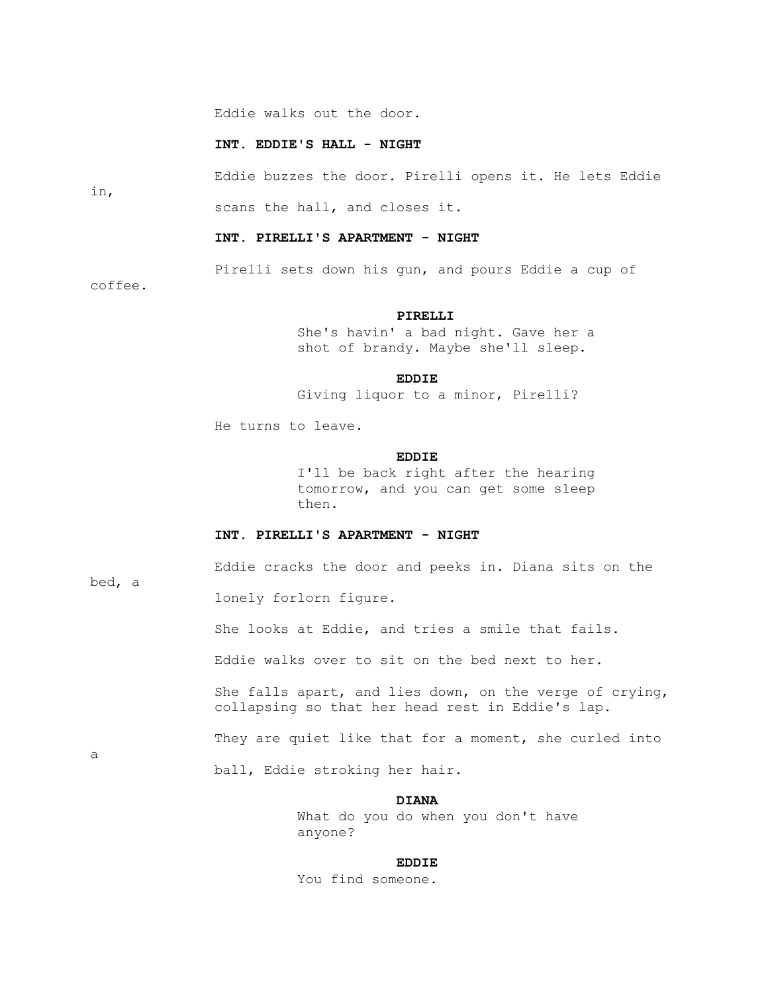Eddie walks out the door.

# **INT. EDDIE'S HALL - NIGHT**

Eddie buzzes the door. Pirelli opens it. He lets Eddie

scans the hall, and closes it.

## **INT. PIRELLI'S APARTMENT - NIGHT**

Pirelli sets down his gun, and pours Eddie a cup of

coffee.

in,

#### **PIRELLI**

 She's havin' a bad night. Gave her a shot of brandy. Maybe she'll sleep.

**EDDIE** 

Giving liquor to a minor, Pirelli?

He turns to leave.

## **EDDIE**

 I'll be back right after the hearing tomorrow, and you can get some sleep then.

# **INT. PIRELLI'S APARTMENT - NIGHT**

Eddie cracks the door and peeks in. Diana sits on the

bed, a

a

lonely forlorn figure.

She looks at Eddie, and tries a smile that fails.

Eddie walks over to sit on the bed next to her.

 She falls apart, and lies down, on the verge of crying, collapsing so that her head rest in Eddie's lap.

They are quiet like that for a moment, she curled into

ball, Eddie stroking her hair.

## **DIANA**

 What do you do when you don't have anyone?

#### **EDDIE**

You find someone.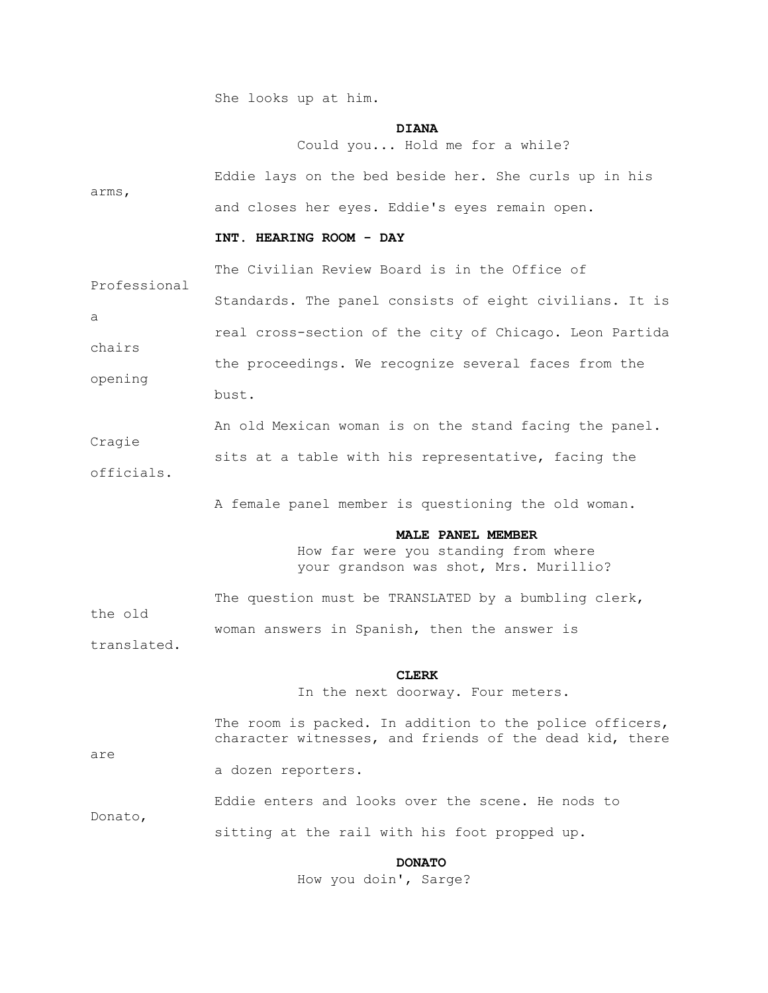She looks up at him.

## **DIANA**

Could you... Hold me for a while?

|       |  |  | Eddie lays on the bed beside her. She curls up in his |  |  |  |
|-------|--|--|-------------------------------------------------------|--|--|--|
| arms, |  |  |                                                       |  |  |  |
|       |  |  | and closes her eyes. Eddie's eyes remain open.        |  |  |  |

## **INT. HEARING ROOM - DAY**

 The Civilian Review Board is in the Office of Professional Standards. The panel consists of eight civilians. It is a real cross-section of the city of Chicago. Leon Partida chairs the proceedings. We recognize several faces from the opening bust.

 An old Mexican woman is on the stand facing the panel. Cragie sits at a table with his representative, facing the officials.

A female panel member is questioning the old woman.

#### **MALE PANEL MEMBER**

 How far were you standing from where your grandson was shot, Mrs. Murillio?

 The question must be TRANSLATED by a bumbling clerk, the old woman answers in Spanish, then the answer is translated.

#### **CLERK**

In the next doorway. Four meters.

|         | The room is packed. In addition to the police officers,<br>character witnesses, and friends of the dead kid, there |
|---------|--------------------------------------------------------------------------------------------------------------------|
| are     | a dozen reporters.                                                                                                 |
|         | Eddie enters and looks over the scene. He nods to                                                                  |
| Donato, | sitting at the rail with his foot propped up.                                                                      |

 **DONATO**

How you doin', Sarge?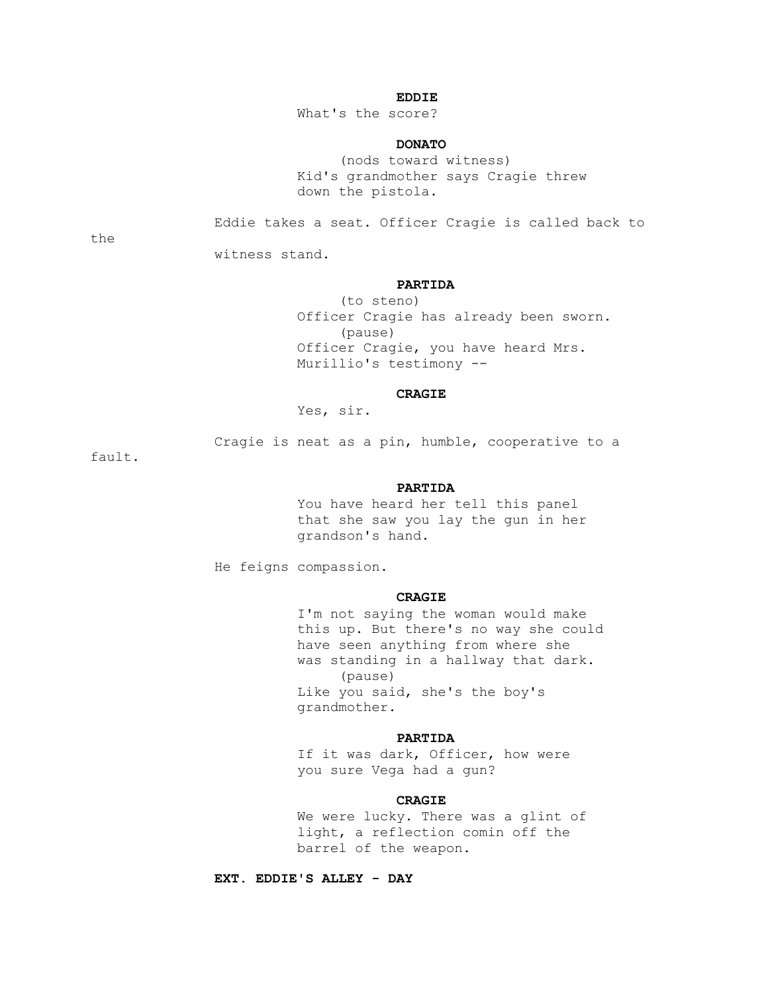## **EDDIE**

What's the score?

## **DONATO**

 (nods toward witness) Kid's grandmother says Cragie threw down the pistola.

Eddie takes a seat. Officer Cragie is called back to

the

witness stand.

#### **PARTIDA**

 (to steno) Officer Cragie has already been sworn. (pause) Officer Cragie, you have heard Mrs. Murillio's testimony --

## **CRAGIE**

Yes, sir.

Cragie is neat as a pin, humble, cooperative to a

fault.

#### **PARTIDA**

 You have heard her tell this panel that she saw you lay the gun in her grandson's hand.

He feigns compassion.

## **CRAGIE**

 I'm not saying the woman would make this up. But there's no way she could have seen anything from where she was standing in a hallway that dark. (pause) Like you said, she's the boy's grandmother.

## **PARTIDA**

 If it was dark, Officer, how were you sure Vega had a gun?

## **CRAGIE**

 We were lucky. There was a glint of light, a reflection comin off the barrel of the weapon.

 **EXT. EDDIE'S ALLEY - DAY**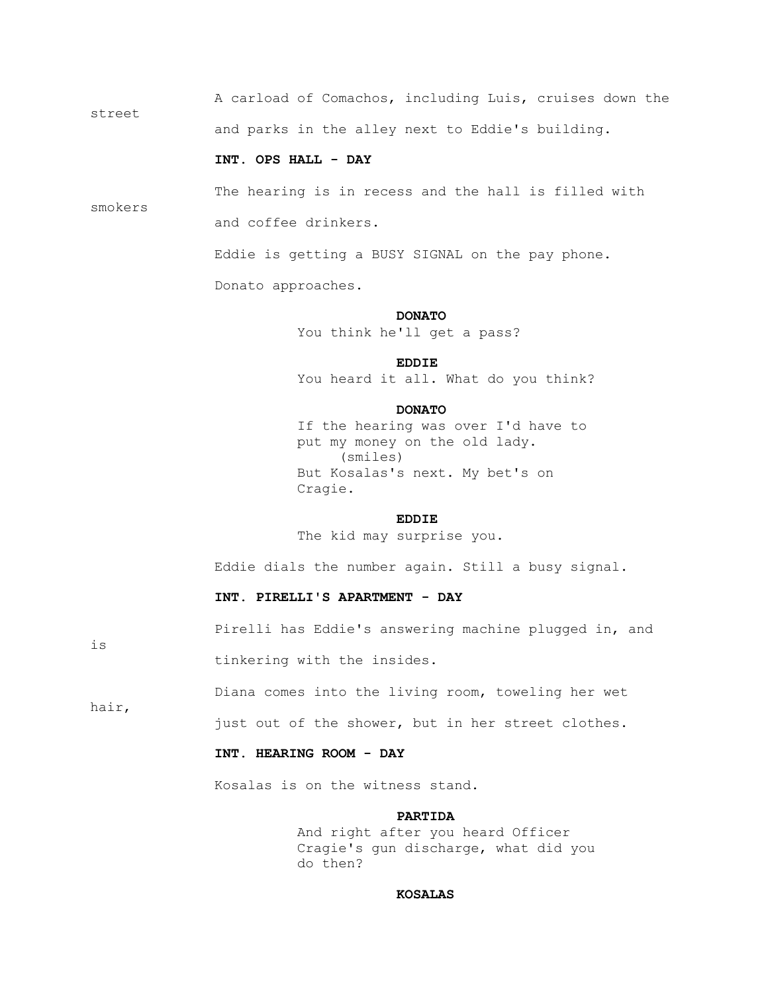A carload of Comachos, including Luis, cruises down the street and parks in the alley next to Eddie's building.

## **INT. OPS HALL - DAY**

smokers

 The hearing is in recess and the hall is filled with and coffee drinkers.

Eddie is getting a BUSY SIGNAL on the pay phone.

Donato approaches.

#### **DONATO**

You think he'll get a pass?

## **EDDIE**

You heard it all. What do you think?

#### **DONATO**

 If the hearing was over I'd have to put my money on the old lady. (smiles) But Kosalas's next. My bet's on Cragie.

## **EDDIE**

The kid may surprise you.

Eddie dials the number again. Still a busy signal.

## **INT. PIRELLI'S APARTMENT - DAY**

Pirelli has Eddie's answering machine plugged in, and

tinkering with the insides.

Diana comes into the living room, toweling her wet

hair,

is

just out of the shower, but in her street clothes.

# **INT. HEARING ROOM - DAY**

Kosalas is on the witness stand.

## **PARTIDA**

 And right after you heard Officer Cragie's gun discharge, what did you do then?

#### **KOSALAS**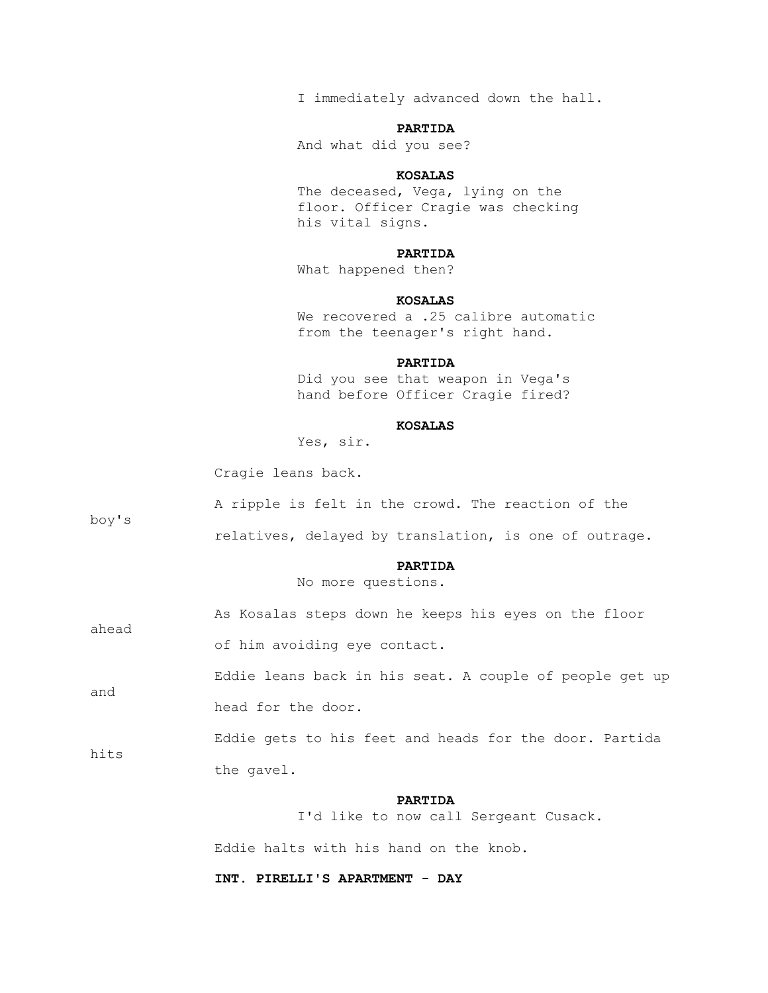I immediately advanced down the hall.

## **PARTIDA**

And what did you see?

## **KOSALAS**

 The deceased, Vega, lying on the floor. Officer Cragie was checking his vital signs.

# **PARTIDA**

What happened then?

## **KOSALAS**

We recovered a .25 calibre automatic from the teenager's right hand.

#### **PARTIDA**

 Did you see that weapon in Vega's hand before Officer Cragie fired?

#### **KOSALAS**

Yes, sir.

Cragie leans back.

| boy's | A ripple is felt in the crowd. The reaction of the      |  |  |  |  |  |  |  |
|-------|---------------------------------------------------------|--|--|--|--|--|--|--|
|       | relatives, delayed by translation, is one of outrage.   |  |  |  |  |  |  |  |
|       | <b>PARTIDA</b><br>No more questions.                    |  |  |  |  |  |  |  |
| ahead | As Kosalas steps down he keeps his eyes on the floor    |  |  |  |  |  |  |  |
|       | of him avoiding eye contact.                            |  |  |  |  |  |  |  |
| and   | Eddie leans back in his seat. A couple of people get up |  |  |  |  |  |  |  |
|       | head for the door.                                      |  |  |  |  |  |  |  |
|       | Eddie gets to his feet and heads for the door. Partida  |  |  |  |  |  |  |  |
| hits  | the gavel.                                              |  |  |  |  |  |  |  |
|       | <b>PARTIDA</b><br>I'd like to now call Sergeant Cusack. |  |  |  |  |  |  |  |
|       | Eddie halts with his hand on the knob.                  |  |  |  |  |  |  |  |

 **INT. PIRELLI'S APARTMENT - DAY**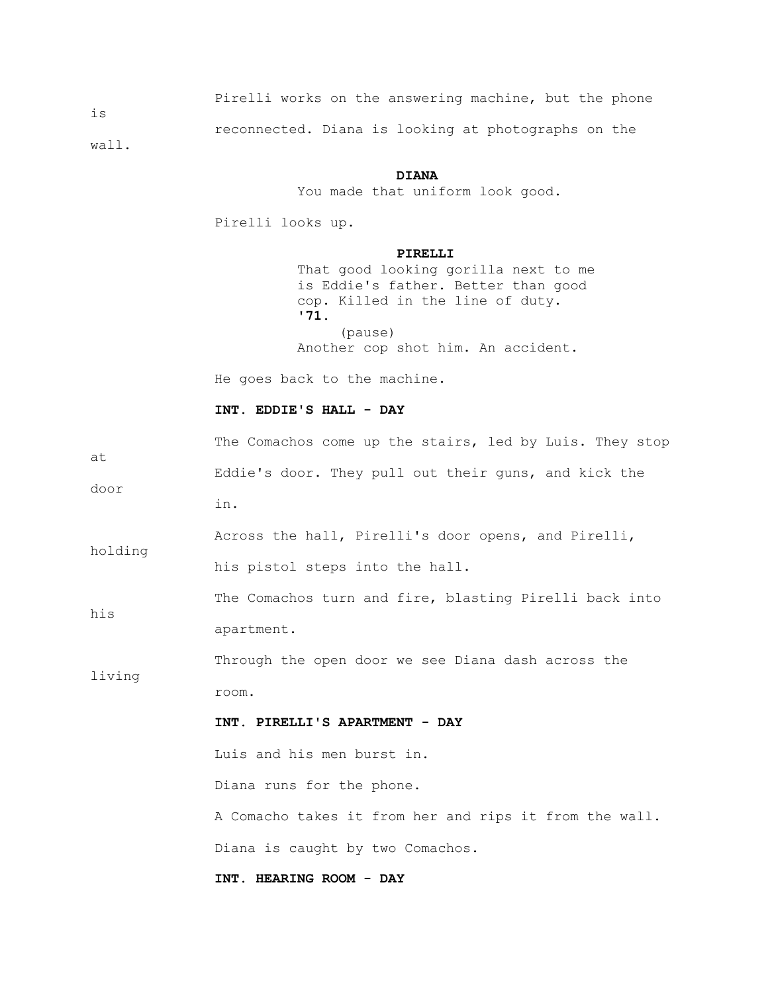|                | Pirelli works on the answering machine, but the phone |  |  |  |  |
|----------------|-------------------------------------------------------|--|--|--|--|
| $\frac{1}{1}S$ | reconnected. Diana is looking at photographs on the   |  |  |  |  |
| wall.          |                                                       |  |  |  |  |

#### **DIANA**

You made that uniform look good.

Pirelli looks up.

## **PIRELLI**

 That good looking gorilla next to me is Eddie's father. Better than good cop. Killed in the line of duty. **'71.** (pause) Another cop shot him. An accident.

He goes back to the machine.

# **INT. EDDIE'S HALL - DAY**

| at      | The Comachos come up the stairs, led by Luis. They stop |  |  |  |  |  |  |  |  |
|---------|---------------------------------------------------------|--|--|--|--|--|--|--|--|
|         | Eddie's door. They pull out their guns, and kick the    |  |  |  |  |  |  |  |  |
| door    | in.                                                     |  |  |  |  |  |  |  |  |
|         | Across the hall, Pirelli's door opens, and Pirelli,     |  |  |  |  |  |  |  |  |
| holding | his pistol steps into the hall.                         |  |  |  |  |  |  |  |  |
| his     | The Comachos turn and fire, blasting Pirelli back into  |  |  |  |  |  |  |  |  |
|         | apartment.                                              |  |  |  |  |  |  |  |  |
|         | Through the open door we see Diana dash across the      |  |  |  |  |  |  |  |  |
| living  | room.                                                   |  |  |  |  |  |  |  |  |
|         | INT. PIRELLI'S APARTMENT - DAY                          |  |  |  |  |  |  |  |  |
|         | Luis and his men burst in.                              |  |  |  |  |  |  |  |  |
|         | Diana runs for the phone.                               |  |  |  |  |  |  |  |  |
|         | A Comacho takes it from her and rips it from the wall.  |  |  |  |  |  |  |  |  |
|         | Diana is caught by two Comachos.                        |  |  |  |  |  |  |  |  |
|         | INT. HEARING ROOM - DAY                                 |  |  |  |  |  |  |  |  |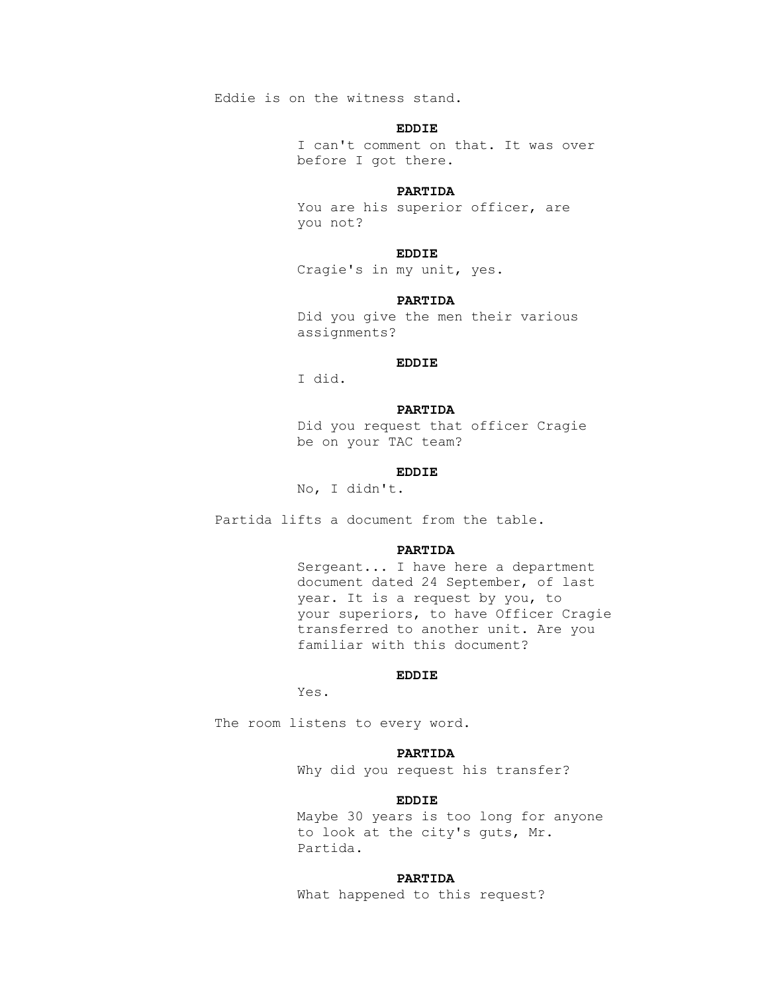Eddie is on the witness stand.

## **EDDIE**

 I can't comment on that. It was over before I got there.

#### **PARTIDA**

 You are his superior officer, are you not?

## **EDDIE**

Cragie's in my unit, yes.

## **PARTIDA**

 Did you give the men their various assignments?

## **EDDIE**

I did.

## **PARTIDA**

 Did you request that officer Cragie be on your TAC team?

## **EDDIE**

No, I didn't.

Partida lifts a document from the table.

#### **PARTIDA**

 Sergeant... I have here a department document dated 24 September, of last year. It is a request by you, to your superiors, to have Officer Cragie transferred to another unit. Are you familiar with this document?

## **EDDIE**

Yes.

The room listens to every word.

## **PARTIDA**

Why did you request his transfer?

## **EDDIE**

 Maybe 30 years is too long for anyone to look at the city's guts, Mr. Partida.

#### **PARTIDA**

What happened to this request?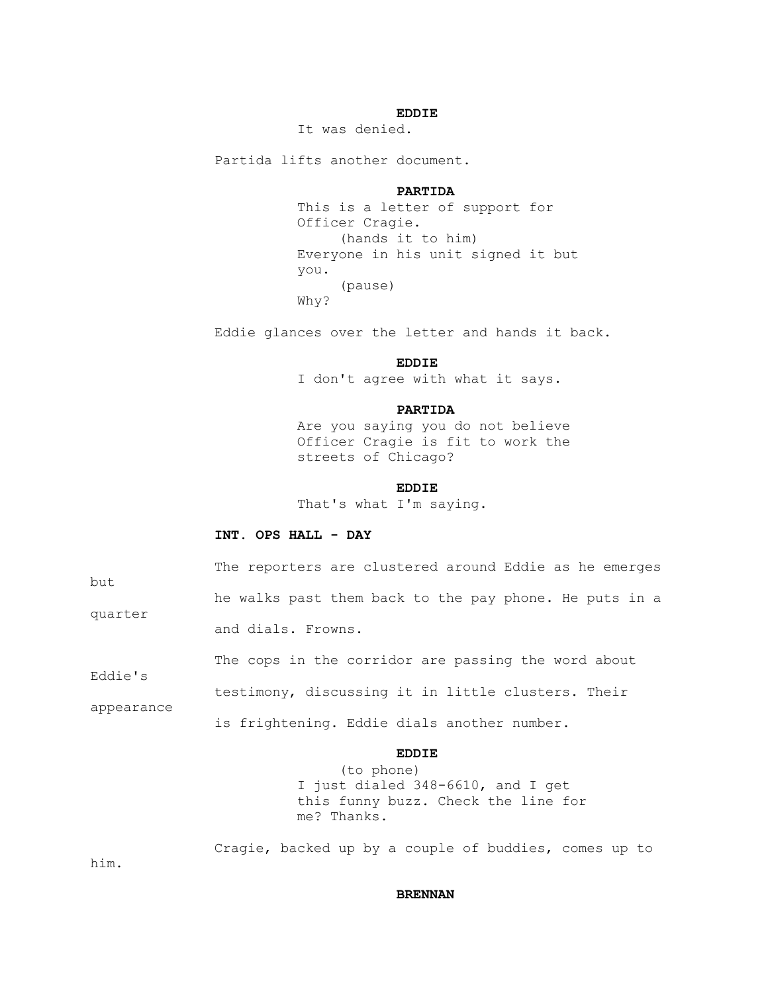## **EDDIE**

It was denied.

Partida lifts another document.

#### **PARTIDA**

 This is a letter of support for Officer Cragie. (hands it to him) Everyone in his unit signed it but you. (pause) Why?

Eddie glances over the letter and hands it back.

## **EDDIE**

I don't agree with what it says.

## **PARTIDA**

 Are you saying you do not believe Officer Cragie is fit to work the streets of Chicago?

## **EDDIE**

That's what I'm saying.

# **INT. OPS HALL - DAY**

| but                   | The reporters are clustered around Eddie as he emerges          |
|-----------------------|-----------------------------------------------------------------|
| quarter               | he walks past them back to the pay phone. He puts in a          |
|                       | and dials. Frowns.                                              |
|                       | The cops in the corridor are passing the word about             |
| Eddie's<br>appearance | testimony, discussing it in little clusters. Their              |
|                       | is frightening. Eddie dials another number.                     |
|                       | <b>EDDIE</b><br>(to phone)<br>I just dialed 348-6610, and I get |
|                       |                                                                 |

 this funny buzz. Check the line for me? Thanks.

Cragie, backed up by a couple of buddies, comes up to

him.

#### **BRENNAN**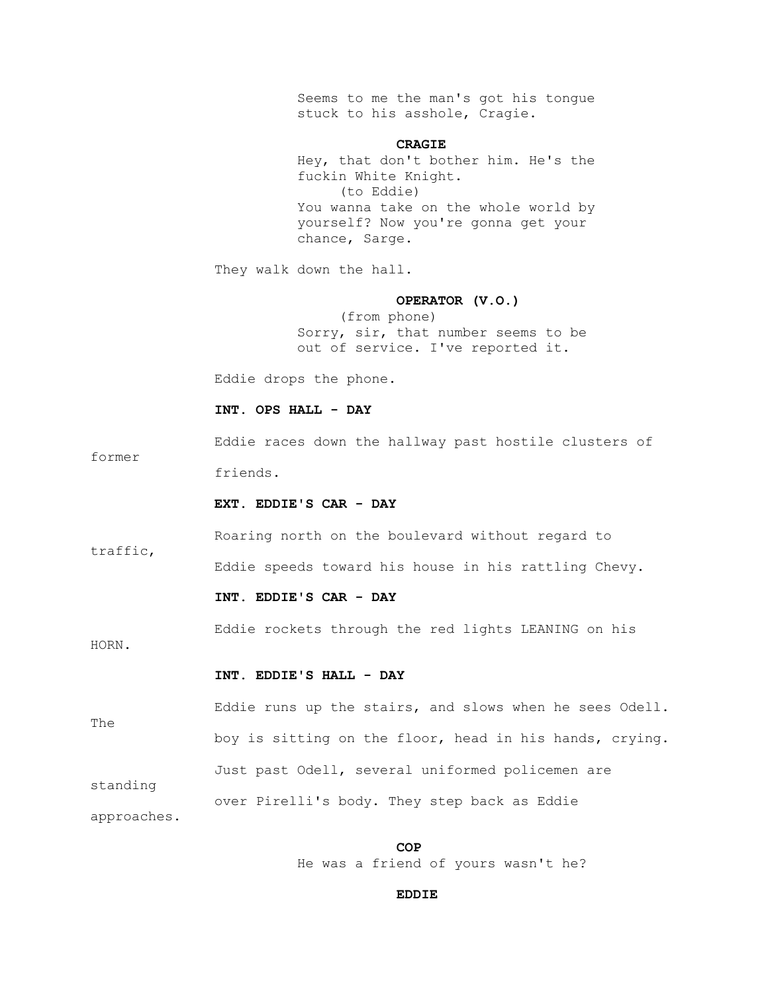Seems to me the man's got his tongue stuck to his asshole, Cragie.

#### **CRAGIE**

 Hey, that don't bother him. He's the fuckin White Knight. (to Eddie) You wanna take on the whole world by yourself? Now you're gonna get your chance, Sarge.

They walk down the hall.

#### **OPERATOR (V.O.)**

 (from phone) Sorry, sir, that number seems to be out of service. I've reported it.

Eddie drops the phone.

## **INT. OPS HALL - DAY**

 Eddie races down the hallway past hostile clusters of friends.

#### **EXT. EDDIE'S CAR - DAY**

 Roaring north on the boulevard without regard to traffic, Eddie speeds toward his house in his rattling Chevy.

#### **INT. EDDIE'S CAR - DAY**

Eddie rockets through the red lights LEANING on his

HORN.

former

#### **INT. EDDIE'S HALL - DAY**

 Eddie runs up the stairs, and slows when he sees Odell. The boy is sitting on the floor, head in his hands, crying. Just past Odell, several uniformed policemen are standing over Pirelli's body. They step back as Eddie approaches.

**COP** He was a friend of yours wasn't he?

## **EDDIE**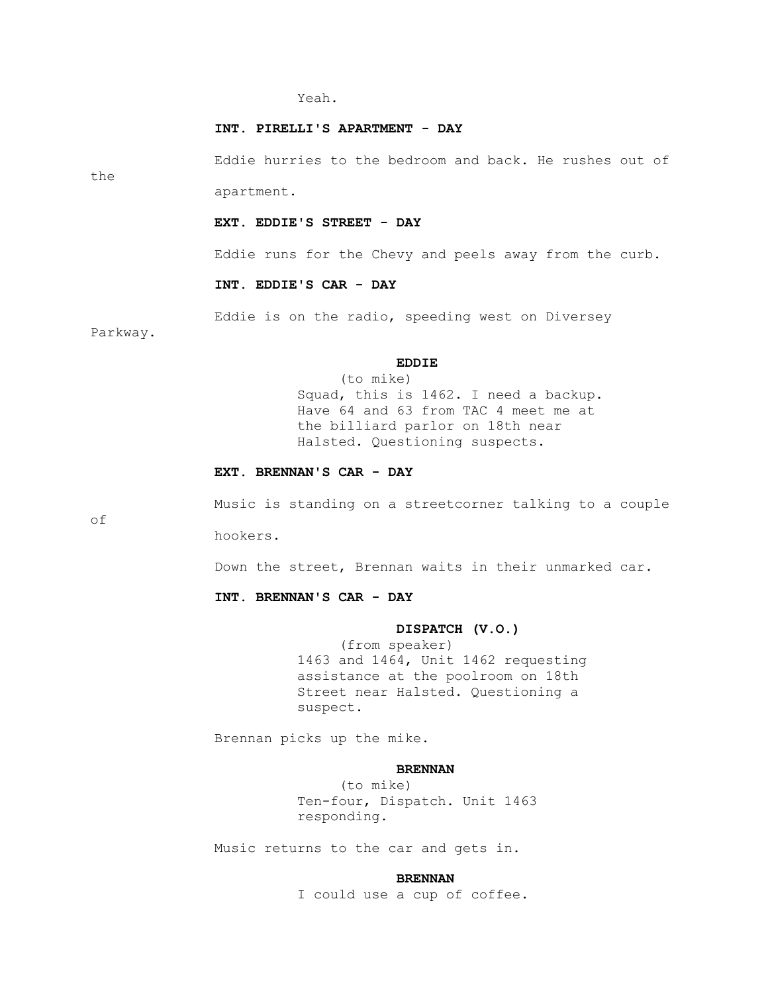#### Yeah.

#### **INT. PIRELLI'S APARTMENT - DAY**

the

 Eddie hurries to the bedroom and back. He rushes out of apartment.

 **EXT. EDDIE'S STREET - DAY**

Eddie runs for the Chevy and peels away from the curb.

#### **INT. EDDIE'S CAR - DAY**

Eddie is on the radio, speeding west on Diversey

Parkway.

## **EDDIE**

 (to mike) Squad, this is 1462. I need a backup. Have 64 and 63 from TAC 4 meet me at the billiard parlor on 18th near Halsted. Questioning suspects.

## **EXT. BRENNAN'S CAR - DAY**

of

Music is standing on a streetcorner talking to a couple

hookers.

Down the street, Brennan waits in their unmarked car.

## **INT. BRENNAN'S CAR - DAY**

#### **DISPATCH (V.O.)**

 (from speaker) 1463 and 1464, Unit 1462 requesting assistance at the poolroom on 18th Street near Halsted. Questioning a suspect.

Brennan picks up the mike.

## **BRENNAN**

 (to mike) Ten-four, Dispatch. Unit 1463 responding.

Music returns to the car and gets in.

#### **BRENNAN**

I could use a cup of coffee.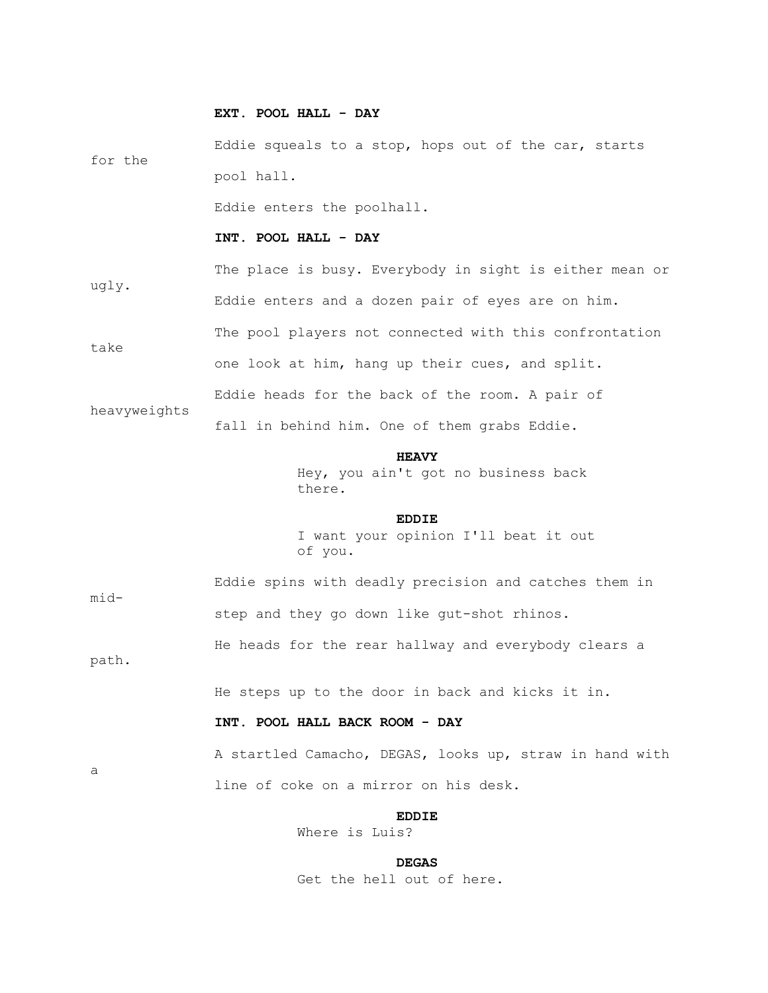#### **EXT. POOL HALL - DAY**

 Eddie squeals to a stop, hops out of the car, starts for the pool hall.

Eddie enters the poolhall.

#### **INT. POOL HALL - DAY**

 The place is busy. Everybody in sight is either mean or ugly. Eddie enters and a dozen pair of eyes are on him. The pool players not connected with this confrontation take one look at him, hang up their cues, and split. Eddie heads for the back of the room. A pair of

fall in behind him. One of them grabs Eddie.

 **HEAVY**

 Hey, you ain't got no business back there.

## **EDDIE**

 I want your opinion I'll beat it out of you.

mid-

a

heavyweights

 Eddie spins with deadly precision and catches them in step and they go down like gut-shot rhinos.

 He heads for the rear hallway and everybody clears a path.

He steps up to the door in back and kicks it in.

## **INT. POOL HALL BACK ROOM - DAY**

 A startled Camacho, DEGAS, looks up, straw in hand with line of coke on a mirror on his desk.

**EDDIE** 

Where is Luis?

#### **DEGAS**

Get the hell out of here.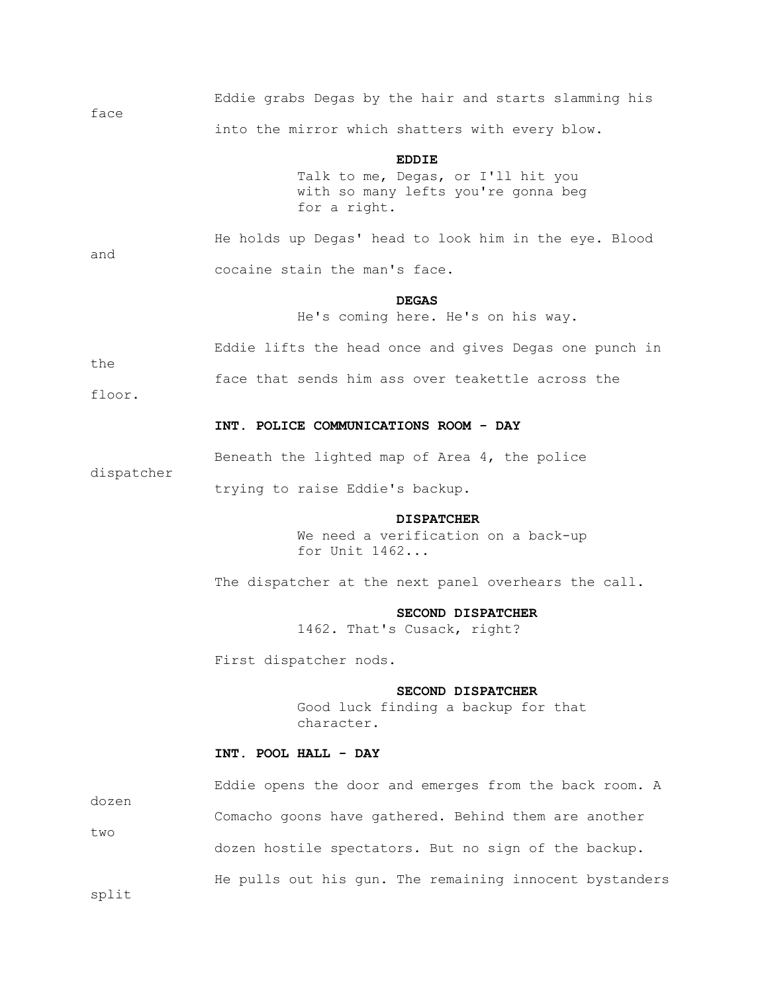| face |  |  |  |                                                 | Eddie grabs Degas by the hair and starts slamming his |  |
|------|--|--|--|-------------------------------------------------|-------------------------------------------------------|--|
|      |  |  |  | into the mirror which shatters with every blow. |                                                       |  |

**EDDIE** 

 Talk to me, Degas, or I'll hit you with so many lefts you're gonna beg for a right.

and

 He holds up Degas' head to look him in the eye. Blood cocaine stain the man's face.

## *DEGAS*

He's coming here. He's on his way.

Eddie lifts the head once and gives Degas one punch in

face that sends him ass over teakettle across the

floor.

dispatcher

the

#### **INT. POLICE COMMUNICATIONS ROOM - DAY**

Beneath the lighted map of Area 4, the police

trying to raise Eddie's backup.

#### **DISPATCHER**

 We need a verification on a back-up for Unit 1462...

The dispatcher at the next panel overhears the call.

#### **SECOND DISPATCHER**

1462. That's Cusack, right?

First dispatcher nods.

#### **SECOND DISPATCHER**

 Good luck finding a backup for that character.

## **INT. POOL HALL - DAY**

|       | Eddie opens the door and emerges from the back room. A  |
|-------|---------------------------------------------------------|
| dozen | Comacho goons have gathered. Behind them are another    |
| two   | dozen hostile spectators. But no sign of the backup.    |
|       | He pulls out his gun. The remaining innocent bystanders |

split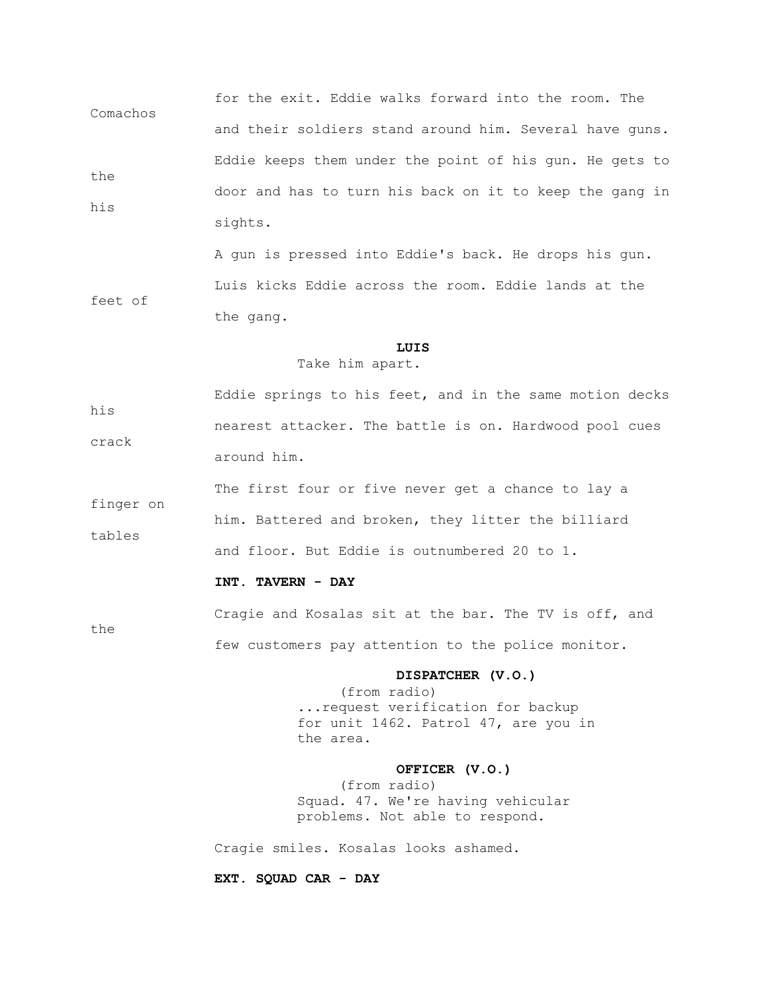for the exit. Eddie walks forward into the room. The Comachos and their soldiers stand around him. Several have guns. Eddie keeps them under the point of his gun. He gets to the door and has to turn his back on it to keep the gang in his sights.

 A gun is pressed into Eddie's back. He drops his gun. Luis kicks Eddie across the room. Eddie lands at the feet of the gang.

## **LUIS**

#### Take him apart.

 Eddie springs to his feet, and in the same motion decks his nearest attacker. The battle is on. Hardwood pool cues crack around him.

 The first four or five never get a chance to lay a finger on him. Battered and broken, they litter the billiard tables and floor. But Eddie is outnumbered 20 to 1.

## **INT. TAVERN - DAY**

 Cragie and Kosalas sit at the bar. The TV is off, and the few customers pay attention to the police monitor.

#### **DISPATCHER (V.O.)**

 (from radio) ...request verification for backup for unit 1462. Patrol 47, are you in the area.

## **OFFICER (V.O.)**

 (from radio) Squad. 47. We're having vehicular problems. Not able to respond.

Cragie smiles. Kosalas looks ashamed.

 **EXT. SQUAD CAR - DAY**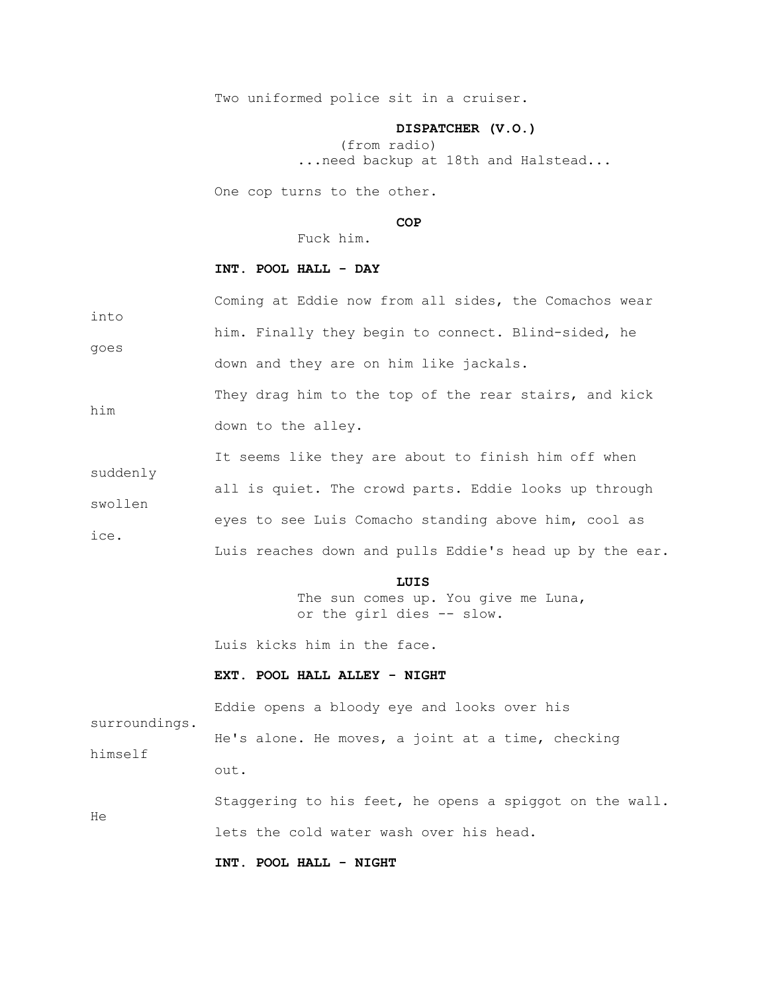Two uniformed police sit in a cruiser.

#### **DISPATCHER (V.O.)**

 (from radio) ...need backup at 18th and Halstead...

One cop turns to the other.

## **COP**

Fuck him.

# **INT. POOL HALL - DAY**

 Coming at Eddie now from all sides, the Comachos wear into him. Finally they begin to connect. Blind-sided, he goes down and they are on him like jackals.

They drag him to the top of the rear stairs, and kick him down to the alley.

|                 | It seems like they are about to finish him off when     |
|-----------------|---------------------------------------------------------|
| suddenly        |                                                         |
|                 | all is quiet. The crowd parts. Eddie looks up through   |
| swollen<br>ice. | eyes to see Luis Comacho standing above him, cool as    |
|                 | Luis reaches down and pulls Eddie's head up by the ear. |

## **LUIS**

 The sun comes up. You give me Luna, or the girl dies -- slow.

Luis kicks him in the face.

## **EXT. POOL HALL ALLEY - NIGHT**

 Eddie opens a bloody eye and looks over his surroundings. He's alone. He moves, a joint at a time, checking himself out.

 Staggering to his feet, he opens a spiggot on the wall. He lets the cold water wash over his head.

 **INT. POOL HALL - NIGHT**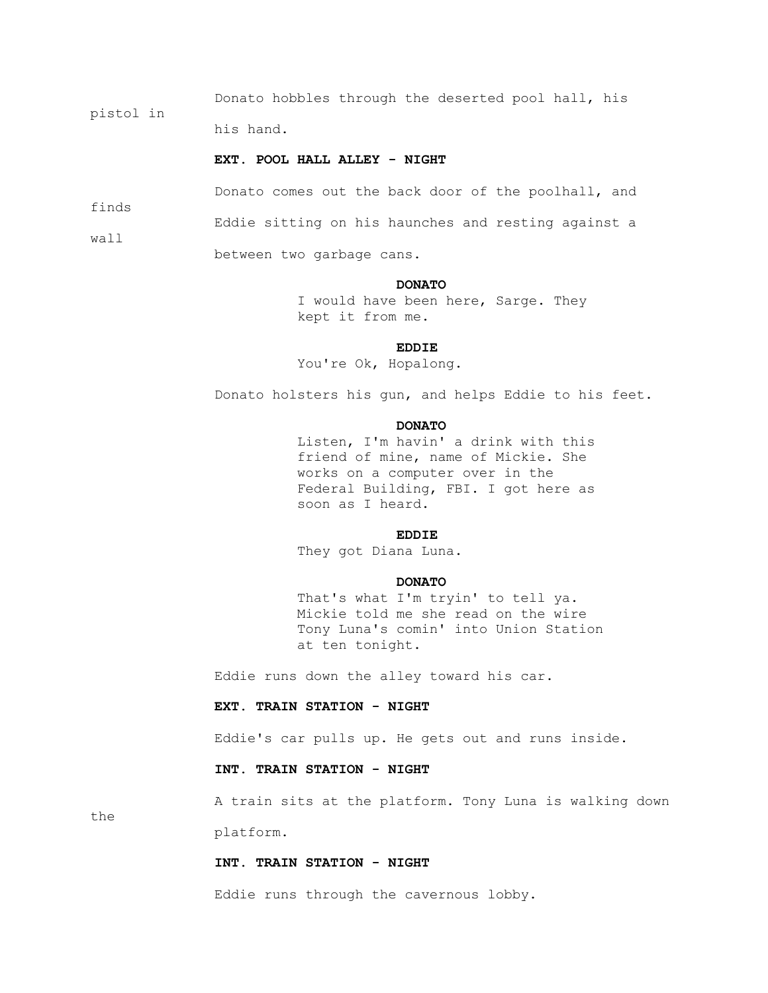Donato hobbles through the deserted pool hall, his pistol in

his hand.

## **EXT. POOL HALL ALLEY - NIGHT**

Donato comes out the back door of the poolhall, and

Eddie sitting on his haunches and resting against a

wall

finds

between two garbage cans.

#### **DONATO**

 I would have been here, Sarge. They kept it from me.

## **EDDIE**

You're Ok, Hopalong.

Donato holsters his gun, and helps Eddie to his feet.

## **DONATO**

 Listen, I'm havin' a drink with this friend of mine, name of Mickie. She works on a computer over in the Federal Building, FBI. I got here as soon as I heard.

## **EDDIE**

They got Diana Luna.

#### **DONATO**

 That's what I'm tryin' to tell ya. Mickie told me she read on the wire Tony Luna's comin' into Union Station at ten tonight.

Eddie runs down the alley toward his car.

#### **EXT. TRAIN STATION - NIGHT**

Eddie's car pulls up. He gets out and runs inside.

## **INT. TRAIN STATION - NIGHT**

A train sits at the platform. Tony Luna is walking down

the

platform.

#### **INT. TRAIN STATION - NIGHT**

Eddie runs through the cavernous lobby.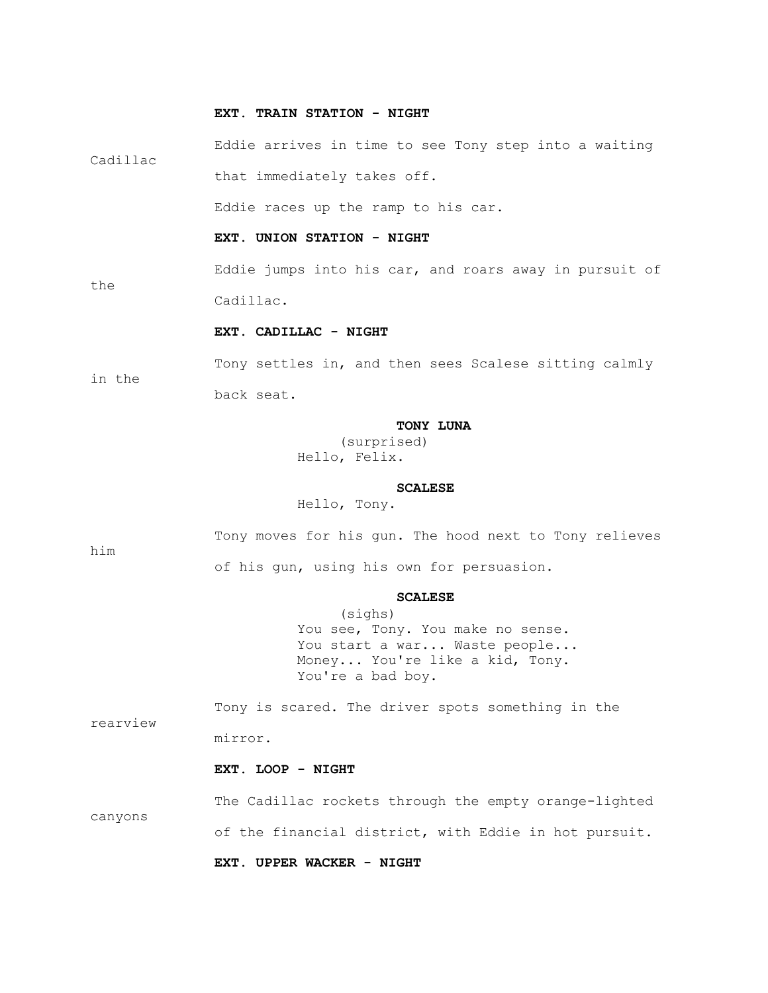#### **EXT. TRAIN STATION - NIGHT**

 Eddie arrives in time to see Tony step into a waiting Cadillac that immediately takes off.

Eddie races up the ramp to his car.

#### **EXT. UNION STATION - NIGHT**

 Eddie jumps into his car, and roars away in pursuit of Cadillac.

## **EXT. CADILLAC - NIGHT**

 Tony settles in, and then sees Scalese sitting calmly in the back seat.

## **TONY LUNA**

 (surprised) Hello, Felix.

#### **SCALESE**

Hello, Tony.

him

the

 Tony moves for his gun. The hood next to Tony relieves of his gun, using his own for persuasion.

#### **SCALESE**

 (sighs) You see, Tony. You make no sense. You start a war... Waste people... Money... You're like a kid, Tony. You're a bad boy.

 Tony is scared. The driver spots something in the rearview mirror.

## **EXT. LOOP - NIGHT**

 The Cadillac rockets through the empty orange-lighted canyons of the financial district, with Eddie in hot pursuit.

 **EXT. UPPER WACKER - NIGHT**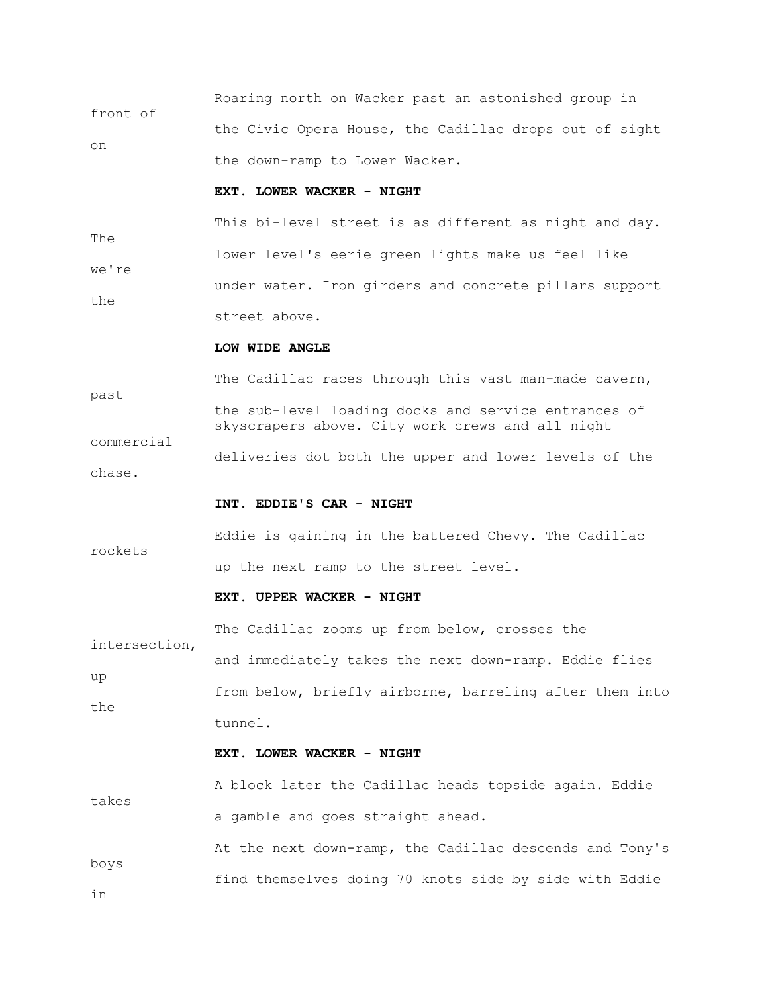Roaring north on Wacker past an astonished group in front of the Civic Opera House, the Cadillac drops out of sight on the down-ramp to Lower Wacker.

## **EXT. LOWER WACKER - NIGHT**

 This bi-level street is as different as night and day. The lower level's eerie green lights make us feel like we're under water. Iron girders and concrete pillars support the street above.

#### **LOW WIDE ANGLE**

The Cadillac races through this vast man-made cavern, past the sub-level loading docks and service entrances of skyscrapers above. City work crews and all night commercial deliveries dot both the upper and lower levels of the chase.

#### **INT. EDDIE'S CAR - NIGHT**

 Eddie is gaining in the battered Chevy. The Cadillac rockets up the next ramp to the street level.

#### **EXT. UPPER WACKER - NIGHT**

 The Cadillac zooms up from below, crosses the intersection, and immediately takes the next down-ramp. Eddie flies up from below, briefly airborne, barreling after them into the tunnel.

#### **EXT. LOWER WACKER - NIGHT**

 A block later the Cadillac heads topside again. Eddie takes a gamble and goes straight ahead.

 At the next down-ramp, the Cadillac descends and Tony's boys find themselves doing 70 knots side by side with Eddie

in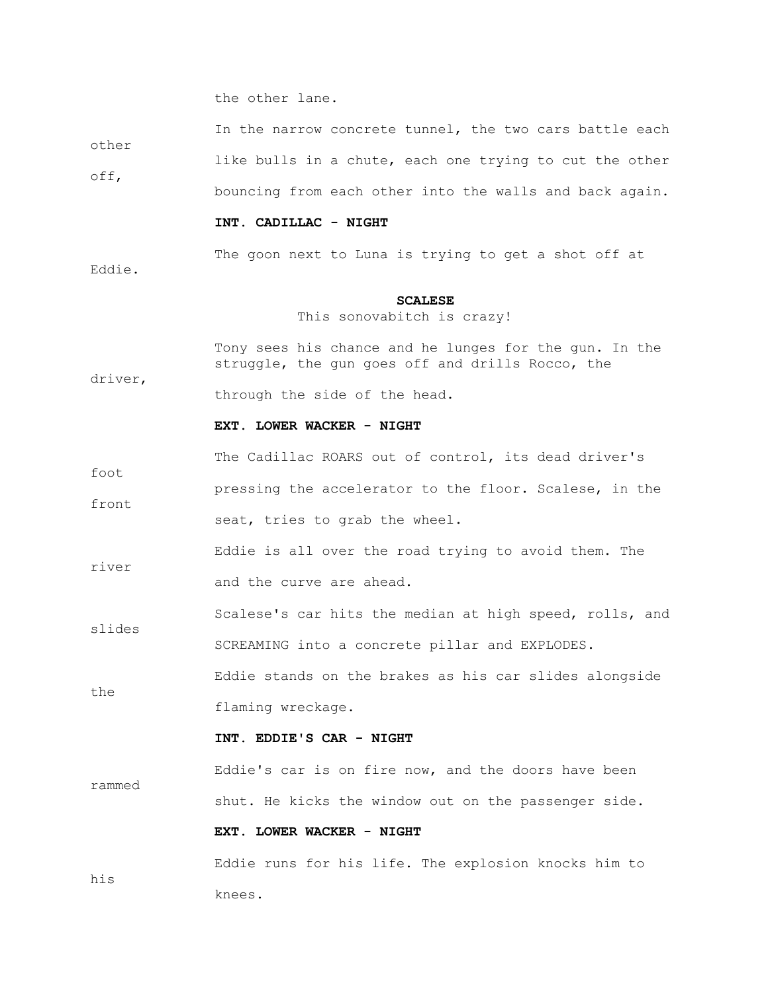the other lane.

 In the narrow concrete tunnel, the two cars battle each other

 like bulls in a chute, each one trying to cut the other off, bouncing from each other into the walls and back again.

#### **INT. CADILLAC - NIGHT**

The goon next to Luna is trying to get a shot off at

Eddie.

driver,

#### **SCALESE**

This sonovabitch is crazy!

 Tony sees his chance and he lunges for the gun. In the struggle, the gun goes off and drills Rocco, the

through the side of the head.

#### **EXT. LOWER WACKER - NIGHT**

 The Cadillac ROARS out of control, its dead driver's foot pressing the accelerator to the floor. Scalese, in the front seat, tries to grab the wheel.

 Eddie is all over the road trying to avoid them. The river and the curve are ahead.

 Scalese's car hits the median at high speed, rolls, and slides SCREAMING into a concrete pillar and EXPLODES.

 Eddie stands on the brakes as his car slides alongside the flaming wreckage.

#### **INT. EDDIE'S CAR - NIGHT**

 Eddie's car is on fire now, and the doors have been rammed shut. He kicks the window out on the passenger side.

# **EXT. LOWER WACKER - NIGHT**

 Eddie runs for his life. The explosion knocks him to his knees.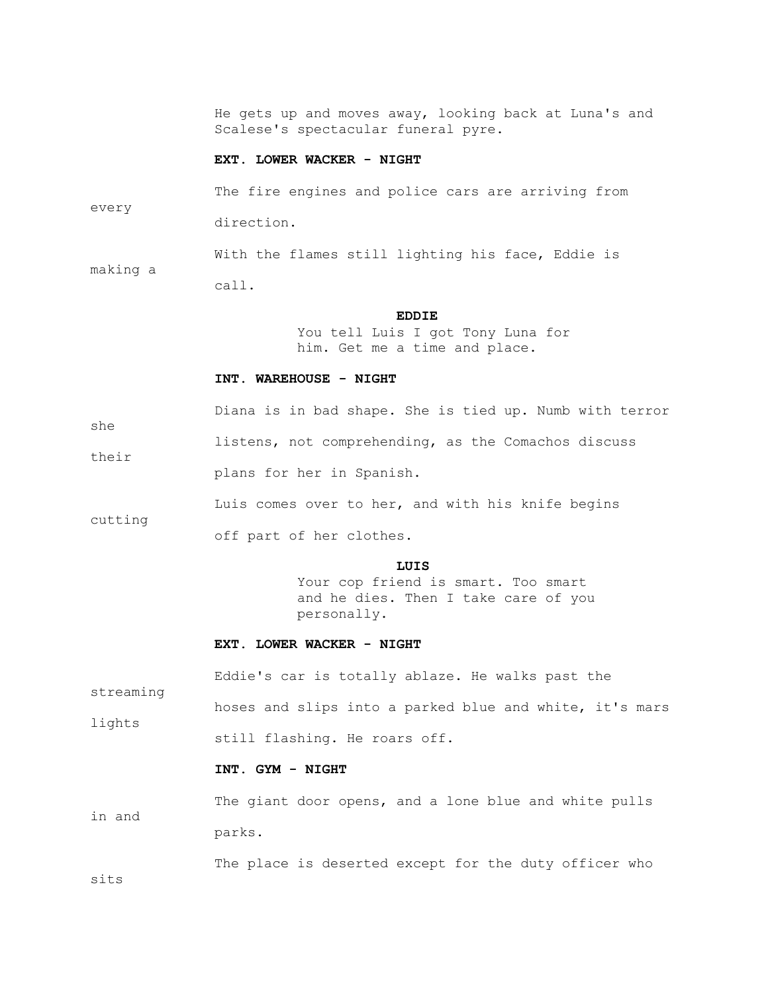He gets up and moves away, looking back at Luna's and Scalese's spectacular funeral pyre.

#### **EXT. LOWER WACKER - NIGHT**

 The fire engines and police cars are arriving from every direction.

With the flames still lighting his face, Eddie is

call.

making a

she

their

cutting

streaming

## **EDDIE**

 You tell Luis I got Tony Luna for him. Get me a time and place.

#### **INT. WAREHOUSE - NIGHT**

Diana is in bad shape. She is tied up. Numb with terror

listens, not comprehending, as the Comachos discuss

plans for her in Spanish.

Luis comes over to her, and with his knife begins

off part of her clothes.

## **LUIS**

Your cop friend is smart. Too smart and he dies. Then I take care of you personally.

#### **EXT. LOWER WACKER - NIGHT**

Eddie's car is totally ablaze. He walks past the

 hoses and slips into a parked blue and white, it's mars lights still flashing. He roars off.

#### **INT. GYM - NIGHT**

 The giant door opens, and a lone blue and white pulls in and parks.

The place is deserted except for the duty officer who

sits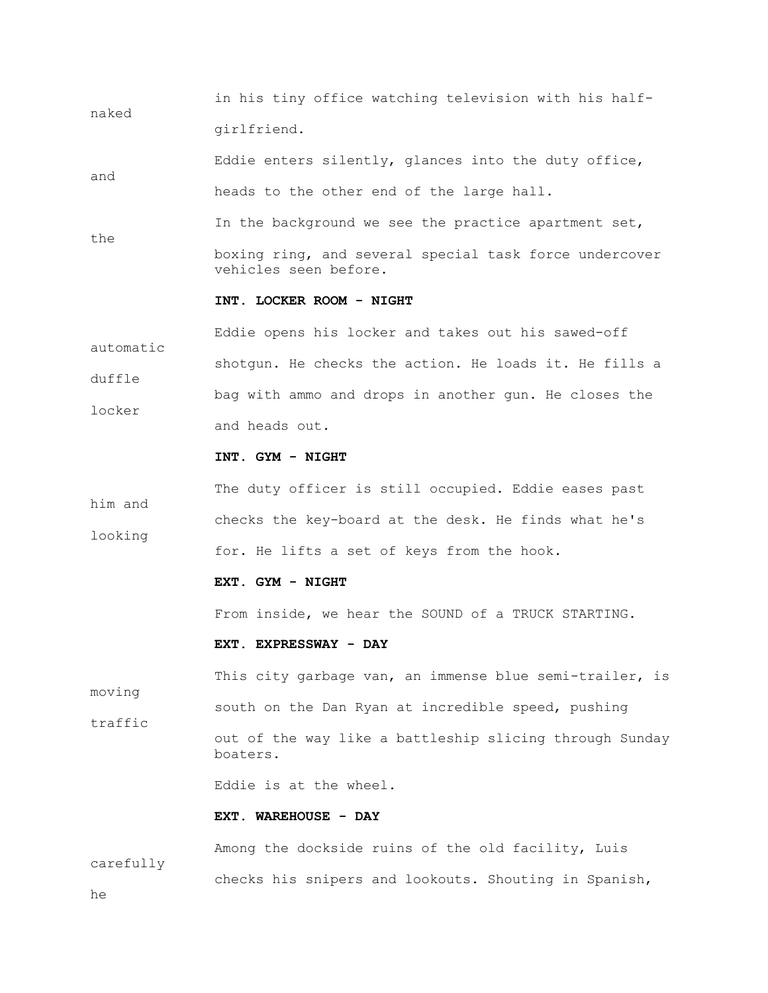in his tiny office watching television with his halfnaked girlfriend.

 Eddie enters silently, glances into the duty office, and heads to the other end of the large hall.

In the background we see the practice apartment set,

 boxing ring, and several special task force undercover vehicles seen before.

#### **INT. LOCKER ROOM - NIGHT**

 Eddie opens his locker and takes out his sawed-off automatic shotgun. He checks the action. He loads it. He fills a duffle bag with ammo and drops in another gun. He closes the locker and heads out.

#### **INT. GYM - NIGHT**

 The duty officer is still occupied. Eddie eases past him and checks the key-board at the desk. He finds what he's looking for. He lifts a set of keys from the hook.

#### **EXT. GYM - NIGHT**

From inside, we hear the SOUND of a TRUCK STARTING.

#### **EXT. EXPRESSWAY - DAY**

This city garbage van, an immense blue semi-trailer, is moving south on the Dan Ryan at incredible speed, pushing traffic out of the way like a battleship slicing through Sunday boaters.

Eddie is at the wheel.

## **EXT. WAREHOUSE - DAY**

 Among the dockside ruins of the old facility, Luis carefully checks his snipers and lookouts. Shouting in Spanish,

he

the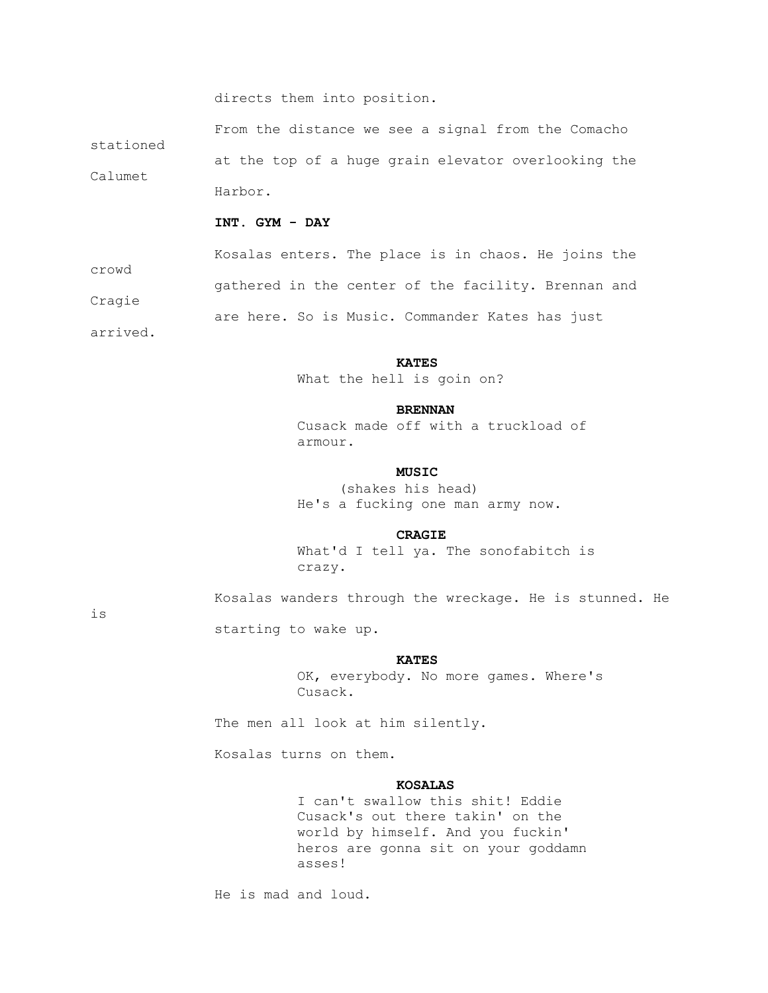directs them into position.

 From the distance we see a signal from the Comacho stationed at the top of a huge grain elevator overlooking the Calumet Harbor.

#### **INT. GYM - DAY**

 Kosalas enters. The place is in chaos. He joins the crowd gathered in the center of the facility. Brennan and Cragie are here. So is Music. Commander Kates has just arrived.

## *KATES*

What the hell is goin on?

#### **BRENNAN**

 Cusack made off with a truckload of armour.

## *MUSIC*

 (shakes his head) He's a fucking one man army now.

#### **CRAGIE**

 What'd I tell ya. The sonofabitch is crazy.

Kosalas wanders through the wreckage. He is stunned. He

is

## *KATES*

 OK, everybody. No more games. Where's Cusack.

The men all look at him silently.

Kosalas turns on them.

starting to wake up.

#### **KOSALAS**

 I can't swallow this shit! Eddie Cusack's out there takin' on the world by himself. And you fuckin' heros are gonna sit on your goddamn asses!

He is mad and loud.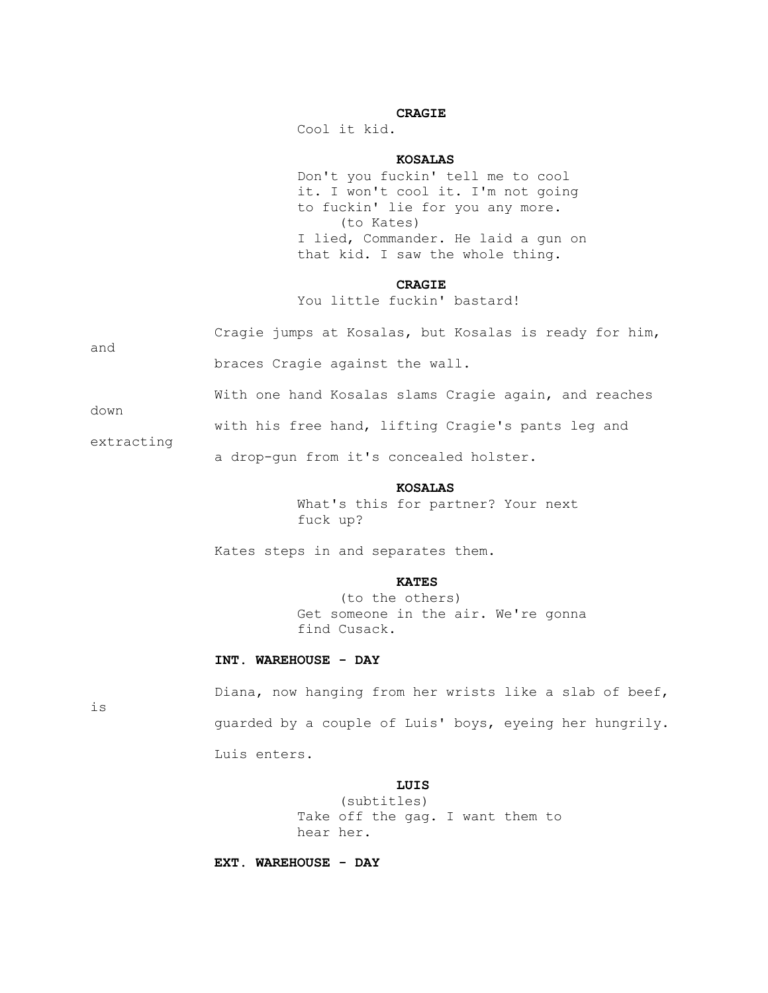## **CRAGIE**

Cool it kid.

#### **KOSALAS**

 Don't you fuckin' tell me to cool it. I won't cool it. I'm not going to fuckin' lie for you any more. (to Kates) I lied, Commander. He laid a gun on that kid. I saw the whole thing.

#### **CRAGIE**

You little fuckin' bastard!

|     |  | Cragie jumps at Kosalas, but Kosalas is ready for him, |  |  |  |
|-----|--|--------------------------------------------------------|--|--|--|
| and |  |                                                        |  |  |  |
|     |  | braces Cragie against the wall.                        |  |  |  |

down

with his free hand, lifting Cragie's pants leg and

With one hand Kosalas slams Cragie again, and reaches

extracting

a drop-gun from it's concealed holster.

## **KOSALAS**

 What's this for partner? Your next fuck up?

Kates steps in and separates them.

#### **KATES**

 (to the others) Get someone in the air. We're gonna find Cusack.

## **INT. WAREHOUSE - DAY**

is

 Diana, now hanging from her wrists like a slab of beef, guarded by a couple of Luis' boys, eyeing her hungrily. Luis enters.

## **LUIS**

 (subtitles) Take off the gag. I want them to hear her.

 **EXT. WAREHOUSE - DAY**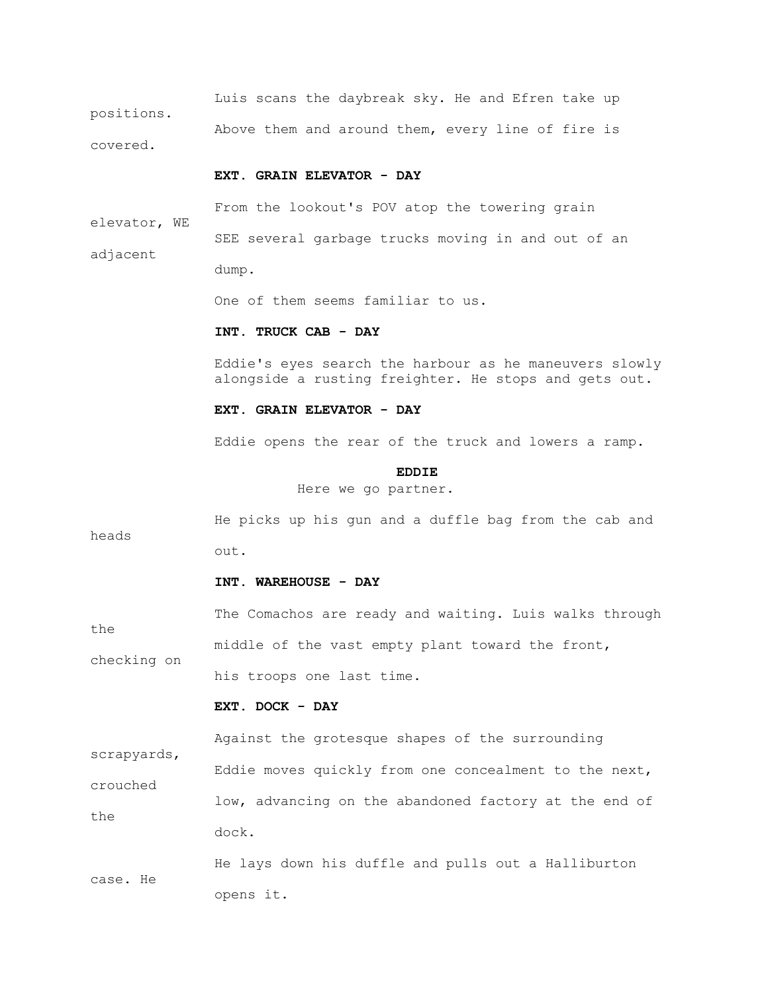Luis scans the daybreak sky. He and Efren take up positions. Above them and around them, every line of fire is covered.

#### **EXT. GRAIN ELEVATOR - DAY**

 From the lookout's POV atop the towering grain elevator, WE SEE several garbage trucks moving in and out of an adjacent dump.

One of them seems familiar to us.

#### **INT. TRUCK CAB - DAY**

 Eddie's eyes search the harbour as he maneuvers slowly alongside a rusting freighter. He stops and gets out.

#### **EXT. GRAIN ELEVATOR - DAY**

Eddie opens the rear of the truck and lowers a ramp.

**EDDIE** 

Here we go partner.

 He picks up his gun and a duffle bag from the cab and heads out.

#### **INT. WAREHOUSE - DAY**

 The Comachos are ready and waiting. Luis walks through the middle of the vast empty plant toward the front, checking on his troops one last time.

#### **EXT. DOCK - DAY**

scrapyards,

Against the grotesque shapes of the surrounding

 Eddie moves quickly from one concealment to the next, crouched low, advancing on the abandoned factory at the end of the dock.

 He lays down his duffle and pulls out a Halliburton case. He opens it.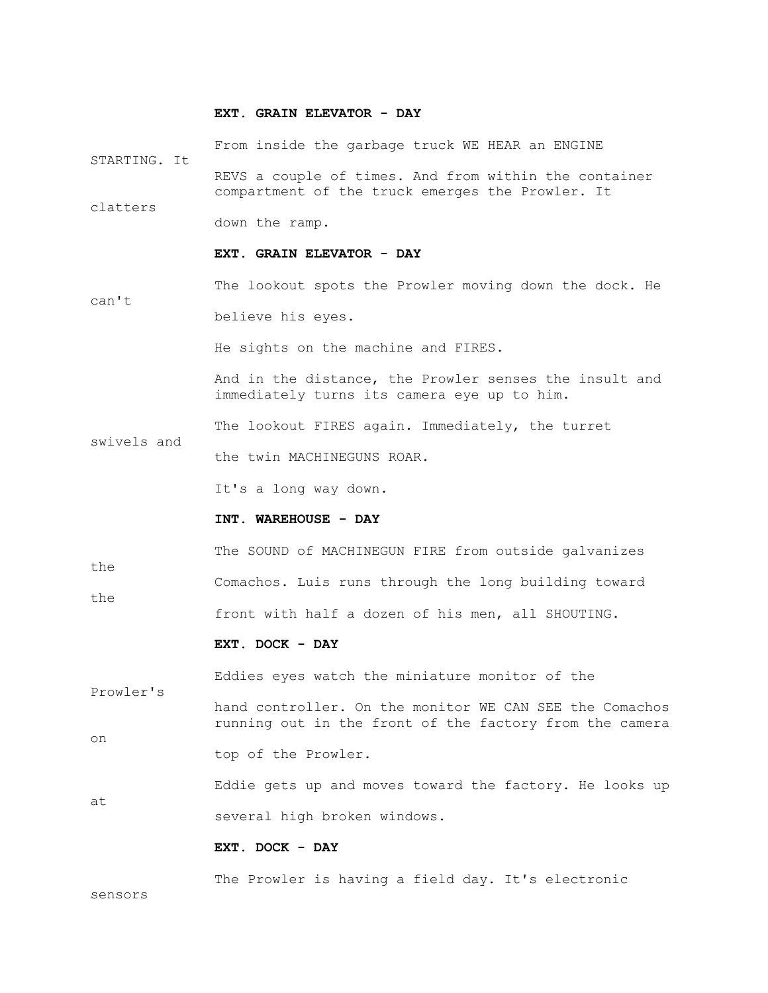#### **EXT. GRAIN ELEVATOR - DAY**

 From inside the garbage truck WE HEAR an ENGINE STARTING. It REVS a couple of times. And from within the container compartment of the truck emerges the Prowler. It clatters down the ramp.  **EXT. GRAIN ELEVATOR - DAY** The lookout spots the Prowler moving down the dock. He can't believe his eyes. He sights on the machine and FIRES. And in the distance, the Prowler senses the insult and immediately turns its camera eye up to him. The lookout FIRES again. Immediately, the turret swivels and the twin MACHINEGUNS ROAR. It's a long way down.  **INT. WAREHOUSE - DAY** The SOUND of MACHINEGUN FIRE from outside galvanizes the Comachos. Luis runs through the long building toward the front with half a dozen of his men, all SHOUTING.  **EXT. DOCK - DAY** Eddies eyes watch the miniature monitor of the Prowler's hand controller. On the monitor WE CAN SEE the Comachos running out in the front of the factory from the camera on top of the Prowler. Eddie gets up and moves toward the factory. He looks up at several high broken windows.  **EXT. DOCK - DAY**

The Prowler is having a field day. It's electronic

sensors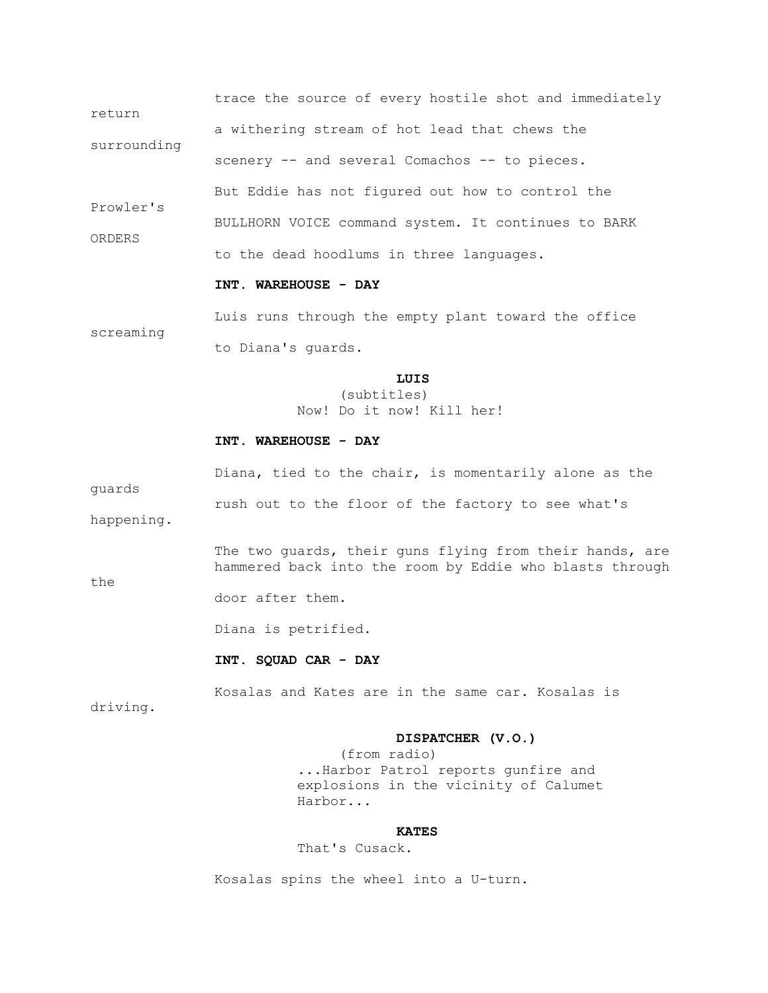trace the source of every hostile shot and immediately return a withering stream of hot lead that chews the surrounding scenery -- and several Comachos -- to pieces. But Eddie has not figured out how to control the Prowler's BULLHORN VOICE command system. It continues to BARK ORDERS to the dead hoodlums in three languages.

#### **INT. WAREHOUSE - DAY**

 Luis runs through the empty plant toward the office screaming to Diana's guards.

## **LUIS**

 (subtitles) Now! Do it now! Kill her!

# **INT. WAREHOUSE - DAY**

 Diana, tied to the chair, is momentarily alone as the guards rush out to the floor of the factory to see what's

happening.

The two guards, their guns flying from their hands, are hammered back into the room by Eddie who blasts through

the

door after them.

Diana is petrified.

## **INT. SQUAD CAR - DAY**

Kosalas and Kates are in the same car. Kosalas is

driving.

#### **DISPATCHER (V.O.)**

 (from radio) ...Harbor Patrol reports gunfire and explosions in the vicinity of Calumet Harbor...

## *KATES*

That's Cusack.

Kosalas spins the wheel into a U-turn.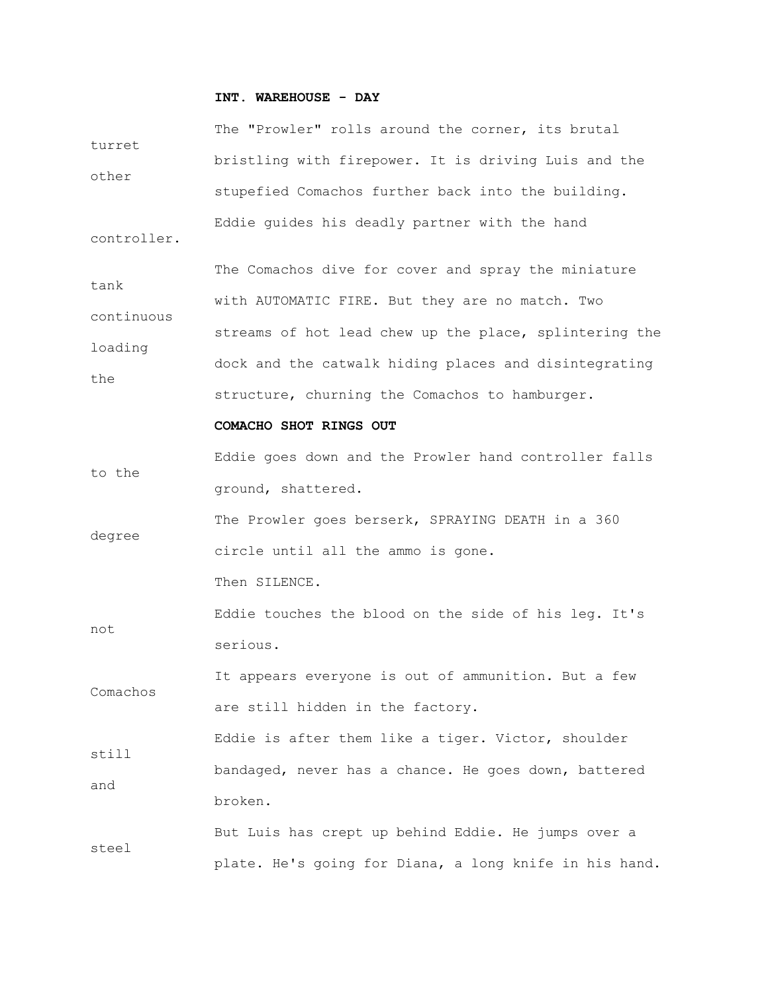# **INT. WAREHOUSE - DAY**

| turret      | The "Prowler" rolls around the corner, its brutal      |  |  |  |  |  |  |  |  |
|-------------|--------------------------------------------------------|--|--|--|--|--|--|--|--|
|             | bristling with firepower. It is driving Luis and the   |  |  |  |  |  |  |  |  |
| other       | stupefied Comachos further back into the building.     |  |  |  |  |  |  |  |  |
| controller. | Eddie guides his deadly partner with the hand          |  |  |  |  |  |  |  |  |
| tank        | The Comachos dive for cover and spray the miniature    |  |  |  |  |  |  |  |  |
|             | with AUTOMATIC FIRE. But they are no match. Two        |  |  |  |  |  |  |  |  |
| continuous  | streams of hot lead chew up the place, splintering the |  |  |  |  |  |  |  |  |
| loading     | dock and the catwalk hiding places and disintegrating  |  |  |  |  |  |  |  |  |
| the         | structure, churning the Comachos to hamburger.         |  |  |  |  |  |  |  |  |
|             | COMACHO SHOT RINGS OUT                                 |  |  |  |  |  |  |  |  |
|             | Eddie goes down and the Prowler hand controller falls  |  |  |  |  |  |  |  |  |
| to the      | ground, shattered.                                     |  |  |  |  |  |  |  |  |
|             | The Prowler goes berserk, SPRAYING DEATH in a 360      |  |  |  |  |  |  |  |  |
| degree      | circle until all the ammo is gone.                     |  |  |  |  |  |  |  |  |
|             | Then SILENCE.                                          |  |  |  |  |  |  |  |  |
|             | Eddie touches the blood on the side of his leg. It's   |  |  |  |  |  |  |  |  |
| not         | serious.                                               |  |  |  |  |  |  |  |  |
|             | It appears everyone is out of ammunition. But a few    |  |  |  |  |  |  |  |  |
| Comachos    | are still hidden in the factory.                       |  |  |  |  |  |  |  |  |
|             | Eddie is after them like a tiger. Victor, shoulder     |  |  |  |  |  |  |  |  |
| still       | bandaged, never has a chance. He goes down, battered   |  |  |  |  |  |  |  |  |
| and         | broken.                                                |  |  |  |  |  |  |  |  |
|             | But Luis has crept up behind Eddie. He jumps over a    |  |  |  |  |  |  |  |  |
| steel       | plate. He's going for Diana, a long knife in his hand. |  |  |  |  |  |  |  |  |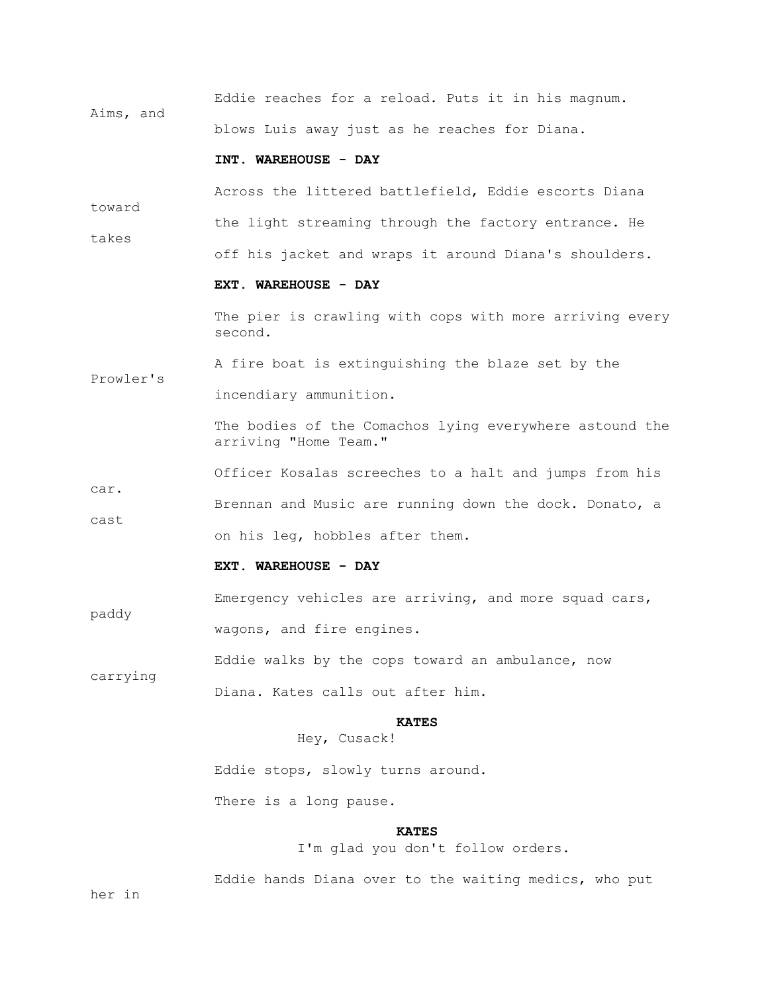Eddie reaches for a reload. Puts it in his magnum. Aims, and blows Luis away just as he reaches for Diana.

#### **INT. WAREHOUSE - DAY**

Across the littered battlefield, Eddie escorts Diana

the light streaming through the factory entrance. He

takes

Prowler's

toward

## **EXT. WAREHOUSE - DAY**

The pier is crawling with cops with more arriving every second.

off his jacket and wraps it around Diana's shoulders.

A fire boat is extinguishing the blaze set by the

incendiary ammunition.

 The bodies of the Comachos lying everywhere astound the arriving "Home Team."

 Officer Kosalas screeches to a halt and jumps from his car. Brennan and Music are running down the dock. Donato, a cast

on his leg, hobbles after them.

## **EXT. WAREHOUSE - DAY**

 Emergency vehicles are arriving, and more squad cars, paddy wagons, and fire engines.

 Eddie walks by the cops toward an ambulance, now carrying

Diana. Kates calls out after him.

## *KATES*

Hey, Cusack!

Eddie stops, slowly turns around.

There is a long pause.

## *KATES*

I'm glad you don't follow orders.

Eddie hands Diana over to the waiting medics, who put

her in